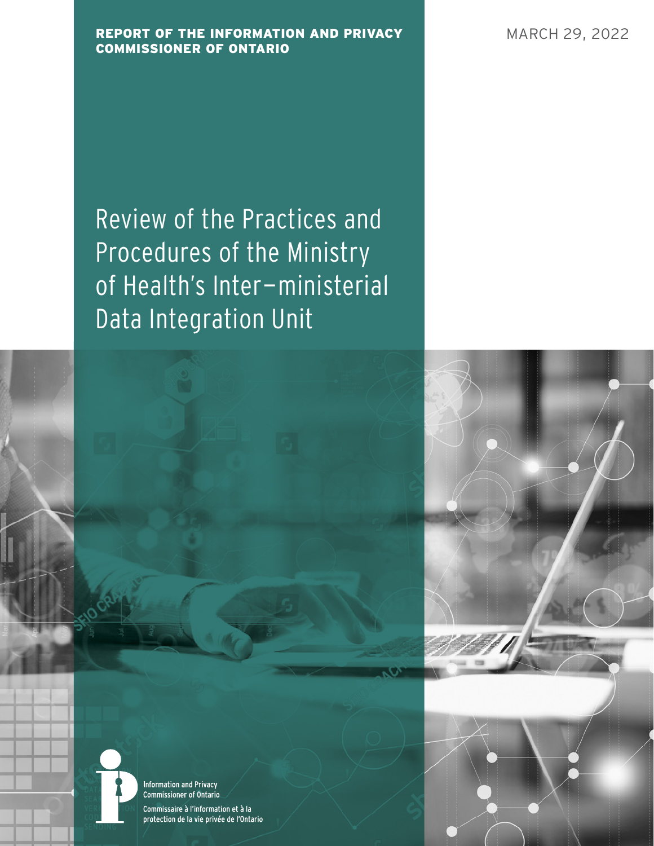MARCH 29, 2022

## REPORT OF THE INFORMATION AND PRIVACY COMMISSIONER OF ONTARIO

Review of the Practices and Procedures of the Ministry of Health's Inter-ministerial Data Integration Unit



**Information and Privacy** Commissioner of Ontario Commissaire à l'information et à la protection de la vie privée de l'Ontario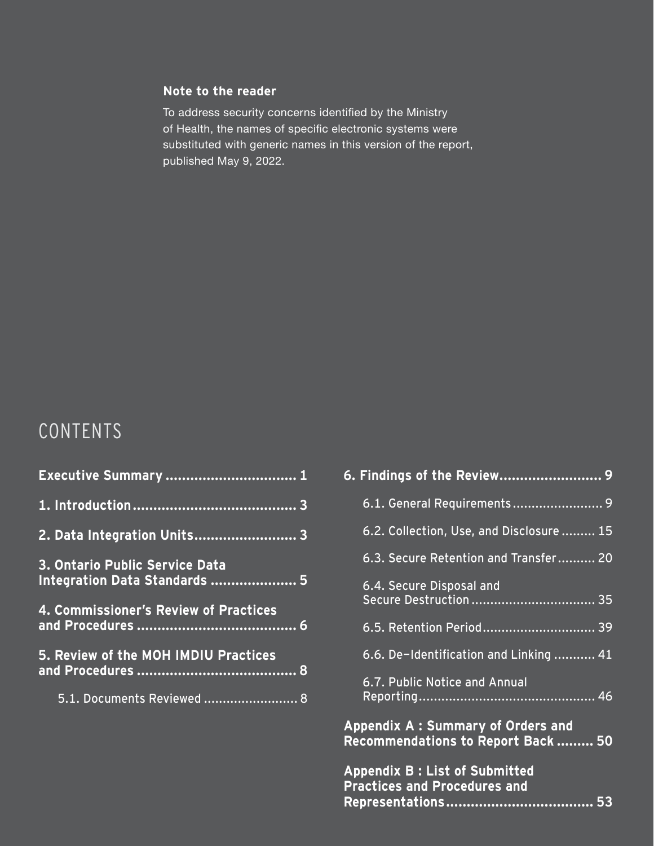#### **Note to the reader**

To address security concerns identified by the Ministry of Health, the names of specific electronic systems were substituted with generic names in this version of the report, published May 9, 2022.

# CONTENTS

| Executive Summary  1                                            |  |
|-----------------------------------------------------------------|--|
|                                                                 |  |
| 2. Data Integration Units 3                                     |  |
| 3. Ontario Public Service Data<br>Integration Data Standards  5 |  |
| 4. Commissioner's Review of Practices                           |  |
| 5. Review of the MOH IMDIU Practices                            |  |
| 5.1. Documents Reviewed  8                                      |  |

| 6. Findings of the Review 9                                                 |  |
|-----------------------------------------------------------------------------|--|
| 6.1. General Requirements 9                                                 |  |
| 6.2. Collection, Use, and Disclosure 15                                     |  |
| 6.3. Secure Retention and Transfer 20                                       |  |
| 6.4. Secure Disposal and                                                    |  |
| 6.5. Retention Period 39                                                    |  |
| 6.6. De-Identification and Linking  41                                      |  |
| 6.7. Public Notice and Annual                                               |  |
| Appendix A: Summary of Orders and<br>Recommendations to Report Back  50     |  |
| <b>Appendix B: List of Submitted</b><br><b>Practices and Procedures and</b> |  |

**[Representations....................................](#page-54-0) 53**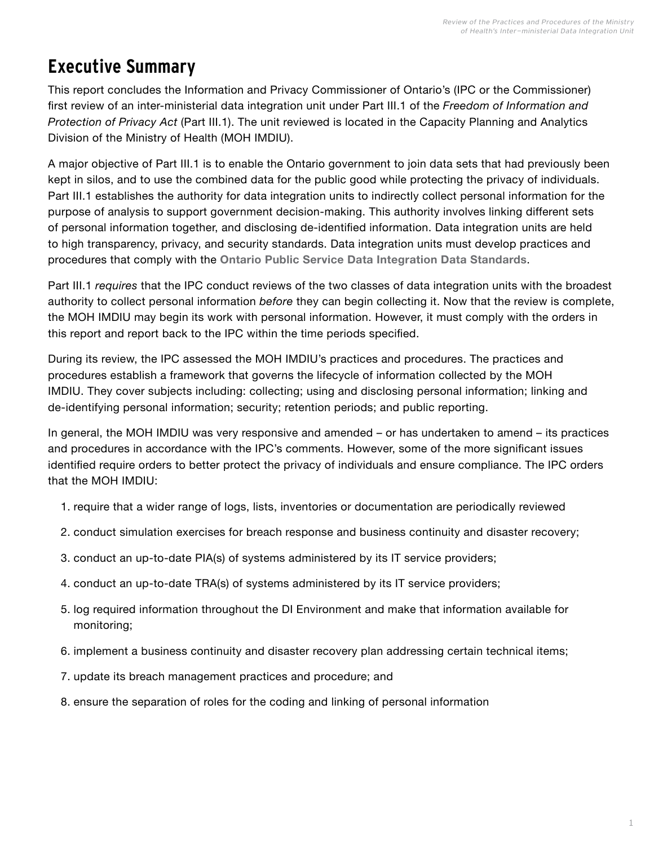# **Executive Summary**

This report concludes the Information and Privacy Commissioner of Ontario's (IPC or the Commissioner) first review of an inter‑ministerial data integration unit under Part III.1 of the *Freedom of Information and Protection of Privacy Act* (Part III.1). The unit reviewed is located in the Capacity Planning and Analytics Division of the Ministry of Health (MOH IMDIU).

A major objective of Part III.1 is to enable the Ontario government to join data sets that had previously been kept in silos, and to use the combined data for the public good while protecting the privacy of individuals. Part III.1 establishes the authority for data integration units to indirectly collect personal information for the purpose of analysis to support government decision-making. This authority involves linking different sets of personal information together, and disclosing de‑identified information. Data integration units are held to high transparency, privacy, and security standards. Data integration units must develop practices and procedures that comply with the **[Ontario Public Service Data Integration Data Standards](https://files.ontario.ca/mgcs-ontario-public-service-data-integration-data-standards-april-2021-en-2021-04-29.pdf)**.

Part III.1 *requires* that the IPC conduct reviews of the two classes of data integration units with the broadest authority to collect personal information *before* they can begin collecting it. Now that the review is complete, the MOH IMDIU may begin its work with personal information. However, it must comply with the orders in this report and report back to the IPC within the time periods specified.

During its review, the IPC assessed the MOH IMDIU's practices and procedures. The practices and procedures establish a framework that governs the lifecycle of information collected by the MOH IMDIU. They cover subjects including: collecting; using and disclosing personal information; linking and de‑identifying personal information; security; retention periods; and public reporting.

In general, the MOH IMDIU was very responsive and amended – or has undertaken to amend – its practices and procedures in accordance with the IPC's comments. However, some of the more significant issues identified require orders to better protect the privacy of individuals and ensure compliance. The IPC orders that the MOH IMDIU:

- 1. require that a wider range of logs, lists, inventories or documentation are periodically reviewed
- 2. conduct simulation exercises for breach response and business continuity and disaster recovery;
- 3. conduct an up-to-date PIA(s) of systems administered by its IT service providers;
- 4. conduct an up-to-date TRA(s) of systems administered by its IT service providers;
- 5. log required information throughout the DI Environment and make that information available for monitoring;
- 6. implement a business continuity and disaster recovery plan addressing certain technical items;
- 7. update its breach management practices and procedure; and
- 8. ensure the separation of roles for the coding and linking of personal information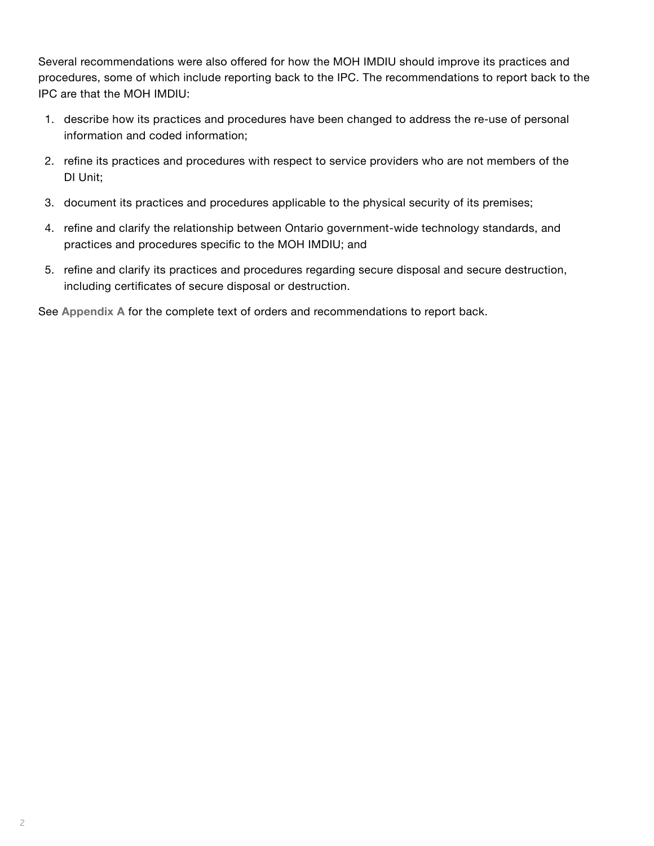Several recommendations were also offered for how the MOH IMDIU should improve its practices and procedures, some of which include reporting back to the IPC. The recommendations to report back to the IPC are that the MOH IMDIU:

- 1. describe how its practices and procedures have been changed to address the re‑use of personal information and coded information;
- 2. refine its practices and procedures with respect to service providers who are not members of the DI Unit;
- 3. document its practices and procedures applicable to the physical security of its premises;
- 4. refine and clarify the relationship between Ontario government‑wide technology standards, and practices and procedures specific to the MOH IMDIU; and
- 5. refine and clarify its practices and procedures regarding secure disposal and secure destruction, including certificates of secure disposal or destruction.

See **[Appendix A](#page-51-0)** for the complete text of orders and recommendations to report back.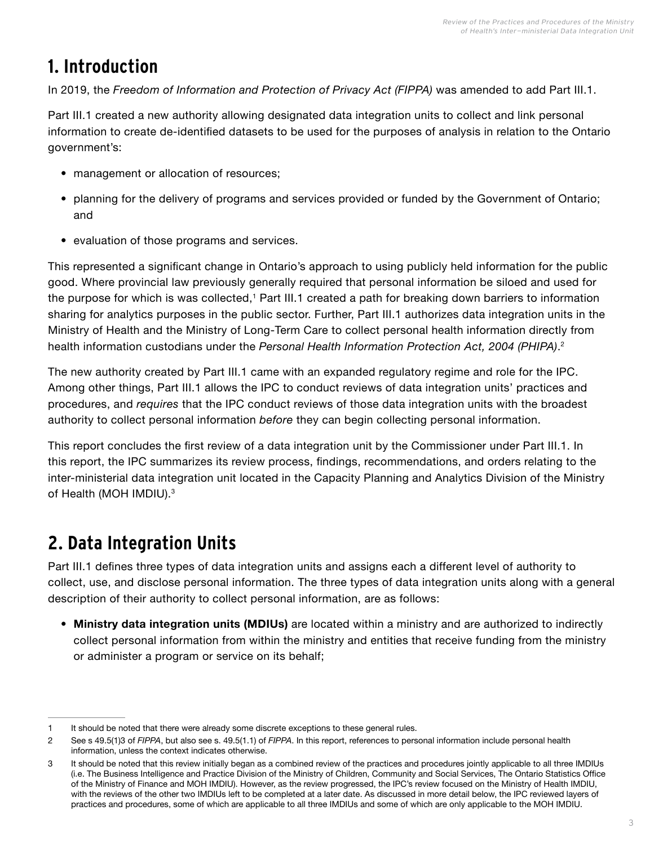# <span id="page-4-0"></span>**1. Introduction**

In 2019, the *Freedom of Information and Protection of Privacy Act (FIPPA)* was amended to add Part III.1.

Part III.1 created a new authority allowing designated data integration units to collect and link personal information to create de‑identified datasets to be used for the purposes of analysis in relation to the Ontario government's:

- management or allocation of resources;
- planning for the delivery of programs and services provided or funded by the Government of Ontario; and
- evaluation of those programs and services.

This represented a significant change in Ontario's approach to using publicly held information for the public good. Where provincial law previously generally required that personal information be siloed and used for the purpose for which is was collected,<sup>1</sup> Part III.1 created a path for breaking down barriers to information sharing for analytics purposes in the public sector. Further, Part III.1 authorizes data integration units in the Ministry of Health and the Ministry of Long‑Term Care to collect personal health information directly from health information custodians under the *Personal Health Information Protection Act, 2004 (PHIPA)*. 2

The new authority created by Part III.1 came with an expanded regulatory regime and role for the IPC. Among other things, Part III.1 allows the IPC to conduct reviews of data integration units' practices and procedures, and *requires* that the IPC conduct reviews of those data integration units with the broadest authority to collect personal information *before* they can begin collecting personal information.

This report concludes the first review of a data integration unit by the Commissioner under Part III.1. In this report, the IPC summarizes its review process, findings, recommendations, and orders relating to the inter‑ministerial data integration unit located in the Capacity Planning and Analytics Division of the Ministry of Health (MOH IMDIU).<sup>3</sup>

# **2. Data Integration Units**

Part III.1 defines three types of data integration units and assigns each a different level of authority to collect, use, and disclose personal information. The three types of data integration units along with a general description of their authority to collect personal information, are as follows:

**• Ministry data integration units (MDIUs)** are located within a ministry and are authorized to indirectly collect personal information from within the ministry and entities that receive funding from the ministry or administer a program or service on its behalf;

<sup>1</sup> It should be noted that there were already some discrete exceptions to these general rules.

<sup>2</sup> See s 49.5(1)3 of *FIPPA*, but also see s. 49.5(1.1) of *FIPPA*. In this report, references to personal information include personal health information, unless the context indicates otherwise.

<sup>3</sup> It should be noted that this review initially began as a combined review of the practices and procedures jointly applicable to all three IMDIUs (i.e. The Business Intelligence and Practice Division of the Ministry of Children, Community and Social Services, The Ontario Statistics Office of the Ministry of Finance and MOH IMDIU). However, as the review progressed, the IPC's review focused on the Ministry of Health IMDIU, with the reviews of the other two IMDIUs left to be completed at a later date. As discussed in more detail below, the IPC reviewed layers of practices and procedures, some of which are applicable to all three IMDIUs and some of which are only applicable to the MOH IMDIU.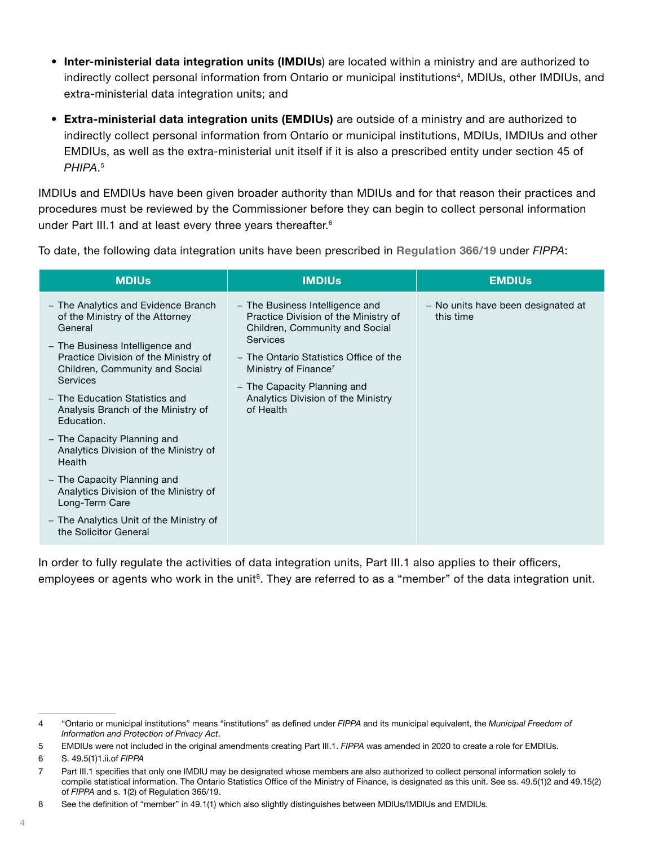- **• Inter‑ministerial data integration units (IMDIUs**) are located within a ministry and are authorized to indirectly collect personal information from Ontario or municipal institutions<sup>4</sup>, MDIUs, other IMDIUs, and extra‑ministerial data integration units; and
- **• Extra‑ministerial data integration units (EMDIUs)** are outside of a ministry and are authorized to indirectly collect personal information from Ontario or municipal institutions, MDIUs, IMDIUs and other EMDIUs, as well as the extra‑ministerial unit itself if it is also a prescribed entity under section 45 of *PHIPA*. 5

IMDIUs and EMDIUs have been given broader authority than MDIUs and for that reason their practices and procedures must be reviewed by the Commissioner before they can begin to collect personal information under Part III.1 and at least every three years thereafter.<sup>6</sup>

To date, the following data integration units have been prescribed in **[Regulation 366/19](https://www.ontario.ca/laws/regulation/190366)** under *FIPPA*:

| <b>MDIUs</b>                                                                                                                                                                                                                                                                                                                                                             | <b>IMDIUs</b>                                                                                                                                                                                                                                                                         | <b>EMDIUs</b>                                   |  |
|--------------------------------------------------------------------------------------------------------------------------------------------------------------------------------------------------------------------------------------------------------------------------------------------------------------------------------------------------------------------------|---------------------------------------------------------------------------------------------------------------------------------------------------------------------------------------------------------------------------------------------------------------------------------------|-------------------------------------------------|--|
| - The Analytics and Evidence Branch<br>of the Ministry of the Attorney<br>General<br>- The Business Intelligence and<br>Practice Division of the Ministry of<br>Children, Community and Social<br>Services<br>- The Education Statistics and<br>Analysis Branch of the Ministry of<br>Education.<br>- The Capacity Planning and<br>Analytics Division of the Ministry of | - The Business Intelligence and<br>Practice Division of the Ministry of<br>Children, Community and Social<br>Services<br>- The Ontario Statistics Office of the<br>Ministry of Finance <sup>7</sup><br>- The Capacity Planning and<br>Analytics Division of the Ministry<br>of Health | - No units have been designated at<br>this time |  |
| Health                                                                                                                                                                                                                                                                                                                                                                   |                                                                                                                                                                                                                                                                                       |                                                 |  |
| - The Capacity Planning and<br>Analytics Division of the Ministry of<br>Long-Term Care                                                                                                                                                                                                                                                                                   |                                                                                                                                                                                                                                                                                       |                                                 |  |
| - The Analytics Unit of the Ministry of<br>the Solicitor General                                                                                                                                                                                                                                                                                                         |                                                                                                                                                                                                                                                                                       |                                                 |  |

In order to fully regulate the activities of data integration units, Part III.1 also applies to their officers, employees or agents who work in the unit<sup>8</sup>. They are referred to as a "member" of the data integration unit.

<sup>4</sup> "Ontario or municipal institutions" means "institutions" as defined under *FIPPA* and its municipal equivalent, the *Municipal Freedom of Information and Protection of Privacy Act*.

<sup>5</sup> EMDIUs were not included in the original amendments creating Part III.1. *FIPPA* was amended in 2020 to create a role for EMDIUs.

<sup>6</sup> S. 49.5(1)1.ii.of *FIPPA*

<sup>7</sup> Part III.1 specifies that only one IMDIU may be designated whose members are also authorized to collect personal information solely to compile statistical information. The Ontario Statistics Office of the Ministry of Finance, is designated as this unit. See ss. 49.5(1)2 and 49.15(2) of *FIPPA* and s. 1(2) of Regulation 366/19.

<sup>8</sup> See the definition of "member" in 49.1(1) which also slightly distinguishes between MDIUs/IMDIUs and EMDIUs.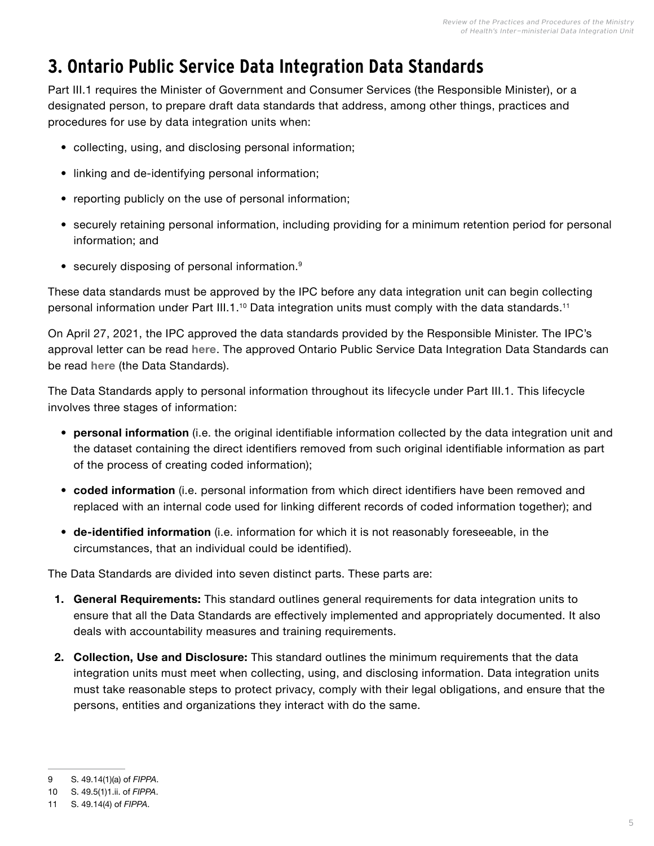# <span id="page-6-0"></span>**3. Ontario Public Service Data Integration Data Standards**

Part III.1 requires the Minister of Government and Consumer Services (the Responsible Minister), or a designated person, to prepare draft data standards that address, among other things, practices and procedures for use by data integration units when:

- collecting, using, and disclosing personal information;
- linking and de-identifying personal information;
- reporting publicly on the use of personal information;
- securely retaining personal information, including providing for a minimum retention period for personal information; and
- securely disposing of personal information.<sup>9</sup>

These data standards must be approved by the IPC before any data integration unit can begin collecting personal information under Part III.1.<sup>10</sup> Data integration units must comply with the data standards.<sup>11</sup>

On April 27, 2021, the IPC approved the data standards provided by the Responsible Minister. The IPC's approval letter can be read **[here](https://www.ipc.on.ca/wp-content/uploads/2021/05/2021-04-27-ltr-lisa-thompson-minister_mgcs-data-integration-data-standards_re-issue.pdf)**. The approved Ontario Public Service Data Integration Data Standards can be read **[here](https://files.ontario.ca/mgcs-ontario-public-service-data-integration-data-standards-april-2021-en-2021-04-29.pdf)** (the Data Standards).

The Data Standards apply to personal information throughout its lifecycle under Part III.1. This lifecycle involves three stages of information:

- **• personal information** (i.e. the original identifiable information collected by the data integration unit and the dataset containing the direct identifiers removed from such original identifiable information as part of the process of creating coded information);
- **• coded information** (i.e. personal information from which direct identifiers have been removed and replaced with an internal code used for linking different records of coded information together); and
- **• de‑identified information** (i.e. information for which it is not reasonably foreseeable, in the circumstances, that an individual could be identified).

The Data Standards are divided into seven distinct parts. These parts are:

- **1. General Requirements:** This standard outlines general requirements for data integration units to ensure that all the Data Standards are effectively implemented and appropriately documented. It also deals with accountability measures and training requirements.
- **2. Collection, Use and Disclosure:** This standard outlines the minimum requirements that the data integration units must meet when collecting, using, and disclosing information. Data integration units must take reasonable steps to protect privacy, comply with their legal obligations, and ensure that the persons, entities and organizations they interact with do the same.

<sup>9</sup> S. 49.14(1)(a) of *FIPPA*.

<sup>10</sup> S. 49.5(1)1.ii. of *FIPPA*.

<sup>11</sup> S. 49.14(4) of *FIPPA*.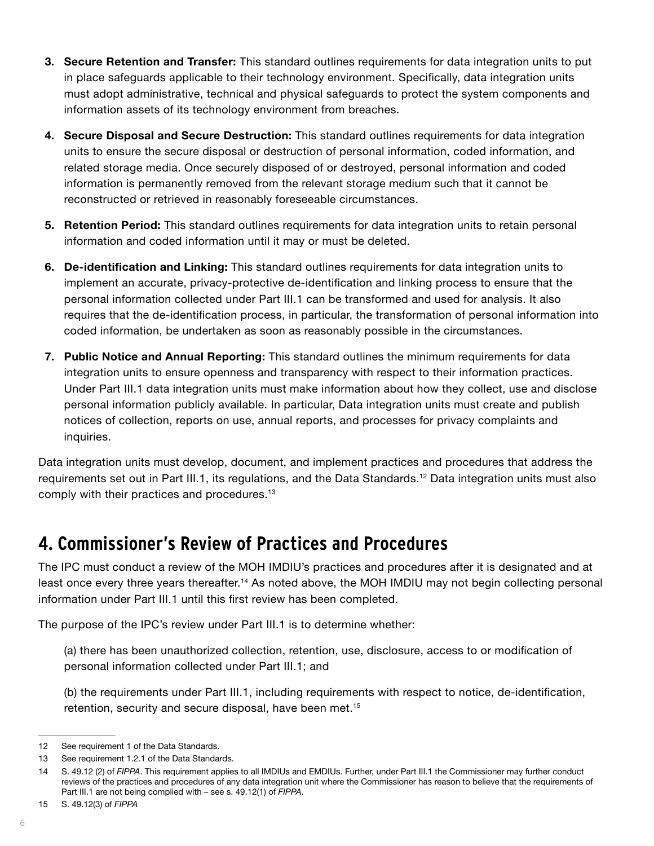- <span id="page-7-0"></span>**3. Secure Retention and Transfer:** This standard outlines requirements for data integration units to put in place safeguards applicable to their technology environment. Specifically, data integration units must adopt administrative, technical and physical safeguards to protect the system components and information assets of its technology environment from breaches.
- **4. Secure Disposal and Secure Destruction:** This standard outlines requirements for data integration units to ensure the secure disposal or destruction of personal information, coded information, and related storage media. Once securely disposed of or destroyed, personal information and coded information is permanently removed from the relevant storage medium such that it cannot be reconstructed or retrieved in reasonably foreseeable circumstances.
- **5. Retention Period:** This standard outlines requirements for data integration units to retain personal information and coded information until it may or must be deleted.
- **6. De‑identification and Linking:** This standard outlines requirements for data integration units to implement an accurate, privacy-protective de-identification and linking process to ensure that the personal information collected under Part III.1 can be transformed and used for analysis. It also requires that the de‑identification process, in particular, the transformation of personal information into coded information, be undertaken as soon as reasonably possible in the circumstances.
- **7. Public Notice and Annual Reporting:** This standard outlines the minimum requirements for data integration units to ensure openness and transparency with respect to their information practices. Under Part III.1 data integration units must make information about how they collect, use and disclose personal information publicly available. In particular, Data integration units must create and publish notices of collection, reports on use, annual reports, and processes for privacy complaints and inquiries.

Data integration units must develop, document, and implement practices and procedures that address the requirements set out in Part III.1, its regulations, and the Data Standards.12 Data integration units must also comply with their practices and procedures.13

# **4. Commissioner's Review of Practices and Procedures**

The IPC must conduct a review of the MOH IMDIU's practices and procedures after it is designated and at least once every three years thereafter.14 As noted above, the MOH IMDIU may not begin collecting personal information under Part III.1 until this first review has been completed.

The purpose of the IPC's review under Part III.1 is to determine whether:

(a) there has been unauthorized collection, retention, use, disclosure, access to or modification of personal information collected under Part III.1; and

(b) the requirements under Part III.1, including requirements with respect to notice, de‑identification, retention, security and secure disposal, have been met.<sup>15</sup>

<sup>12</sup> See requirement 1 of the Data Standards.

<sup>13</sup> See requirement 1.2.1 of the Data Standards.

<sup>14</sup> S. 49.12 (2) of *FIPPA*. This requirement applies to all IMDIUs and EMDIUs. Further, under Part III.1 the Commissioner may further conduct reviews of the practices and procedures of any data integration unit where the Commissioner has reason to believe that the requirements of Part III.1 are not being complied with – see s. 49.12(1) of *FIPPA*.

<sup>15</sup> S. 49.12(3) of *FIPPA*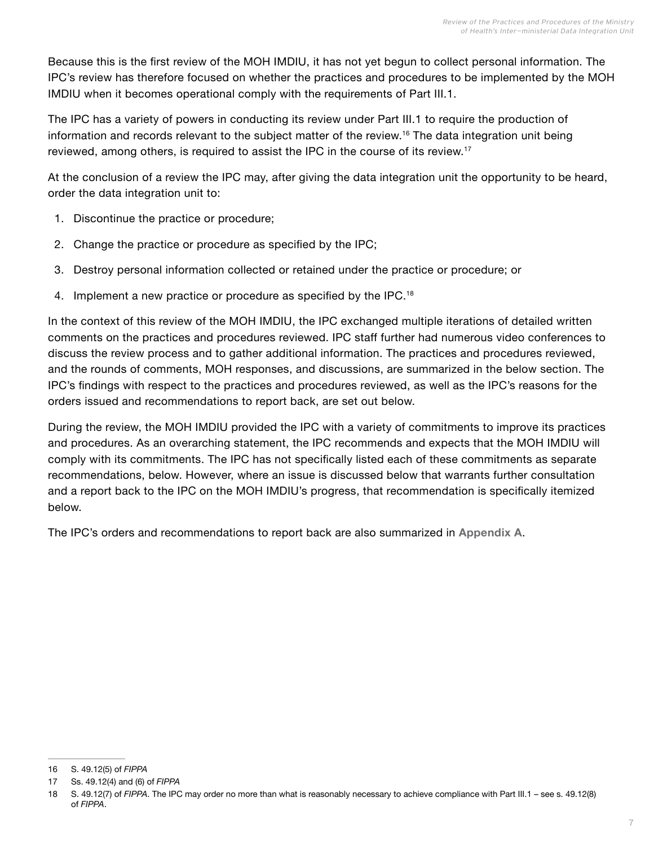Because this is the first review of the MOH IMDIU, it has not yet begun to collect personal information. The IPC's review has therefore focused on whether the practices and procedures to be implemented by the MOH IMDIU when it becomes operational comply with the requirements of Part III.1.

The IPC has a variety of powers in conducting its review under Part III.1 to require the production of information and records relevant to the subject matter of the review.16 The data integration unit being reviewed, among others, is required to assist the IPC in the course of its review.17

At the conclusion of a review the IPC may, after giving the data integration unit the opportunity to be heard, order the data integration unit to:

- 1. Discontinue the practice or procedure;
- 2. Change the practice or procedure as specified by the IPC;
- 3. Destroy personal information collected or retained under the practice or procedure; or
- 4. Implement a new practice or procedure as specified by the IPC.<sup>18</sup>

In the context of this review of the MOH IMDIU, the IPC exchanged multiple iterations of detailed written comments on the practices and procedures reviewed. IPC staff further had numerous video conferences to discuss the review process and to gather additional information. The practices and procedures reviewed, and the rounds of comments, MOH responses, and discussions, are summarized in the below section. The IPC's findings with respect to the practices and procedures reviewed, as well as the IPC's reasons for the orders issued and recommendations to report back, are set out below.

During the review, the MOH IMDIU provided the IPC with a variety of commitments to improve its practices and procedures. As an overarching statement, the IPC recommends and expects that the MOH IMDIU will comply with its commitments. The IPC has not specifically listed each of these commitments as separate recommendations, below. However, where an issue is discussed below that warrants further consultation and a report back to the IPC on the MOH IMDIU's progress, that recommendation is specifically itemized below.

The IPC's orders and recommendations to report back are also summarized in **[Appendix A](#page-51-0)**.

<sup>16</sup> S. 49.12(5) of *FIPPA*

<sup>17</sup> Ss. 49.12(4) and (6) of *FIPPA*

<sup>18</sup> S. 49.12(7) of *FIPPA*. The IPC may order no more than what is reasonably necessary to achieve compliance with Part III.1 – see s. 49.12(8) of *FIPPA*.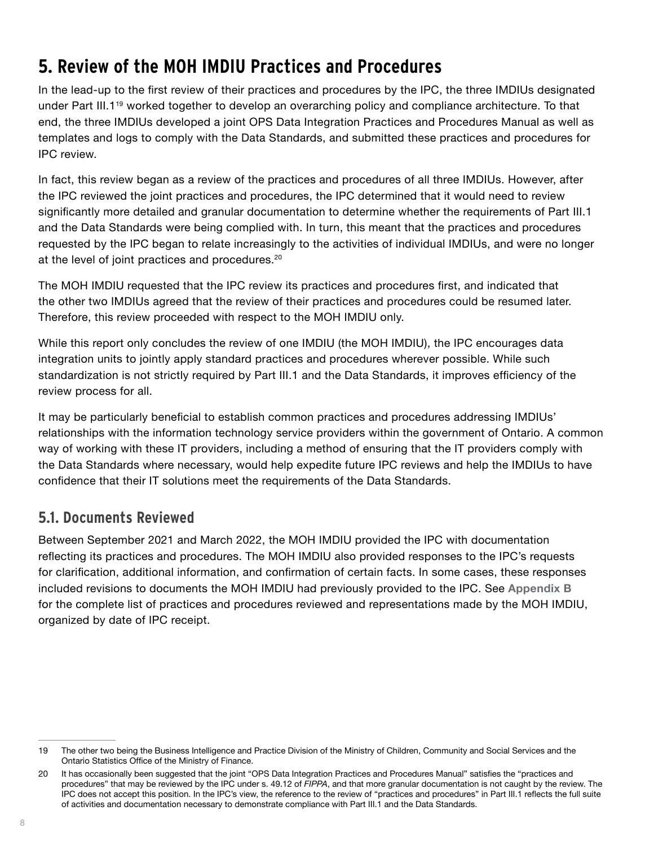# <span id="page-9-0"></span>**5. Review of the MOH IMDIU Practices and Procedures**

In the lead-up to the first review of their practices and procedures by the IPC, the three IMDIUs designated under Part III.1<sup>19</sup> worked together to develop an overarching policy and compliance architecture. To that end, the three IMDIUs developed a joint OPS Data Integration Practices and Procedures Manual as well as templates and logs to comply with the Data Standards, and submitted these practices and procedures for IPC review.

In fact, this review began as a review of the practices and procedures of all three IMDIUs. However, after the IPC reviewed the joint practices and procedures, the IPC determined that it would need to review significantly more detailed and granular documentation to determine whether the requirements of Part III.1 and the Data Standards were being complied with. In turn, this meant that the practices and procedures requested by the IPC began to relate increasingly to the activities of individual IMDIUs, and were no longer at the level of joint practices and procedures.<sup>20</sup>

The MOH IMDIU requested that the IPC review its practices and procedures first, and indicated that the other two IMDIUs agreed that the review of their practices and procedures could be resumed later. Therefore, this review proceeded with respect to the MOH IMDIU only.

While this report only concludes the review of one IMDIU (the MOH IMDIU), the IPC encourages data integration units to jointly apply standard practices and procedures wherever possible. While such standardization is not strictly required by Part III.1 and the Data Standards, it improves efficiency of the review process for all.

It may be particularly beneficial to establish common practices and procedures addressing IMDIUs' relationships with the information technology service providers within the government of Ontario. A common way of working with these IT providers, including a method of ensuring that the IT providers comply with the Data Standards where necessary, would help expedite future IPC reviews and help the IMDIUs to have confidence that their IT solutions meet the requirements of the Data Standards.

## **5.1. Documents Reviewed**

Between September 2021 and March 2022, the MOH IMDIU provided the IPC with documentation reflecting its practices and procedures. The MOH IMDIU also provided responses to the IPC's requests for clarification, additional information, and confirmation of certain facts. In some cases, these responses included revisions to documents the MOH IMDIU had previously provided to the IPC. See **[Appendix B](#page-54-0)** for the complete list of practices and procedures reviewed and representations made by the MOH IMDIU, organized by date of IPC receipt.

<sup>19</sup> The other two being the Business Intelligence and Practice Division of the Ministry of Children, Community and Social Services and the Ontario Statistics Office of the Ministry of Finance.

<sup>20</sup> It has occasionally been suggested that the joint "OPS Data Integration Practices and Procedures Manual" satisfies the "practices and procedures" that may be reviewed by the IPC under s. 49.12 of *FIPPA*, and that more granular documentation is not caught by the review. The IPC does not accept this position. In the IPC's view, the reference to the review of "practices and procedures" in Part III.1 reflects the full suite of activities and documentation necessary to demonstrate compliance with Part III.1 and the Data Standards.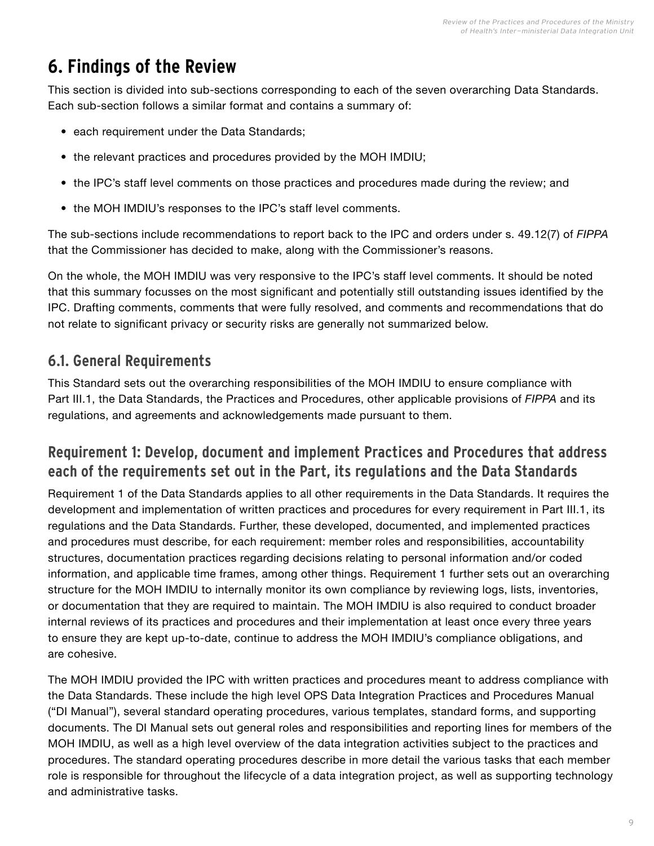# <span id="page-10-0"></span>**6. Findings of the Review**

This section is divided into sub‑sections corresponding to each of the seven overarching Data Standards. Each sub-section follows a similar format and contains a summary of:

- each requirement under the Data Standards;
- the relevant practices and procedures provided by the MOH IMDIU;
- the IPC's staff level comments on those practices and procedures made during the review; and
- the MOH IMDIU's responses to the IPC's staff level comments.

The sub‑sections include recommendations to report back to the IPC and orders under s. 49.12(7) of *FIPPA* that the Commissioner has decided to make, along with the Commissioner's reasons.

On the whole, the MOH IMDIU was very responsive to the IPC's staff level comments. It should be noted that this summary focusses on the most significant and potentially still outstanding issues identified by the IPC. Drafting comments, comments that were fully resolved, and comments and recommendations that do not relate to significant privacy or security risks are generally not summarized below.

# **6.1. General Requirements**

This Standard sets out the overarching responsibilities of the MOH IMDIU to ensure compliance with Part III.1, the Data Standards, the Practices and Procedures, other applicable provisions of *FIPPA* and its regulations, and agreements and acknowledgements made pursuant to them.

# **Requirement 1: Develop, document and implement Practices and Procedures that address each of the requirements set out in the Part, its regulations and the Data Standards**

Requirement 1 of the Data Standards applies to all other requirements in the Data Standards. It requires the development and implementation of written practices and procedures for every requirement in Part III.1, its regulations and the Data Standards. Further, these developed, documented, and implemented practices and procedures must describe, for each requirement: member roles and responsibilities, accountability structures, documentation practices regarding decisions relating to personal information and/or coded information, and applicable time frames, among other things. Requirement 1 further sets out an overarching structure for the MOH IMDIU to internally monitor its own compliance by reviewing logs, lists, inventories, or documentation that they are required to maintain. The MOH IMDIU is also required to conduct broader internal reviews of its practices and procedures and their implementation at least once every three years to ensure they are kept up-to-date, continue to address the MOH IMDIU's compliance obligations, and are cohesive.

The MOH IMDIU provided the IPC with written practices and procedures meant to address compliance with the Data Standards. These include the high level OPS Data Integration Practices and Procedures Manual ("DI Manual"), several standard operating procedures, various templates, standard forms, and supporting documents. The DI Manual sets out general roles and responsibilities and reporting lines for members of the MOH IMDIU, as well as a high level overview of the data integration activities subject to the practices and procedures. The standard operating procedures describe in more detail the various tasks that each member role is responsible for throughout the lifecycle of a data integration project, as well as supporting technology and administrative tasks.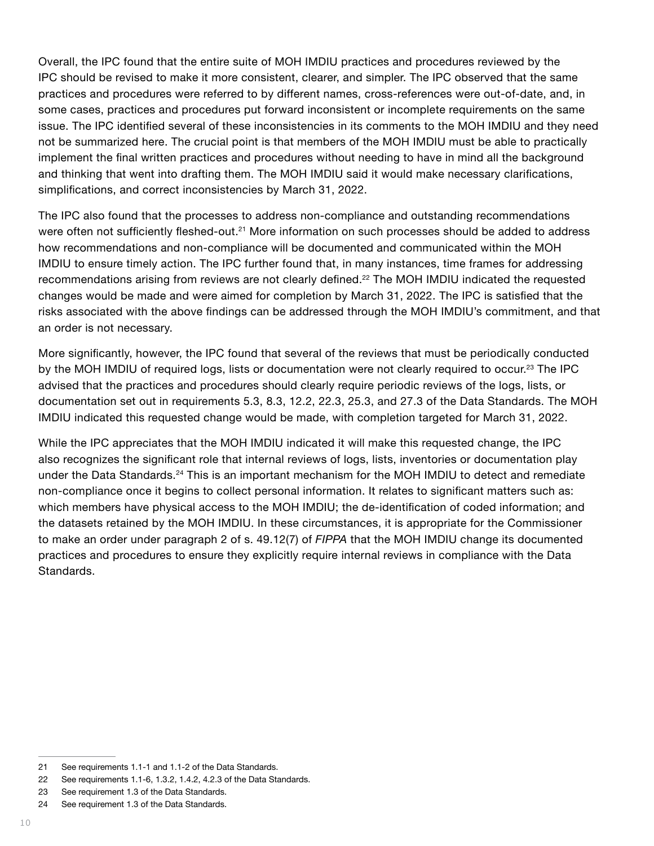Overall, the IPC found that the entire suite of MOH IMDIU practices and procedures reviewed by the IPC should be revised to make it more consistent, clearer, and simpler. The IPC observed that the same practices and procedures were referred to by different names, cross-references were out-of-date, and, in some cases, practices and procedures put forward inconsistent or incomplete requirements on the same issue. The IPC identified several of these inconsistencies in its comments to the MOH IMDIU and they need not be summarized here. The crucial point is that members of the MOH IMDIU must be able to practically implement the final written practices and procedures without needing to have in mind all the background and thinking that went into drafting them. The MOH IMDIU said it would make necessary clarifications, simplifications, and correct inconsistencies by March 31, 2022.

The IPC also found that the processes to address non‑compliance and outstanding recommendations were often not sufficiently fleshed-out.<sup>21</sup> More information on such processes should be added to address how recommendations and non-compliance will be documented and communicated within the MOH IMDIU to ensure timely action. The IPC further found that, in many instances, time frames for addressing recommendations arising from reviews are not clearly defined.22 The MOH IMDIU indicated the requested changes would be made and were aimed for completion by March 31, 2022. The IPC is satisfied that the risks associated with the above findings can be addressed through the MOH IMDIU's commitment, and that an order is not necessary.

More significantly, however, the IPC found that several of the reviews that must be periodically conducted by the MOH IMDIU of required logs, lists or documentation were not clearly required to occur.<sup>23</sup> The IPC advised that the practices and procedures should clearly require periodic reviews of the logs, lists, or documentation set out in requirements 5.3, 8.3, 12.2, 22.3, 25.3, and 27.3 of the Data Standards. The MOH IMDIU indicated this requested change would be made, with completion targeted for March 31, 2022.

While the IPC appreciates that the MOH IMDIU indicated it will make this requested change, the IPC also recognizes the significant role that internal reviews of logs, lists, inventories or documentation play under the Data Standards.<sup>24</sup> This is an important mechanism for the MOH IMDIU to detect and remediate non-compliance once it begins to collect personal information. It relates to significant matters such as: which members have physical access to the MOH IMDIU; the de-identification of coded information; and the datasets retained by the MOH IMDIU. In these circumstances, it is appropriate for the Commissioner to make an order under paragraph 2 of s. 49.12(7) of *FIPPA* that the MOH IMDIU change its documented practices and procedures to ensure they explicitly require internal reviews in compliance with the Data Standards.

<sup>21</sup> See requirements 1.1-1 and 1.1-2 of the Data Standards.

<sup>22</sup> See requirements 1.1-6, 1.3.2, 1.4.2, 4.2.3 of the Data Standards.

<sup>23</sup> See requirement 1.3 of the Data Standards.

<sup>24</sup> See requirement 1.3 of the Data Standards.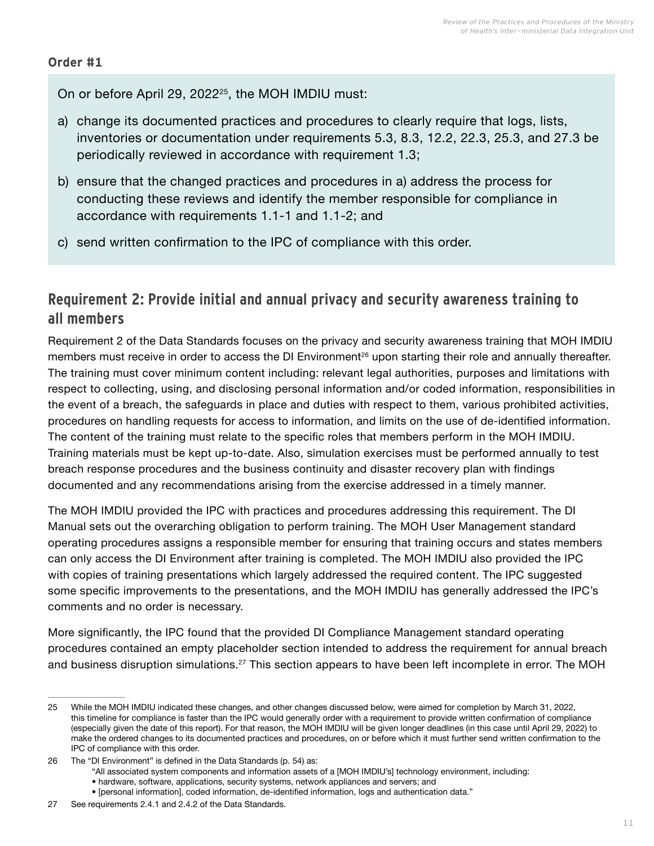#### **Order #1**

On or before April 29, 2022<sup>25</sup>, the MOH IMDIU must:

- a) change its documented practices and procedures to clearly require that logs, lists, inventories or documentation under requirements 5.3, 8.3, 12.2, 22.3, 25.3, and 27.3 be periodically reviewed in accordance with requirement 1.3;
- b) ensure that the changed practices and procedures in a) address the process for conducting these reviews and identify the member responsible for compliance in accordance with requirements 1.1-1 and 1.1-2; and
- c) send written confirmation to the IPC of compliance with this order.

# **Requirement 2: Provide initial and annual privacy and security awareness training to all members**

Requirement 2 of the Data Standards focuses on the privacy and security awareness training that MOH IMDIU members must receive in order to access the DI Environment<sup>26</sup> upon starting their role and annually thereafter. The training must cover minimum content including: relevant legal authorities, purposes and limitations with respect to collecting, using, and disclosing personal information and/or coded information, responsibilities in the event of a breach, the safeguards in place and duties with respect to them, various prohibited activities, procedures on handling requests for access to information, and limits on the use of de‑identified information. The content of the training must relate to the specific roles that members perform in the MOH IMDIU. Training materials must be kept up‑to‑date. Also, simulation exercises must be performed annually to test breach response procedures and the business continuity and disaster recovery plan with findings documented and any recommendations arising from the exercise addressed in a timely manner.

The MOH IMDIU provided the IPC with practices and procedures addressing this requirement. The DI Manual sets out the overarching obligation to perform training. The MOH User Management standard operating procedures assigns a responsible member for ensuring that training occurs and states members can only access the DI Environment after training is completed. The MOH IMDIU also provided the IPC with copies of training presentations which largely addressed the required content. The IPC suggested some specific improvements to the presentations, and the MOH IMDIU has generally addressed the IPC's comments and no order is necessary.

More significantly, the IPC found that the provided DI Compliance Management standard operating procedures contained an empty placeholder section intended to address the requirement for annual breach and business disruption simulations.<sup>27</sup> This section appears to have been left incomplete in error. The MOH

<sup>25</sup> While the MOH IMDIU indicated these changes, and other changes discussed below, were aimed for completion by March 31, 2022, this timeline for compliance is faster than the IPC would generally order with a requirement to provide written confirmation of compliance (especially given the date of this report). For that reason, the MOH IMDIU will be given longer deadlines (in this case until April 29, 2022) to make the ordered changes to its documented practices and procedures, on or before which it must further send written confirmation to the IPC of compliance with this order.

<sup>26</sup> The "DI Environment" is defined in the Data Standards (p. 54) as:

<sup>&</sup>quot;All associated system components and information assets of a [MOH IMDIU's] technology environment, including:

<sup>•</sup> hardware, software, applications, security systems, network appliances and servers; and

<sup>• [</sup>personal information], coded information, de‑identified information, logs and authentication data."

<sup>27</sup> See requirements 2.4.1 and 2.4.2 of the Data Standards.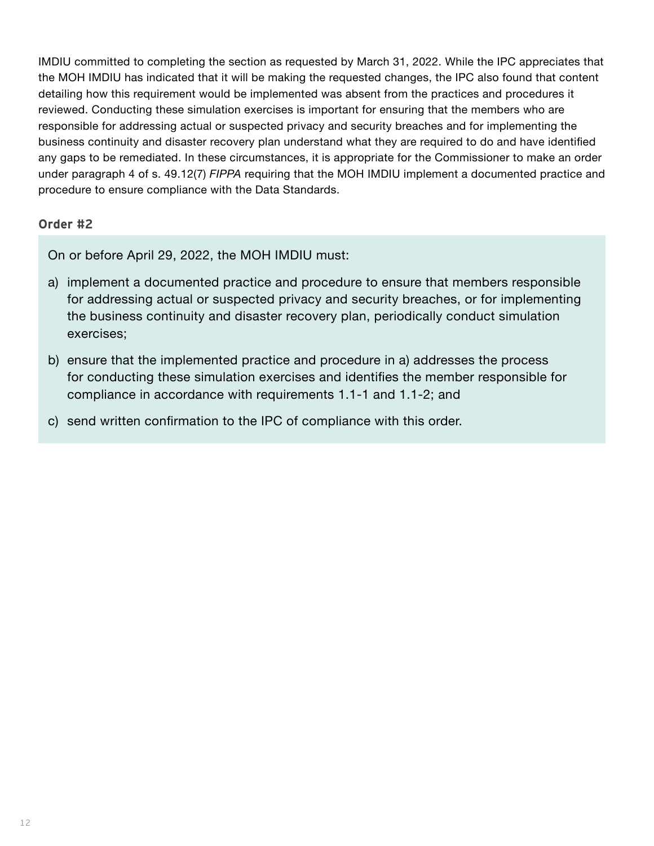IMDIU committed to completing the section as requested by March 31, 2022. While the IPC appreciates that the MOH IMDIU has indicated that it will be making the requested changes, the IPC also found that content detailing how this requirement would be implemented was absent from the practices and procedures it reviewed. Conducting these simulation exercises is important for ensuring that the members who are responsible for addressing actual or suspected privacy and security breaches and for implementing the business continuity and disaster recovery plan understand what they are required to do and have identified any gaps to be remediated. In these circumstances, it is appropriate for the Commissioner to make an order under paragraph 4 of s. 49.12(7) *FIPPA* requiring that the MOH IMDIU implement a documented practice and procedure to ensure compliance with the Data Standards.

#### **Order #2**

On or before April 29, 2022, the MOH IMDIU must:

- a) implement a documented practice and procedure to ensure that members responsible for addressing actual or suspected privacy and security breaches, or for implementing the business continuity and disaster recovery plan, periodically conduct simulation exercises;
- b) ensure that the implemented practice and procedure in a) addresses the process for conducting these simulation exercises and identifies the member responsible for compliance in accordance with requirements 1.1-1 and 1.1-2; and
- c) send written confirmation to the IPC of compliance with this order.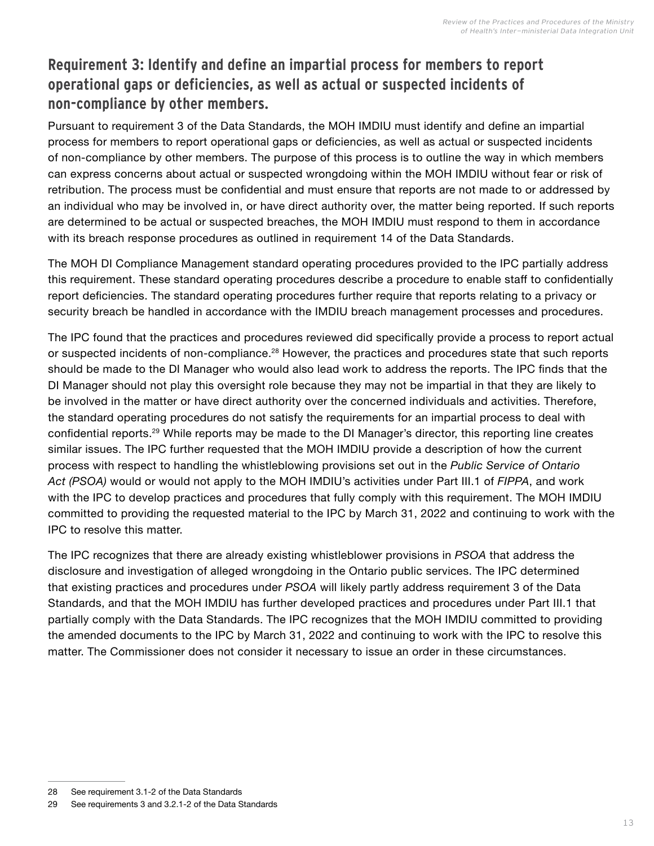# **Requirement 3: Identify and define an impartial process for members to report operational gaps or deficiencies, as well as actual or suspected incidents of non‑compliance by other members.**

Pursuant to requirement 3 of the Data Standards, the MOH IMDIU must identify and define an impartial process for members to report operational gaps or deficiencies, as well as actual or suspected incidents of non-compliance by other members. The purpose of this process is to outline the way in which members can express concerns about actual or suspected wrongdoing within the MOH IMDIU without fear or risk of retribution. The process must be confidential and must ensure that reports are not made to or addressed by an individual who may be involved in, or have direct authority over, the matter being reported. If such reports are determined to be actual or suspected breaches, the MOH IMDIU must respond to them in accordance with its breach response procedures as outlined in requirement 14 of the Data Standards.

The MOH DI Compliance Management standard operating procedures provided to the IPC partially address this requirement. These standard operating procedures describe a procedure to enable staff to confidentially report deficiencies. The standard operating procedures further require that reports relating to a privacy or security breach be handled in accordance with the IMDIU breach management processes and procedures.

The IPC found that the practices and procedures reviewed did specifically provide a process to report actual or suspected incidents of non-compliance.<sup>28</sup> However, the practices and procedures state that such reports should be made to the DI Manager who would also lead work to address the reports. The IPC finds that the DI Manager should not play this oversight role because they may not be impartial in that they are likely to be involved in the matter or have direct authority over the concerned individuals and activities. Therefore, the standard operating procedures do not satisfy the requirements for an impartial process to deal with confidential reports.29 While reports may be made to the DI Manager's director, this reporting line creates similar issues. The IPC further requested that the MOH IMDIU provide a description of how the current process with respect to handling the whistleblowing provisions set out in the *Public Service of Ontario Act (PSOA)* would or would not apply to the MOH IMDIU's activities under Part III.1 of *FIPPA*, and work with the IPC to develop practices and procedures that fully comply with this requirement. The MOH IMDIU committed to providing the requested material to the IPC by March 31, 2022 and continuing to work with the IPC to resolve this matter.

The IPC recognizes that there are already existing whistleblower provisions in *PSOA* that address the disclosure and investigation of alleged wrongdoing in the Ontario public services. The IPC determined that existing practices and procedures under *PSOA* will likely partly address requirement 3 of the Data Standards, and that the MOH IMDIU has further developed practices and procedures under Part III.1 that partially comply with the Data Standards. The IPC recognizes that the MOH IMDIU committed to providing the amended documents to the IPC by March 31, 2022 and continuing to work with the IPC to resolve this matter. The Commissioner does not consider it necessary to issue an order in these circumstances.

<sup>28</sup> See requirement 3.1-2 of the Data Standards

<sup>29</sup> See requirements 3 and 3.2.1-2 of the Data Standards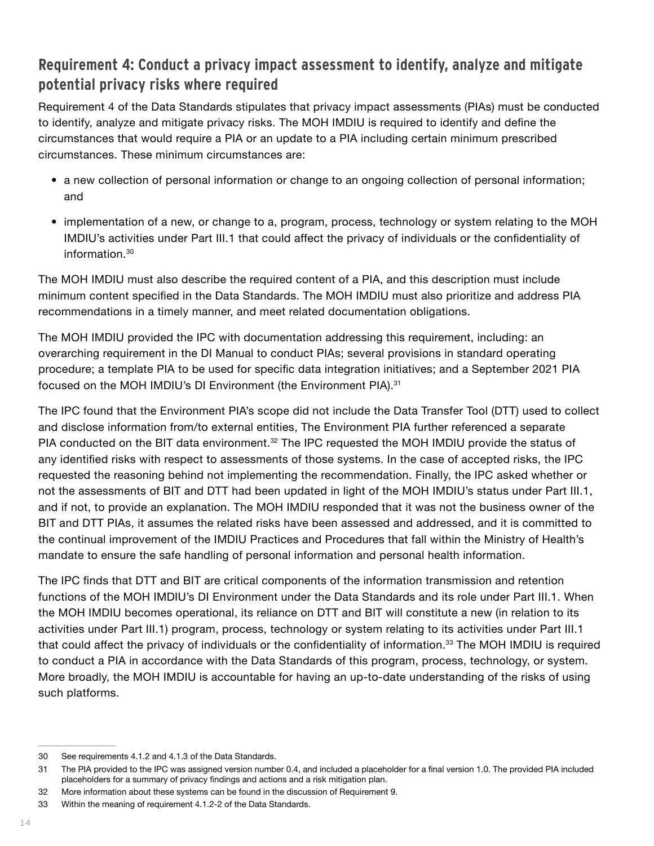# **Requirement 4: Conduct a privacy impact assessment to identify, analyze and mitigate potential privacy risks where required**

Requirement 4 of the Data Standards stipulates that privacy impact assessments (PIAs) must be conducted to identify, analyze and mitigate privacy risks. The MOH IMDIU is required to identify and define the circumstances that would require a PIA or an update to a PIA including certain minimum prescribed circumstances. These minimum circumstances are:

- a new collection of personal information or change to an ongoing collection of personal information; and
- implementation of a new, or change to a, program, process, technology or system relating to the MOH IMDIU's activities under Part III.1 that could affect the privacy of individuals or the confidentiality of information.30

The MOH IMDIU must also describe the required content of a PIA, and this description must include minimum content specified in the Data Standards. The MOH IMDIU must also prioritize and address PIA recommendations in a timely manner, and meet related documentation obligations.

The MOH IMDIU provided the IPC with documentation addressing this requirement, including: an overarching requirement in the DI Manual to conduct PIAs; several provisions in standard operating procedure; a template PIA to be used for specific data integration initiatives; and a September 2021 PIA focused on the MOH IMDIU's DI Environment (the Environment PIA).31

The IPC found that the Environment PIA's scope did not include the Data Transfer Tool (DTT) used to collect and disclose information from/to external entities, The Environment PIA further referenced a separate PIA conducted on the BIT data environment.<sup>32</sup> The IPC requested the MOH IMDIU provide the status of any identified risks with respect to assessments of those systems. In the case of accepted risks, the IPC requested the reasoning behind not implementing the recommendation. Finally, the IPC asked whether or not the assessments of BIT and DTT had been updated in light of the MOH IMDIU's status under Part III.1, and if not, to provide an explanation. The MOH IMDIU responded that it was not the business owner of the BIT and DTT PIAs, it assumes the related risks have been assessed and addressed, and it is committed to the continual improvement of the IMDIU Practices and Procedures that fall within the Ministry of Health's mandate to ensure the safe handling of personal information and personal health information.

The IPC finds that DTT and BIT are critical components of the information transmission and retention functions of the MOH IMDIU's DI Environment under the Data Standards and its role under Part III.1. When the MOH IMDIU becomes operational, its reliance on DTT and BIT will constitute a new (in relation to its activities under Part III.1) program, process, technology or system relating to its activities under Part III.1 that could affect the privacy of individuals or the confidentiality of information.33 The MOH IMDIU is required to conduct a PIA in accordance with the Data Standards of this program, process, technology, or system. More broadly, the MOH IMDIU is accountable for having an up-to-date understanding of the risks of using such platforms.

<sup>30</sup> See requirements 4.1.2 and 4.1.3 of the Data Standards.

<sup>31</sup> The PIA provided to the IPC was assigned version number 0.4, and included a placeholder for a final version 1.0. The provided PIA included placeholders for a summary of privacy findings and actions and a risk mitigation plan.

<sup>32</sup> More information about these systems can be found in the discussion of Requirement 9.

<sup>33</sup> Within the meaning of requirement 4.1.2-2 of the Data Standards.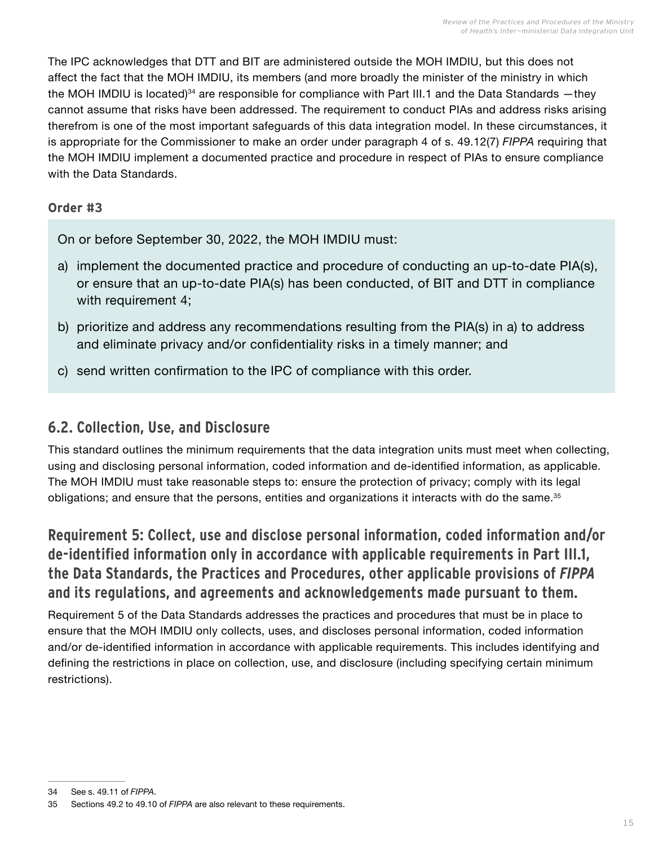<span id="page-16-0"></span>The IPC acknowledges that DTT and BIT are administered outside the MOH IMDIU, but this does not affect the fact that the MOH IMDIU, its members (and more broadly the minister of the ministry in which the MOH IMDIU is located)<sup>34</sup> are responsible for compliance with Part III.1 and the Data Standards - they cannot assume that risks have been addressed. The requirement to conduct PIAs and address risks arising therefrom is one of the most important safeguards of this data integration model. In these circumstances, it is appropriate for the Commissioner to make an order under paragraph 4 of s. 49.12(7) *FIPPA* requiring that the MOH IMDIU implement a documented practice and procedure in respect of PIAs to ensure compliance with the Data Standards.

### **Order #3**

On or before September 30, 2022, the MOH IMDIU must:

- a) implement the documented practice and procedure of conducting an up-to-date PIA(s), or ensure that an up-to-date PIA(s) has been conducted, of BIT and DTT in compliance with requirement 4;
- b) prioritize and address any recommendations resulting from the PIA(s) in a) to address and eliminate privacy and/or confidentiality risks in a timely manner; and
- c) send written confirmation to the IPC of compliance with this order.

## **6.2. Collection, Use, and Disclosure**

This standard outlines the minimum requirements that the data integration units must meet when collecting, using and disclosing personal information, coded information and de‑identified information, as applicable. The MOH IMDIU must take reasonable steps to: ensure the protection of privacy; comply with its legal obligations; and ensure that the persons, entities and organizations it interacts with do the same.<sup>35</sup>

**Requirement 5: Collect, use and disclose personal information, coded information and/or de‑identified information only in accordance with applicable requirements in Part III.1, the Data Standards, the Practices and Procedures, other applicable provisions of** *FIPPA* **and its regulations, and agreements and acknowledgements made pursuant to them.**

Requirement 5 of the Data Standards addresses the practices and procedures that must be in place to ensure that the MOH IMDIU only collects, uses, and discloses personal information, coded information and/or de‑identified information in accordance with applicable requirements. This includes identifying and defining the restrictions in place on collection, use, and disclosure (including specifying certain minimum restrictions).

<sup>34</sup> See s. 49.11 of *FIPPA*.

<sup>35</sup> Sections 49.2 to 49.10 of *FIPPA* are also relevant to these requirements.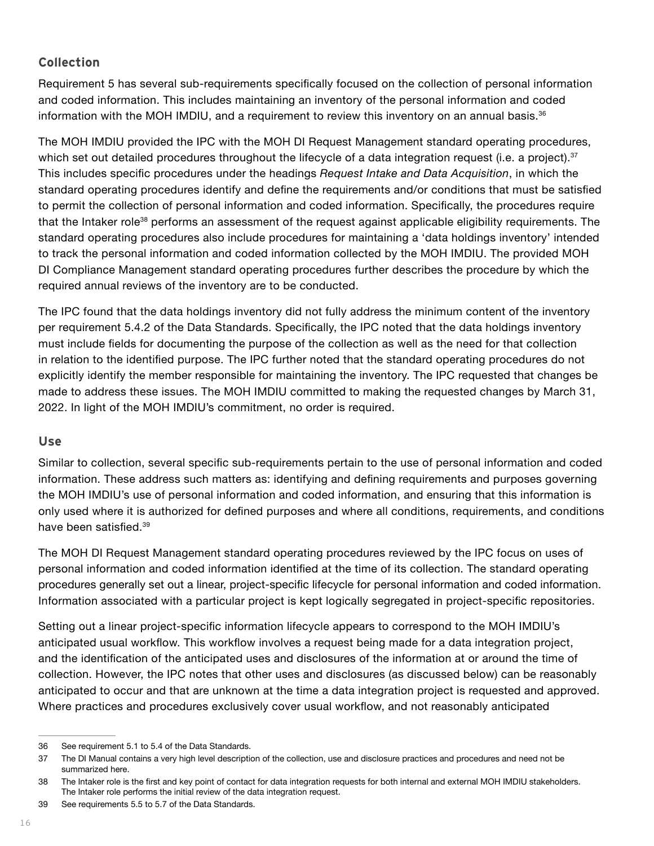## **Collection**

Requirement 5 has several sub‑requirements specifically focused on the collection of personal information and coded information. This includes maintaining an inventory of the personal information and coded information with the MOH IMDIU, and a requirement to review this inventory on an annual basis. $36$ 

The MOH IMDIU provided the IPC with the MOH DI Request Management standard operating procedures, which set out detailed procedures throughout the lifecycle of a data integration request (i.e. a project).<sup>37</sup> This includes specific procedures under the headings *Request Intake and Data Acquisition*, in which the standard operating procedures identify and define the requirements and/or conditions that must be satisfied to permit the collection of personal information and coded information. Specifically, the procedures require that the Intaker role<sup>38</sup> performs an assessment of the request against applicable eligibility requirements. The standard operating procedures also include procedures for maintaining a 'data holdings inventory' intended to track the personal information and coded information collected by the MOH IMDIU. The provided MOH DI Compliance Management standard operating procedures further describes the procedure by which the required annual reviews of the inventory are to be conducted.

The IPC found that the data holdings inventory did not fully address the minimum content of the inventory per requirement 5.4.2 of the Data Standards. Specifically, the IPC noted that the data holdings inventory must include fields for documenting the purpose of the collection as well as the need for that collection in relation to the identified purpose. The IPC further noted that the standard operating procedures do not explicitly identify the member responsible for maintaining the inventory. The IPC requested that changes be made to address these issues. The MOH IMDIU committed to making the requested changes by March 31, 2022. In light of the MOH IMDIU's commitment, no order is required.

#### **Use**

Similar to collection, several specific sub‑requirements pertain to the use of personal information and coded information. These address such matters as: identifying and defining requirements and purposes governing the MOH IMDIU's use of personal information and coded information, and ensuring that this information is only used where it is authorized for defined purposes and where all conditions, requirements, and conditions have been satisfied.39

The MOH DI Request Management standard operating procedures reviewed by the IPC focus on uses of personal information and coded information identified at the time of its collection. The standard operating procedures generally set out a linear, project‑specific lifecycle for personal information and coded information. Information associated with a particular project is kept logically segregated in project-specific repositories.

Setting out a linear project‑specific information lifecycle appears to correspond to the MOH IMDIU's anticipated usual workflow. This workflow involves a request being made for a data integration project, and the identification of the anticipated uses and disclosures of the information at or around the time of collection. However, the IPC notes that other uses and disclosures (as discussed below) can be reasonably anticipated to occur and that are unknown at the time a data integration project is requested and approved. Where practices and procedures exclusively cover usual workflow, and not reasonably anticipated

<sup>36</sup> See requirement 5.1 to 5.4 of the Data Standards.

<sup>37</sup> The DI Manual contains a very high level description of the collection, use and disclosure practices and procedures and need not be summarized here.

<sup>38</sup> The Intaker role is the first and key point of contact for data integration requests for both internal and external MOH IMDIU stakeholders. The Intaker role performs the initial review of the data integration request.

<sup>39</sup> See requirements 5.5 to 5.7 of the Data Standards.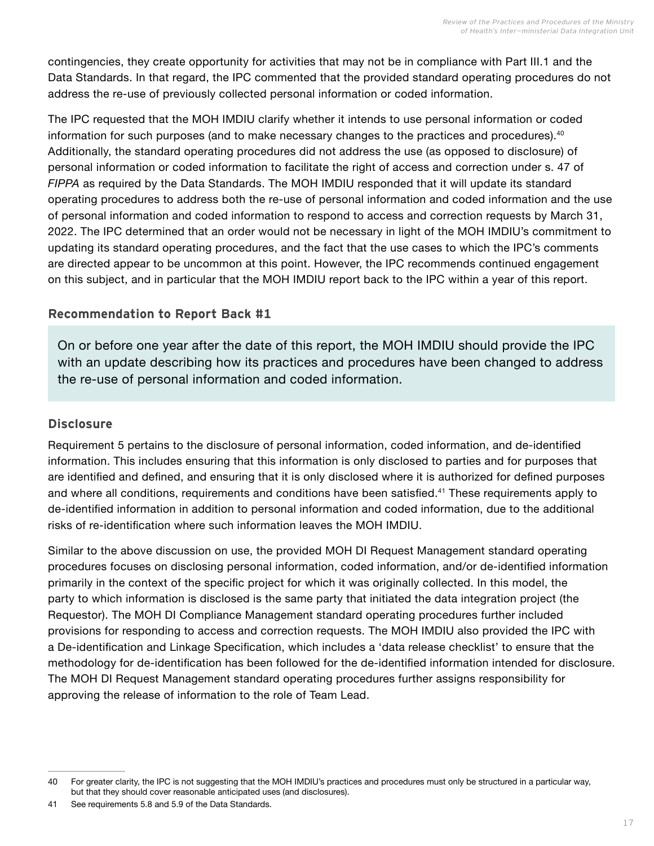contingencies, they create opportunity for activities that may not be in compliance with Part III.1 and the Data Standards. In that regard, the IPC commented that the provided standard operating procedures do not address the re‑use of previously collected personal information or coded information.

The IPC requested that the MOH IMDIU clarify whether it intends to use personal information or coded information for such purposes (and to make necessary changes to the practices and procedures).<sup>40</sup> Additionally, the standard operating procedures did not address the use (as opposed to disclosure) of personal information or coded information to facilitate the right of access and correction under s. 47 of *FIPPA* as required by the Data Standards. The MOH IMDIU responded that it will update its standard operating procedures to address both the re‑use of personal information and coded information and the use of personal information and coded information to respond to access and correction requests by March 31, 2022. The IPC determined that an order would not be necessary in light of the MOH IMDIU's commitment to updating its standard operating procedures, and the fact that the use cases to which the IPC's comments are directed appear to be uncommon at this point. However, the IPC recommends continued engagement on this subject, and in particular that the MOH IMDIU report back to the IPC within a year of this report.

### **Recommendation to Report Back #1**

On or before one year after the date of this report, the MOH IMDIU should provide the IPC with an update describing how its practices and procedures have been changed to address the re‑use of personal information and coded information.

### **Disclosure**

Requirement 5 pertains to the disclosure of personal information, coded information, and de‑identified information. This includes ensuring that this information is only disclosed to parties and for purposes that are identified and defined, and ensuring that it is only disclosed where it is authorized for defined purposes and where all conditions, requirements and conditions have been satisfied.<sup>41</sup> These requirements apply to de‑identified information in addition to personal information and coded information, due to the additional risks of re‑identification where such information leaves the MOH IMDIU.

Similar to the above discussion on use, the provided MOH DI Request Management standard operating procedures focuses on disclosing personal information, coded information, and/or de‑identified information primarily in the context of the specific project for which it was originally collected. In this model, the party to which information is disclosed is the same party that initiated the data integration project (the Requestor). The MOH DI Compliance Management standard operating procedures further included provisions for responding to access and correction requests. The MOH IMDIU also provided the IPC with a De‑identification and Linkage Specification, which includes a 'data release checklist' to ensure that the methodology for de‑identification has been followed for the de‑identified information intended for disclosure. The MOH DI Request Management standard operating procedures further assigns responsibility for approving the release of information to the role of Team Lead.

<sup>40</sup> For greater clarity, the IPC is not suggesting that the MOH IMDIU's practices and procedures must only be structured in a particular way, but that they should cover reasonable anticipated uses (and disclosures).

<sup>41</sup> See requirements 5.8 and 5.9 of the Data Standards.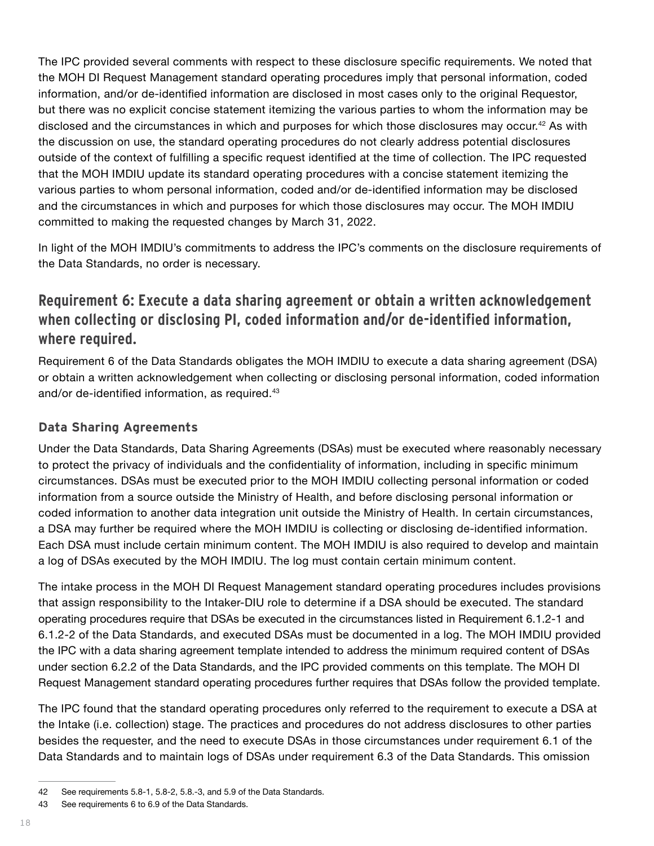The IPC provided several comments with respect to these disclosure specific requirements. We noted that the MOH DI Request Management standard operating procedures imply that personal information, coded information, and/or de‑identified information are disclosed in most cases only to the original Requestor, but there was no explicit concise statement itemizing the various parties to whom the information may be disclosed and the circumstances in which and purposes for which those disclosures may occur.<sup>42</sup> As with the discussion on use, the standard operating procedures do not clearly address potential disclosures outside of the context of fulfilling a specific request identified at the time of collection. The IPC requested that the MOH IMDIU update its standard operating procedures with a concise statement itemizing the various parties to whom personal information, coded and/or de‑identified information may be disclosed and the circumstances in which and purposes for which those disclosures may occur. The MOH IMDIU committed to making the requested changes by March 31, 2022.

In light of the MOH IMDIU's commitments to address the IPC's comments on the disclosure requirements of the Data Standards, no order is necessary.

# **Requirement 6: Execute a data sharing agreement or obtain a written acknowledgement when collecting or disclosing PI, coded information and/or de‑identified information, where required.**

Requirement 6 of the Data Standards obligates the MOH IMDIU to execute a data sharing agreement (DSA) or obtain a written acknowledgement when collecting or disclosing personal information, coded information and/or de-identified information, as required.<sup>43</sup>

## **Data Sharing Agreements**

Under the Data Standards, Data Sharing Agreements (DSAs) must be executed where reasonably necessary to protect the privacy of individuals and the confidentiality of information, including in specific minimum circumstances. DSAs must be executed prior to the MOH IMDIU collecting personal information or coded information from a source outside the Ministry of Health, and before disclosing personal information or coded information to another data integration unit outside the Ministry of Health. In certain circumstances, a DSA may further be required where the MOH IMDIU is collecting or disclosing de‑identified information. Each DSA must include certain minimum content. The MOH IMDIU is also required to develop and maintain a log of DSAs executed by the MOH IMDIU. The log must contain certain minimum content.

The intake process in the MOH DI Request Management standard operating procedures includes provisions that assign responsibility to the Intaker‑DIU role to determine if a DSA should be executed. The standard operating procedures require that DSAs be executed in the circumstances listed in Requirement 6.1.2-1 and 6.1.2-2 of the Data Standards, and executed DSAs must be documented in a log. The MOH IMDIU provided the IPC with a data sharing agreement template intended to address the minimum required content of DSAs under section 6.2.2 of the Data Standards, and the IPC provided comments on this template. The MOH DI Request Management standard operating procedures further requires that DSAs follow the provided template.

The IPC found that the standard operating procedures only referred to the requirement to execute a DSA at the Intake (i.e. collection) stage. The practices and procedures do not address disclosures to other parties besides the requester, and the need to execute DSAs in those circumstances under requirement 6.1 of the Data Standards and to maintain logs of DSAs under requirement 6.3 of the Data Standards. This omission

<sup>42</sup> See requirements 5.8-1, 5.8-2, 5.8.-3, and 5.9 of the Data Standards.

<sup>43</sup> See requirements 6 to 6.9 of the Data Standards.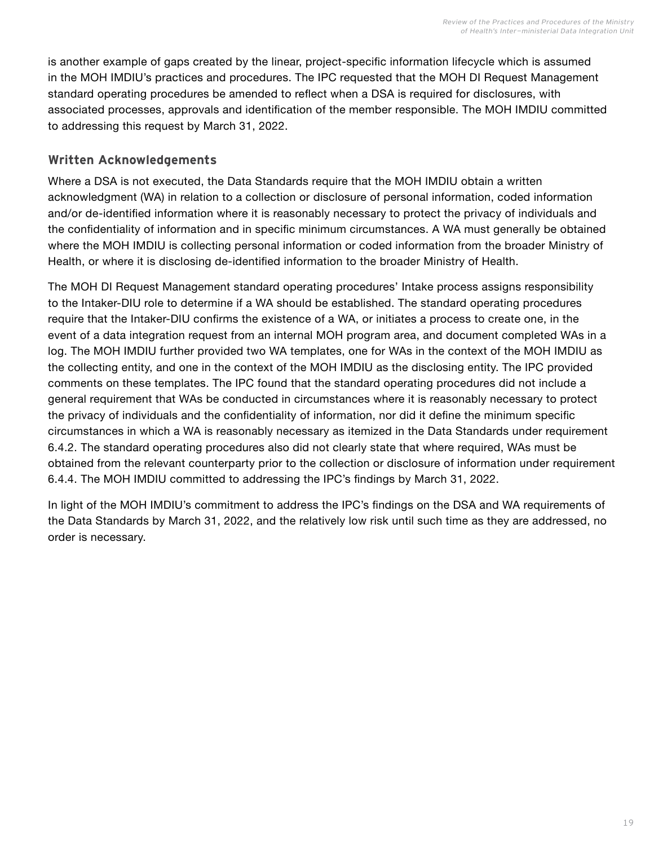is another example of gaps created by the linear, project‑specific information lifecycle which is assumed in the MOH IMDIU's practices and procedures. The IPC requested that the MOH DI Request Management standard operating procedures be amended to reflect when a DSA is required for disclosures, with associated processes, approvals and identification of the member responsible. The MOH IMDIU committed to addressing this request by March 31, 2022.

## **Written Acknowledgements**

Where a DSA is not executed, the Data Standards require that the MOH IMDIU obtain a written acknowledgment (WA) in relation to a collection or disclosure of personal information, coded information and/or de‑identified information where it is reasonably necessary to protect the privacy of individuals and the confidentiality of information and in specific minimum circumstances. A WA must generally be obtained where the MOH IMDIU is collecting personal information or coded information from the broader Ministry of Health, or where it is disclosing de‑identified information to the broader Ministry of Health.

The MOH DI Request Management standard operating procedures' Intake process assigns responsibility to the Intaker‑DIU role to determine if a WA should be established. The standard operating procedures require that the Intaker‑DIU confirms the existence of a WA, or initiates a process to create one, in the event of a data integration request from an internal MOH program area, and document completed WAs in a log. The MOH IMDIU further provided two WA templates, one for WAs in the context of the MOH IMDIU as the collecting entity, and one in the context of the MOH IMDIU as the disclosing entity. The IPC provided comments on these templates. The IPC found that the standard operating procedures did not include a general requirement that WAs be conducted in circumstances where it is reasonably necessary to protect the privacy of individuals and the confidentiality of information, nor did it define the minimum specific circumstances in which a WA is reasonably necessary as itemized in the Data Standards under requirement 6.4.2. The standard operating procedures also did not clearly state that where required, WAs must be obtained from the relevant counterparty prior to the collection or disclosure of information under requirement 6.4.4. The MOH IMDIU committed to addressing the IPC's findings by March 31, 2022.

In light of the MOH IMDIU's commitment to address the IPC's findings on the DSA and WA requirements of the Data Standards by March 31, 2022, and the relatively low risk until such time as they are addressed, no order is necessary.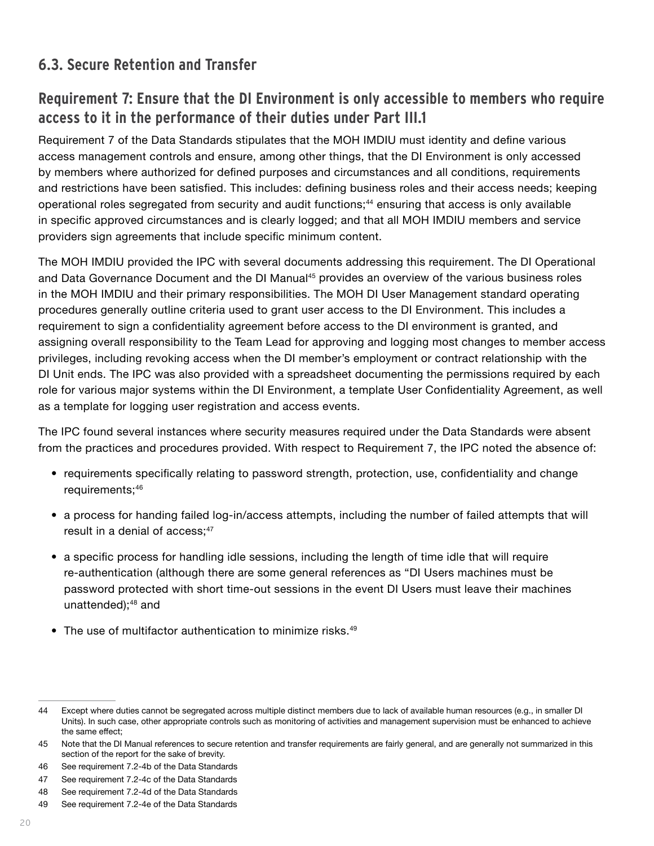# <span id="page-21-0"></span>**6.3. Secure Retention and Transfer**

# **Requirement 7: Ensure that the DI Environment is only accessible to members who require access to it in the performance of their duties under Part III.1**

Requirement 7 of the Data Standards stipulates that the MOH IMDIU must identity and define various access management controls and ensure, among other things, that the DI Environment is only accessed by members where authorized for defined purposes and circumstances and all conditions, requirements and restrictions have been satisfied. This includes: defining business roles and their access needs; keeping operational roles segregated from security and audit functions;44 ensuring that access is only available in specific approved circumstances and is clearly logged; and that all MOH IMDIU members and service providers sign agreements that include specific minimum content.

The MOH IMDIU provided the IPC with several documents addressing this requirement. The DI Operational and Data Governance Document and the DI Manual<sup>45</sup> provides an overview of the various business roles in the MOH IMDIU and their primary responsibilities. The MOH DI User Management standard operating procedures generally outline criteria used to grant user access to the DI Environment. This includes a requirement to sign a confidentiality agreement before access to the DI environment is granted, and assigning overall responsibility to the Team Lead for approving and logging most changes to member access privileges, including revoking access when the DI member's employment or contract relationship with the DI Unit ends. The IPC was also provided with a spreadsheet documenting the permissions required by each role for various major systems within the DI Environment, a template User Confidentiality Agreement, as well as a template for logging user registration and access events.

The IPC found several instances where security measures required under the Data Standards were absent from the practices and procedures provided. With respect to Requirement 7, the IPC noted the absence of:

- requirements specifically relating to password strength, protection, use, confidentiality and change requirements;<sup>46</sup>
- a process for handing failed log-in/access attempts, including the number of failed attempts that will result in a denial of access;<sup>47</sup>
- a specific process for handling idle sessions, including the length of time idle that will require re‑authentication (although there are some general references as "DI Users machines must be password protected with short time‑out sessions in the event DI Users must leave their machines unattended);<sup>48</sup> and
- The use of multifactor authentication to minimize risks.<sup>49</sup>

<sup>44</sup> Except where duties cannot be segregated across multiple distinct members due to lack of available human resources (e.g., in smaller DI Units). In such case, other appropriate controls such as monitoring of activities and management supervision must be enhanced to achieve the same effect;

<sup>45</sup> Note that the DI Manual references to secure retention and transfer requirements are fairly general, and are generally not summarized in this section of the report for the sake of brevity.

<sup>46</sup> See requirement 7.2-4b of the Data Standards

<sup>47</sup> See requirement 7.2-4c of the Data Standards

<sup>48</sup> See requirement 7.2-4d of the Data Standards

<sup>49</sup> See requirement 7.2-4e of the Data Standards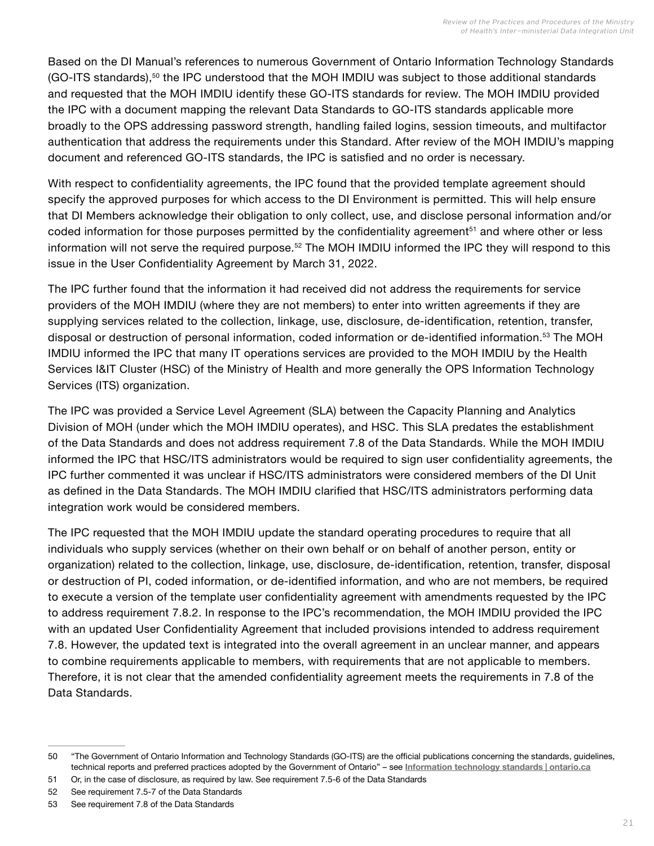Based on the DI Manual's references to numerous Government of Ontario Information Technology Standards  $(GO-ITS$  standards),<sup>50</sup> the IPC understood that the MOH IMDIU was subject to those additional standards and requested that the MOH IMDIU identify these GO-ITS standards for review. The MOH IMDIU provided the IPC with a document mapping the relevant Data Standards to GO-ITS standards applicable more broadly to the OPS addressing password strength, handling failed logins, session timeouts, and multifactor authentication that address the requirements under this Standard. After review of the MOH IMDIU's mapping document and referenced GO-ITS standards, the IPC is satisfied and no order is necessary.

With respect to confidentiality agreements, the IPC found that the provided template agreement should specify the approved purposes for which access to the DI Environment is permitted. This will help ensure that DI Members acknowledge their obligation to only collect, use, and disclose personal information and/or coded information for those purposes permitted by the confidentiality agreement<sup>51</sup> and where other or less information will not serve the required purpose.52 The MOH IMDIU informed the IPC they will respond to this issue in the User Confidentiality Agreement by March 31, 2022.

The IPC further found that the information it had received did not address the requirements for service providers of the MOH IMDIU (where they are not members) to enter into written agreements if they are supplying services related to the collection, linkage, use, disclosure, de‑identification, retention, transfer, disposal or destruction of personal information, coded information or de‑identified information.53 The MOH IMDIU informed the IPC that many IT operations services are provided to the MOH IMDIU by the Health Services I&IT Cluster (HSC) of the Ministry of Health and more generally the OPS Information Technology Services (ITS) organization.

The IPC was provided a Service Level Agreement (SLA) between the Capacity Planning and Analytics Division of MOH (under which the MOH IMDIU operates), and HSC. This SLA predates the establishment of the Data Standards and does not address requirement 7.8 of the Data Standards. While the MOH IMDIU informed the IPC that HSC/ITS administrators would be required to sign user confidentiality agreements, the IPC further commented it was unclear if HSC/ITS administrators were considered members of the DI Unit as defined in the Data Standards. The MOH IMDIU clarified that HSC/ITS administrators performing data integration work would be considered members.

The IPC requested that the MOH IMDIU update the standard operating procedures to require that all individuals who supply services (whether on their own behalf or on behalf of another person, entity or organization) related to the collection, linkage, use, disclosure, de‑identification, retention, transfer, disposal or destruction of PI, coded information, or de‑identified information, and who are not members, be required to execute a version of the template user confidentiality agreement with amendments requested by the IPC to address requirement 7.8.2. In response to the IPC's recommendation, the MOH IMDIU provided the IPC with an updated User Confidentiality Agreement that included provisions intended to address requirement 7.8. However, the updated text is integrated into the overall agreement in an unclear manner, and appears to combine requirements applicable to members, with requirements that are not applicable to members. Therefore, it is not clear that the amended confidentiality agreement meets the requirements in 7.8 of the Data Standards.

<sup>50</sup> "The Government of Ontario Information and Technology Standards (GO-ITS) are the official publications concerning the standards, guidelines, technical reports and preferred practices adopted by the Government of Ontario" – see **[Information technology standards | ontario.ca](https://www.ontario.ca/page/information-technology-standards)**

<sup>51</sup> Or, in the case of disclosure, as required by law. See requirement 7.5-6 of the Data Standards

<sup>52</sup> See requirement 7.5-7 of the Data Standards

<sup>53</sup> See requirement 7.8 of the Data Standards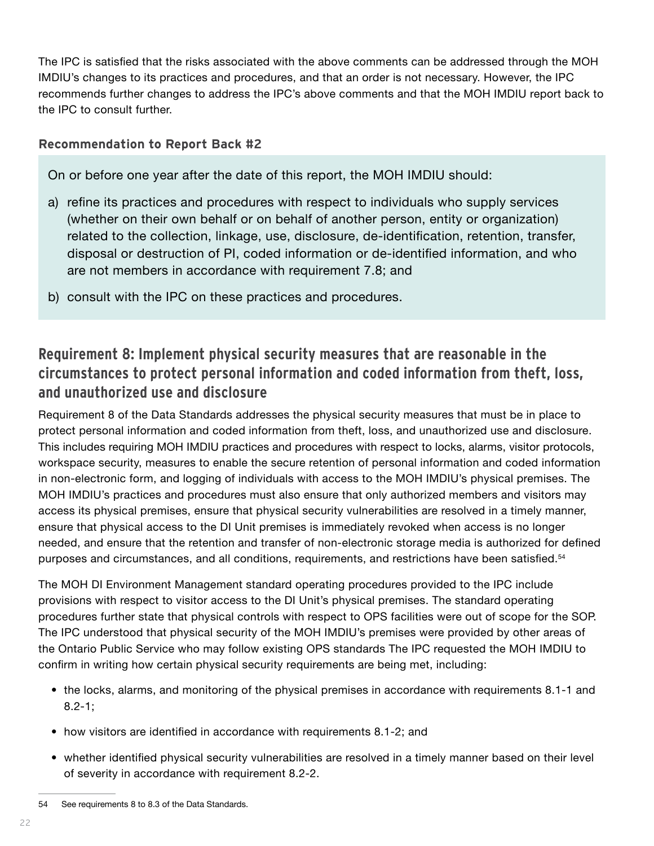The IPC is satisfied that the risks associated with the above comments can be addressed through the MOH IMDIU's changes to its practices and procedures, and that an order is not necessary. However, the IPC recommends further changes to address the IPC's above comments and that the MOH IMDIU report back to the IPC to consult further.

## **Recommendation to Report Back #2**

On or before one year after the date of this report, the MOH IMDIU should:

- a) refine its practices and procedures with respect to individuals who supply services (whether on their own behalf or on behalf of another person, entity or organization) related to the collection, linkage, use, disclosure, de‑identification, retention, transfer, disposal or destruction of PI, coded information or de‑identified information, and who are not members in accordance with requirement 7.8; and
- b) consult with the IPC on these practices and procedures.

# **Requirement 8: Implement physical security measures that are reasonable in the circumstances to protect personal information and coded information from theft, loss, and unauthorized use and disclosure**

Requirement 8 of the Data Standards addresses the physical security measures that must be in place to protect personal information and coded information from theft, loss, and unauthorized use and disclosure. This includes requiring MOH IMDIU practices and procedures with respect to locks, alarms, visitor protocols, workspace security, measures to enable the secure retention of personal information and coded information in non-electronic form, and logging of individuals with access to the MOH IMDIU's physical premises. The MOH IMDIU's practices and procedures must also ensure that only authorized members and visitors may access its physical premises, ensure that physical security vulnerabilities are resolved in a timely manner, ensure that physical access to the DI Unit premises is immediately revoked when access is no longer needed, and ensure that the retention and transfer of non‑electronic storage media is authorized for defined purposes and circumstances, and all conditions, requirements, and restrictions have been satisfied.<sup>54</sup>

The MOH DI Environment Management standard operating procedures provided to the IPC include provisions with respect to visitor access to the DI Unit's physical premises. The standard operating procedures further state that physical controls with respect to OPS facilities were out of scope for the SOP. The IPC understood that physical security of the MOH IMDIU's premises were provided by other areas of the Ontario Public Service who may follow existing OPS standards The IPC requested the MOH IMDIU to confirm in writing how certain physical security requirements are being met, including:

- the locks, alarms, and monitoring of the physical premises in accordance with requirements 8.1-1 and 8.2-1;
- how visitors are identified in accordance with requirements 8.1-2; and
- whether identified physical security vulnerabilities are resolved in a timely manner based on their level of severity in accordance with requirement 8.2-2.
- 54 See requirements 8 to 8.3 of the Data Standards.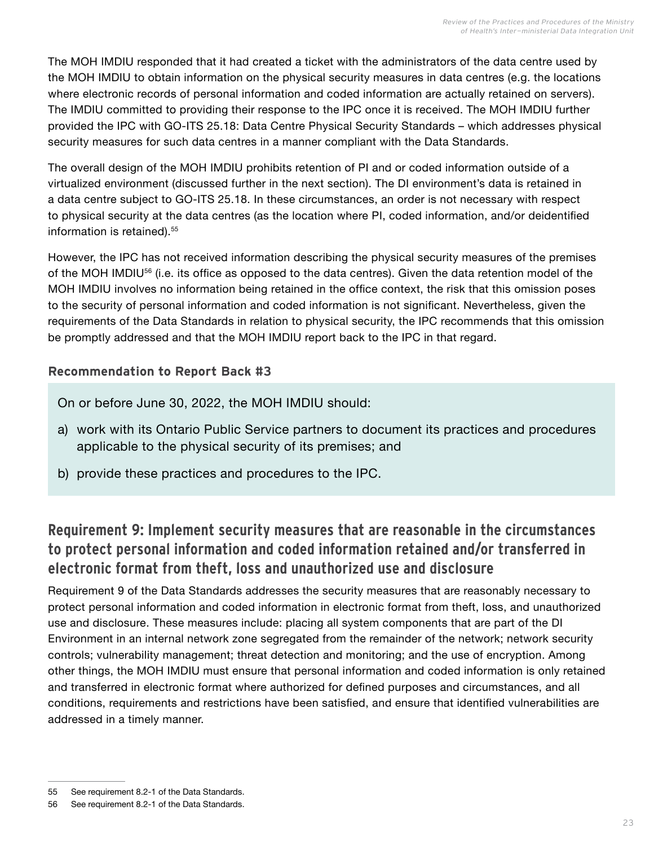The MOH IMDIU responded that it had created a ticket with the administrators of the data centre used by the MOH IMDIU to obtain information on the physical security measures in data centres (e.g. the locations where electronic records of personal information and coded information are actually retained on servers). The IMDIU committed to providing their response to the IPC once it is received. The MOH IMDIU further provided the IPC with GO-ITS 25.18: Data Centre Physical Security Standards – which addresses physical security measures for such data centres in a manner compliant with the Data Standards.

The overall design of the MOH IMDIU prohibits retention of PI and or coded information outside of a virtualized environment (discussed further in the next section). The DI environment's data is retained in a data centre subject to GO-ITS 25.18. In these circumstances, an order is not necessary with respect to physical security at the data centres (as the location where PI, coded information, and/or deidentified information is retained).<sup>55</sup>

However, the IPC has not received information describing the physical security measures of the premises of the MOH IMDIU56 (i.e. its office as opposed to the data centres). Given the data retention model of the MOH IMDIU involves no information being retained in the office context, the risk that this omission poses to the security of personal information and coded information is not significant. Nevertheless, given the requirements of the Data Standards in relation to physical security, the IPC recommends that this omission be promptly addressed and that the MOH IMDIU report back to the IPC in that regard.

## **Recommendation to Report Back #3**

On or before June 30, 2022, the MOH IMDIU should:

- a) work with its Ontario Public Service partners to document its practices and procedures applicable to the physical security of its premises; and
- b) provide these practices and procedures to the IPC.

# **Requirement 9: Implement security measures that are reasonable in the circumstances to protect personal information and coded information retained and/or transferred in electronic format from theft, loss and unauthorized use and disclosure**

Requirement 9 of the Data Standards addresses the security measures that are reasonably necessary to protect personal information and coded information in electronic format from theft, loss, and unauthorized use and disclosure. These measures include: placing all system components that are part of the DI Environment in an internal network zone segregated from the remainder of the network; network security controls; vulnerability management; threat detection and monitoring; and the use of encryption. Among other things, the MOH IMDIU must ensure that personal information and coded information is only retained and transferred in electronic format where authorized for defined purposes and circumstances, and all conditions, requirements and restrictions have been satisfied, and ensure that identified vulnerabilities are addressed in a timely manner.

<sup>55</sup> See requirement 8.2-1 of the Data Standards.

<sup>56</sup> See requirement 8.2-1 of the Data Standards.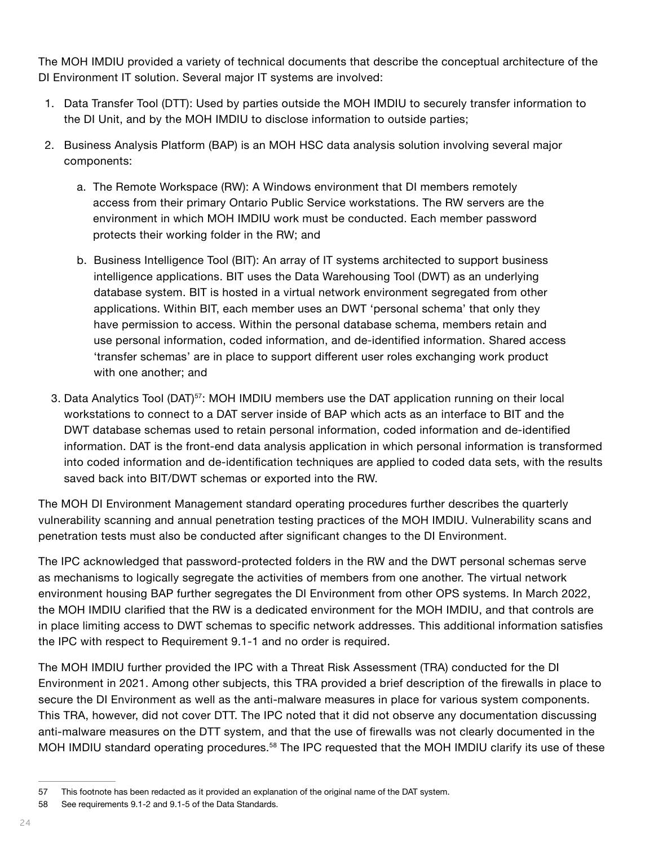The MOH IMDIU provided a variety of technical documents that describe the conceptual architecture of the DI Environment IT solution. Several major IT systems are involved:

- 1. Data Transfer Tool (DTT): Used by parties outside the MOH IMDIU to securely transfer information to the DI Unit, and by the MOH IMDIU to disclose information to outside parties;
- 2. Business Analysis Platform (BAP) is an MOH HSC data analysis solution involving several major components:
	- a. The Remote Workspace (RW): A Windows environment that DI members remotely access from their primary Ontario Public Service workstations. The RW servers are the environment in which MOH IMDIU work must be conducted. Each member password protects their working folder in the RW; and
	- b. Business Intelligence Tool (BIT): An array of IT systems architected to support business intelligence applications. BIT uses the Data Warehousing Tool (DWT) as an underlying database system. BIT is hosted in a virtual network environment segregated from other applications. Within BIT, each member uses an DWT 'personal schema' that only they have permission to access. Within the personal database schema, members retain and use personal information, coded information, and de‑identified information. Shared access 'transfer schemas' are in place to support different user roles exchanging work product with one another; and
- 3. Data Analytics Tool (DAT)<sup>57</sup>: MOH IMDIU members use the DAT application running on their local workstations to connect to a DAT server inside of BAP which acts as an interface to BIT and the DWT database schemas used to retain personal information, coded information and de‑identified information. DAT is the front-end data analysis application in which personal information is transformed into coded information and de‑identification techniques are applied to coded data sets, with the results saved back into BIT/DWT schemas or exported into the RW.

The MOH DI Environment Management standard operating procedures further describes the quarterly vulnerability scanning and annual penetration testing practices of the MOH IMDIU. Vulnerability scans and penetration tests must also be conducted after significant changes to the DI Environment.

The IPC acknowledged that password-protected folders in the RW and the DWT personal schemas serve as mechanisms to logically segregate the activities of members from one another. The virtual network environment housing BAP further segregates the DI Environment from other OPS systems. In March 2022, the MOH IMDIU clarified that the RW is a dedicated environment for the MOH IMDIU, and that controls are in place limiting access to DWT schemas to specific network addresses. This additional information satisfies the IPC with respect to Requirement 9.1-1 and no order is required.

The MOH IMDIU further provided the IPC with a Threat Risk Assessment (TRA) conducted for the DI Environment in 2021. Among other subjects, this TRA provided a brief description of the firewalls in place to secure the DI Environment as well as the anti-malware measures in place for various system components. This TRA, however, did not cover DTT. The IPC noted that it did not observe any documentation discussing anti-malware measures on the DTT system, and that the use of firewalls was not clearly documented in the MOH IMDIU standard operating procedures.<sup>58</sup> The IPC requested that the MOH IMDIU clarify its use of these

<sup>57</sup> This footnote has been redacted as it provided an explanation of the original name of the DAT system.

<sup>58</sup> See requirements 9.1-2 and 9.1-5 of the Data Standards.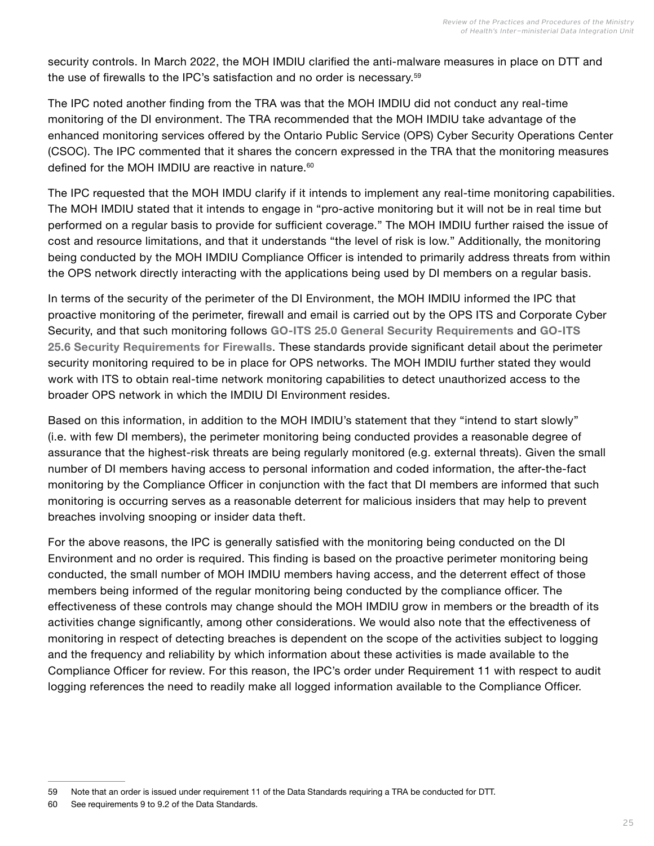security controls. In March 2022, the MOH IMDIU clarified the anti-malware measures in place on DTT and the use of firewalls to the IPC's satisfaction and no order is necessary.<sup>59</sup>

The IPC noted another finding from the TRA was that the MOH IMDIU did not conduct any real‑time monitoring of the DI environment. The TRA recommended that the MOH IMDIU take advantage of the enhanced monitoring services offered by the Ontario Public Service (OPS) Cyber Security Operations Center (CSOC). The IPC commented that it shares the concern expressed in the TRA that the monitoring measures defined for the MOH IMDIU are reactive in nature.<sup>60</sup>

The IPC requested that the MOH IMDU clarify if it intends to implement any real-time monitoring capabilities. The MOH IMDIU stated that it intends to engage in "pro‑active monitoring but it will not be in real time but performed on a regular basis to provide for sufficient coverage." The MOH IMDIU further raised the issue of cost and resource limitations, and that it understands "the level of risk is low." Additionally, the monitoring being conducted by the MOH IMDIU Compliance Officer is intended to primarily address threats from within the OPS network directly interacting with the applications being used by DI members on a regular basis.

In terms of the security of the perimeter of the DI Environment, the MOH IMDIU informed the IPC that proactive monitoring of the perimeter, firewall and email is carried out by the OPS ITS and Corporate Cyber Security, and that such monitoring follows **[GO-ITS 25.0 General Security Requirements](https://www.ontario.ca/page/go-its-250-general-security-requirements)** and **[GO-ITS](https://www.ontario.ca/document/go-its-256-security-requirements-firewalls-version-12)  [25.6 Security Requirements for Firewalls](https://www.ontario.ca/document/go-its-256-security-requirements-firewalls-version-12)**. These standards provide significant detail about the perimeter security monitoring required to be in place for OPS networks. The MOH IMDIU further stated they would work with ITS to obtain real-time network monitoring capabilities to detect unauthorized access to the broader OPS network in which the IMDIU DI Environment resides.

Based on this information, in addition to the MOH IMDIU's statement that they "intend to start slowly" (i.e. with few DI members), the perimeter monitoring being conducted provides a reasonable degree of assurance that the highest-risk threats are being regularly monitored (e.g. external threats). Given the small number of DI members having access to personal information and coded information, the after-the-fact monitoring by the Compliance Officer in conjunction with the fact that DI members are informed that such monitoring is occurring serves as a reasonable deterrent for malicious insiders that may help to prevent breaches involving snooping or insider data theft.

For the above reasons, the IPC is generally satisfied with the monitoring being conducted on the DI Environment and no order is required. This finding is based on the proactive perimeter monitoring being conducted, the small number of MOH IMDIU members having access, and the deterrent effect of those members being informed of the regular monitoring being conducted by the compliance officer. The effectiveness of these controls may change should the MOH IMDIU grow in members or the breadth of its activities change significantly, among other considerations. We would also note that the effectiveness of monitoring in respect of detecting breaches is dependent on the scope of the activities subject to logging and the frequency and reliability by which information about these activities is made available to the Compliance Officer for review. For this reason, the IPC's order under Requirement 11 with respect to audit logging references the need to readily make all logged information available to the Compliance Officer.

<sup>59</sup> Note that an order is issued under requirement 11 of the Data Standards requiring a TRA be conducted for DTT.

<sup>60</sup> See requirements 9 to 9.2 of the Data Standards.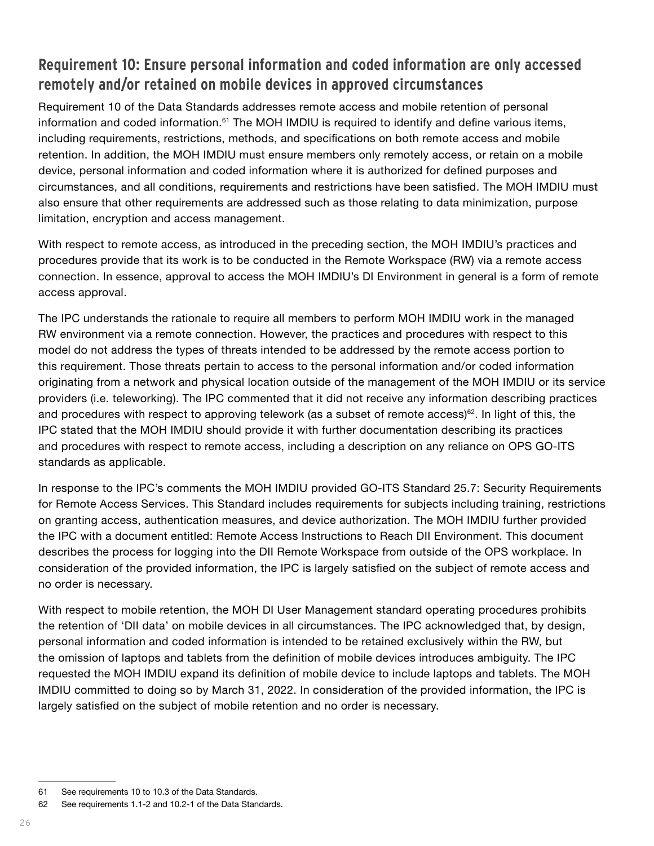# **Requirement 10: Ensure personal information and coded information are only accessed remotely and/or retained on mobile devices in approved circumstances**

Requirement 10 of the Data Standards addresses remote access and mobile retention of personal information and coded information.<sup>61</sup> The MOH IMDIU is required to identify and define various items, including requirements, restrictions, methods, and specifications on both remote access and mobile retention. In addition, the MOH IMDIU must ensure members only remotely access, or retain on a mobile device, personal information and coded information where it is authorized for defined purposes and circumstances, and all conditions, requirements and restrictions have been satisfied. The MOH IMDIU must also ensure that other requirements are addressed such as those relating to data minimization, purpose limitation, encryption and access management.

With respect to remote access, as introduced in the preceding section, the MOH IMDIU's practices and procedures provide that its work is to be conducted in the Remote Workspace (RW) via a remote access connection. In essence, approval to access the MOH IMDIU's DI Environment in general is a form of remote access approval.

The IPC understands the rationale to require all members to perform MOH IMDIU work in the managed RW environment via a remote connection. However, the practices and procedures with respect to this model do not address the types of threats intended to be addressed by the remote access portion to this requirement. Those threats pertain to access to the personal information and/or coded information originating from a network and physical location outside of the management of the MOH IMDIU or its service providers (i.e. teleworking). The IPC commented that it did not receive any information describing practices and procedures with respect to approving telework (as a subset of remote access) $62$ . In light of this, the IPC stated that the MOH IMDIU should provide it with further documentation describing its practices and procedures with respect to remote access, including a description on any reliance on OPS GO-ITS standards as applicable.

In response to the IPC's comments the MOH IMDIU provided GO-ITS Standard 25.7: Security Requirements for Remote Access Services. This Standard includes requirements for subjects including training, restrictions on granting access, authentication measures, and device authorization. The MOH IMDIU further provided the IPC with a document entitled: Remote Access Instructions to Reach DII Environment. This document describes the process for logging into the DII Remote Workspace from outside of the OPS workplace. In consideration of the provided information, the IPC is largely satisfied on the subject of remote access and no order is necessary.

With respect to mobile retention, the MOH DI User Management standard operating procedures prohibits the retention of 'DII data' on mobile devices in all circumstances. The IPC acknowledged that, by design, personal information and coded information is intended to be retained exclusively within the RW, but the omission of laptops and tablets from the definition of mobile devices introduces ambiguity. The IPC requested the MOH IMDIU expand its definition of mobile device to include laptops and tablets. The MOH IMDIU committed to doing so by March 31, 2022. In consideration of the provided information, the IPC is largely satisfied on the subject of mobile retention and no order is necessary.

<sup>61</sup> See requirements 10 to 10.3 of the Data Standards.

<sup>62</sup> See requirements 1.1-2 and 10.2-1 of the Data Standards.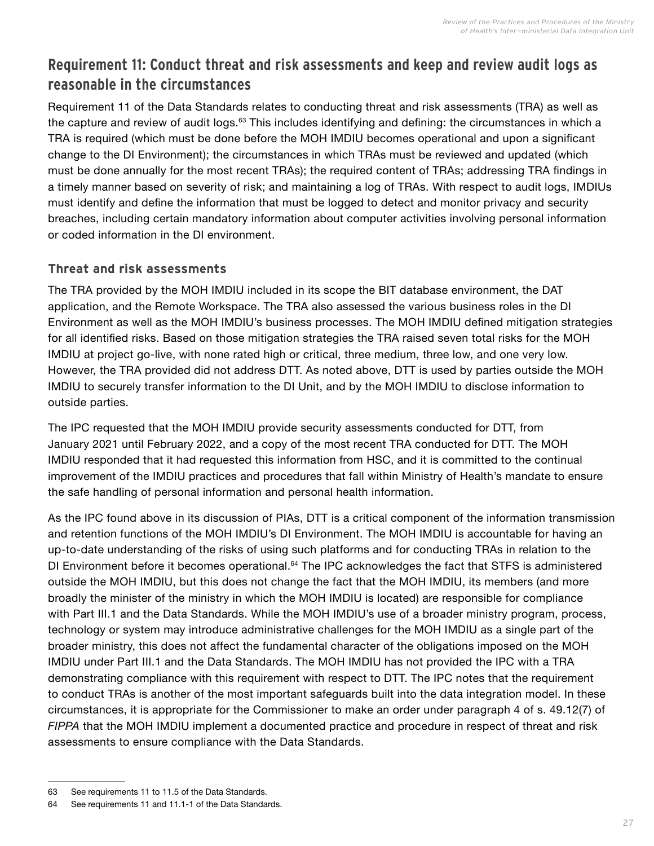# **Requirement 11: Conduct threat and risk assessments and keep and review audit logs as reasonable in the circumstances**

Requirement 11 of the Data Standards relates to conducting threat and risk assessments (TRA) as well as the capture and review of audit logs.<sup>63</sup> This includes identifying and defining: the circumstances in which a TRA is required (which must be done before the MOH IMDIU becomes operational and upon a significant change to the DI Environment); the circumstances in which TRAs must be reviewed and updated (which must be done annually for the most recent TRAs); the required content of TRAs; addressing TRA findings in a timely manner based on severity of risk; and maintaining a log of TRAs. With respect to audit logs, IMDIUs must identify and define the information that must be logged to detect and monitor privacy and security breaches, including certain mandatory information about computer activities involving personal information or coded information in the DI environment.

## **Threat and risk assessments**

The TRA provided by the MOH IMDIU included in its scope the BIT database environment, the DAT application, and the Remote Workspace. The TRA also assessed the various business roles in the DI Environment as well as the MOH IMDIU's business processes. The MOH IMDIU defined mitigation strategies for all identified risks. Based on those mitigation strategies the TRA raised seven total risks for the MOH IMDIU at project go-live, with none rated high or critical, three medium, three low, and one very low. However, the TRA provided did not address DTT. As noted above, DTT is used by parties outside the MOH IMDIU to securely transfer information to the DI Unit, and by the MOH IMDIU to disclose information to outside parties.

The IPC requested that the MOH IMDIU provide security assessments conducted for DTT, from January 2021 until February 2022, and a copy of the most recent TRA conducted for DTT. The MOH IMDIU responded that it had requested this information from HSC, and it is committed to the continual improvement of the IMDIU practices and procedures that fall within Ministry of Health's mandate to ensure the safe handling of personal information and personal health information.

As the IPC found above in its discussion of PIAs, DTT is a critical component of the information transmission and retention functions of the MOH IMDIU's DI Environment. The MOH IMDIU is accountable for having an up‑to‑date understanding of the risks of using such platforms and for conducting TRAs in relation to the DI Environment before it becomes operational.<sup>64</sup> The IPC acknowledges the fact that STFS is administered outside the MOH IMDIU, but this does not change the fact that the MOH IMDIU, its members (and more broadly the minister of the ministry in which the MOH IMDIU is located) are responsible for compliance with Part III.1 and the Data Standards. While the MOH IMDIU's use of a broader ministry program, process, technology or system may introduce administrative challenges for the MOH IMDIU as a single part of the broader ministry, this does not affect the fundamental character of the obligations imposed on the MOH IMDIU under Part III.1 and the Data Standards. The MOH IMDIU has not provided the IPC with a TRA demonstrating compliance with this requirement with respect to DTT. The IPC notes that the requirement to conduct TRAs is another of the most important safeguards built into the data integration model. In these circumstances, it is appropriate for the Commissioner to make an order under paragraph 4 of s. 49.12(7) of *FIPPA* that the MOH IMDIU implement a documented practice and procedure in respect of threat and risk assessments to ensure compliance with the Data Standards.

<sup>63</sup> See requirements 11 to 11.5 of the Data Standards.

<sup>64</sup> See requirements 11 and 11.1-1 of the Data Standards.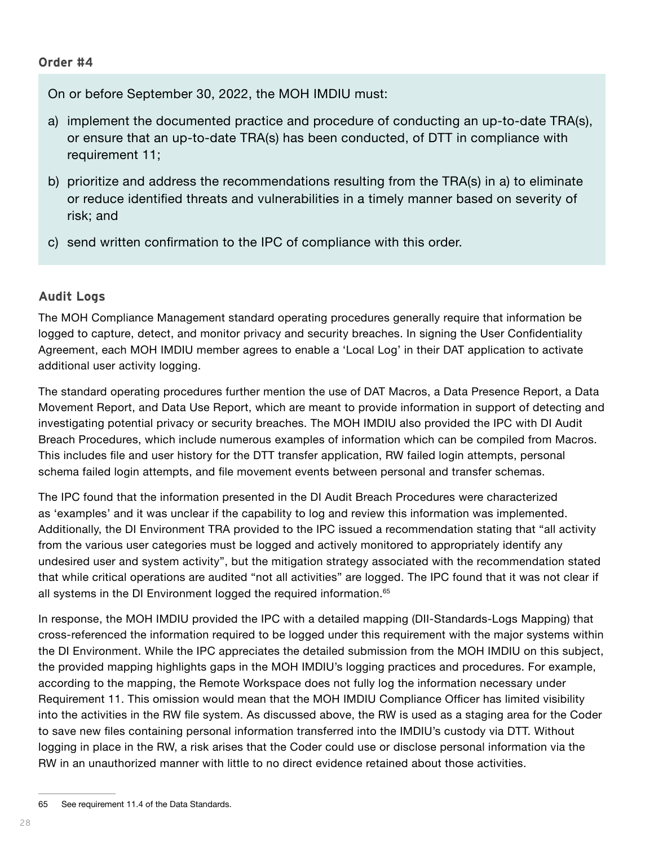#### **Order #4**

On or before September 30, 2022, the MOH IMDIU must:

- a) implement the documented practice and procedure of conducting an up-to-date TRA(s), or ensure that an up-to-date TRA(s) has been conducted, of DTT in compliance with requirement 11;
- b) prioritize and address the recommendations resulting from the TRA(s) in a) to eliminate or reduce identified threats and vulnerabilities in a timely manner based on severity of risk; and
- c) send written confirmation to the IPC of compliance with this order.

### **Audit Logs**

The MOH Compliance Management standard operating procedures generally require that information be logged to capture, detect, and monitor privacy and security breaches. In signing the User Confidentiality Agreement, each MOH IMDIU member agrees to enable a 'Local Log' in their DAT application to activate additional user activity logging.

The standard operating procedures further mention the use of DAT Macros, a Data Presence Report, a Data Movement Report, and Data Use Report, which are meant to provide information in support of detecting and investigating potential privacy or security breaches. The MOH IMDIU also provided the IPC with DI Audit Breach Procedures, which include numerous examples of information which can be compiled from Macros. This includes file and user history for the DTT transfer application, RW failed login attempts, personal schema failed login attempts, and file movement events between personal and transfer schemas.

The IPC found that the information presented in the DI Audit Breach Procedures were characterized as 'examples' and it was unclear if the capability to log and review this information was implemented. Additionally, the DI Environment TRA provided to the IPC issued a recommendation stating that "all activity from the various user categories must be logged and actively monitored to appropriately identify any undesired user and system activity", but the mitigation strategy associated with the recommendation stated that while critical operations are audited "not all activities" are logged. The IPC found that it was not clear if all systems in the DI Environment logged the required information.<sup>65</sup>

In response, the MOH IMDIU provided the IPC with a detailed mapping (DII-Standards-Logs Mapping) that cross‑referenced the information required to be logged under this requirement with the major systems within the DI Environment. While the IPC appreciates the detailed submission from the MOH IMDIU on this subject, the provided mapping highlights gaps in the MOH IMDIU's logging practices and procedures. For example, according to the mapping, the Remote Workspace does not fully log the information necessary under Requirement 11. This omission would mean that the MOH IMDIU Compliance Officer has limited visibility into the activities in the RW file system. As discussed above, the RW is used as a staging area for the Coder to save new files containing personal information transferred into the IMDIU's custody via DTT. Without logging in place in the RW, a risk arises that the Coder could use or disclose personal information via the RW in an unauthorized manner with little to no direct evidence retained about those activities.

65 See requirement 11.4 of the Data Standards.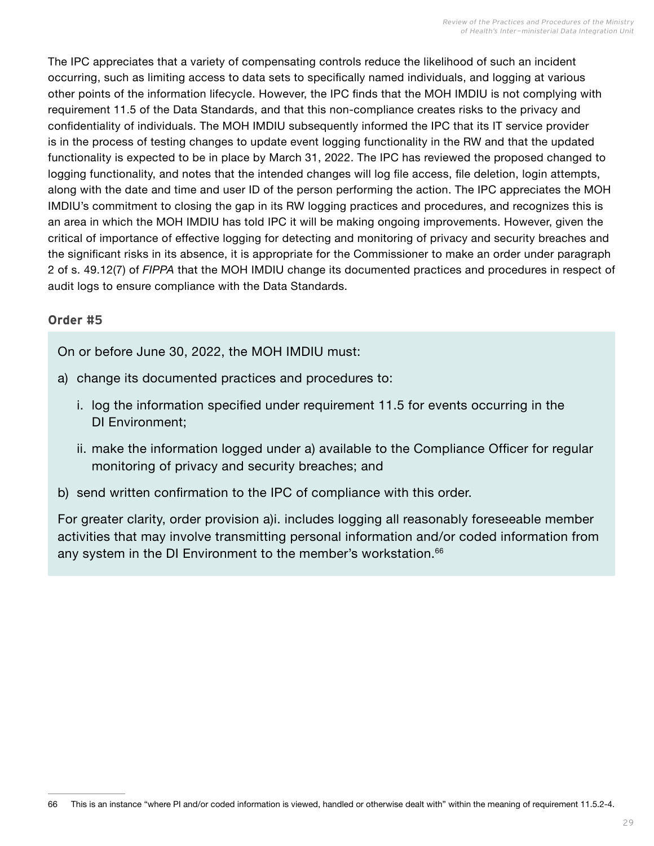The IPC appreciates that a variety of compensating controls reduce the likelihood of such an incident occurring, such as limiting access to data sets to specifically named individuals, and logging at various other points of the information lifecycle. However, the IPC finds that the MOH IMDIU is not complying with requirement 11.5 of the Data Standards, and that this non‑compliance creates risks to the privacy and confidentiality of individuals. The MOH IMDIU subsequently informed the IPC that its IT service provider is in the process of testing changes to update event logging functionality in the RW and that the updated functionality is expected to be in place by March 31, 2022. The IPC has reviewed the proposed changed to logging functionality, and notes that the intended changes will log file access, file deletion, login attempts, along with the date and time and user ID of the person performing the action. The IPC appreciates the MOH IMDIU's commitment to closing the gap in its RW logging practices and procedures, and recognizes this is an area in which the MOH IMDIU has told IPC it will be making ongoing improvements. However, given the critical of importance of effective logging for detecting and monitoring of privacy and security breaches and the significant risks in its absence, it is appropriate for the Commissioner to make an order under paragraph 2 of s. 49.12(7) of *FIPPA* that the MOH IMDIU change its documented practices and procedures in respect of audit logs to ensure compliance with the Data Standards.

## **Order #5**

On or before June 30, 2022, the MOH IMDIU must:

- a) change its documented practices and procedures to:
	- i. log the information specified under requirement 11.5 for events occurring in the DI Environment;
	- ii. make the information logged under a) available to the Compliance Officer for regular monitoring of privacy and security breaches; and
- b) send written confirmation to the IPC of compliance with this order.

For greater clarity, order provision a)i. includes logging all reasonably foreseeable member activities that may involve transmitting personal information and/or coded information from any system in the DI Environment to the member's workstation.<sup>66</sup>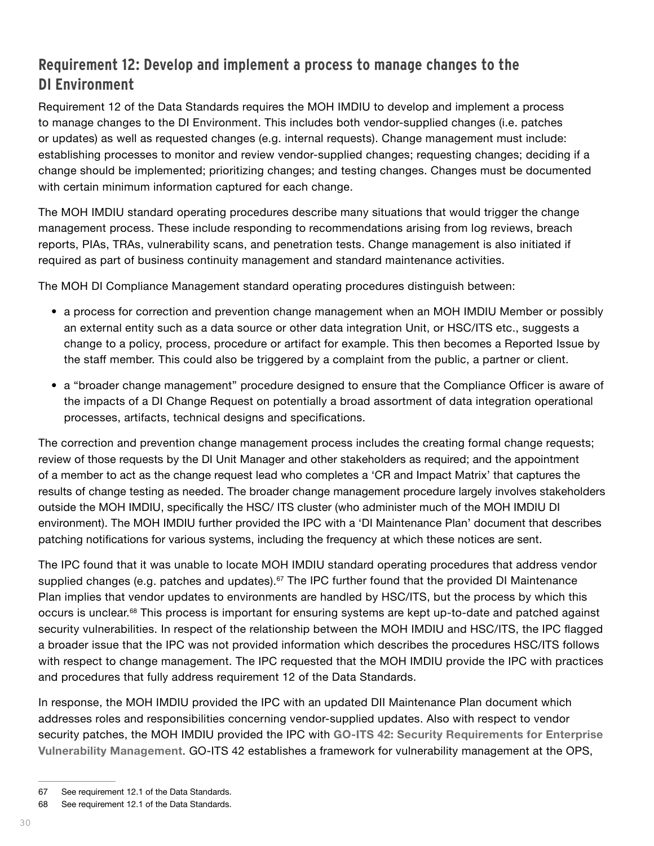# **Requirement 12: Develop and implement a process to manage changes to the DI Environment**

Requirement 12 of the Data Standards requires the MOH IMDIU to develop and implement a process to manage changes to the DI Environment. This includes both vendor-supplied changes (i.e. patches or updates) as well as requested changes (e.g. internal requests). Change management must include: establishing processes to monitor and review vendor-supplied changes; requesting changes; deciding if a change should be implemented; prioritizing changes; and testing changes. Changes must be documented with certain minimum information captured for each change.

The MOH IMDIU standard operating procedures describe many situations that would trigger the change management process. These include responding to recommendations arising from log reviews, breach reports, PIAs, TRAs, vulnerability scans, and penetration tests. Change management is also initiated if required as part of business continuity management and standard maintenance activities.

The MOH DI Compliance Management standard operating procedures distinguish between:

- a process for correction and prevention change management when an MOH IMDIU Member or possibly an external entity such as a data source or other data integration Unit, or HSC/ITS etc., suggests a change to a policy, process, procedure or artifact for example. This then becomes a Reported Issue by the staff member. This could also be triggered by a complaint from the public, a partner or client.
- a "broader change management" procedure designed to ensure that the Compliance Officer is aware of the impacts of a DI Change Request on potentially a broad assortment of data integration operational processes, artifacts, technical designs and specifications.

The correction and prevention change management process includes the creating formal change requests; review of those requests by the DI Unit Manager and other stakeholders as required; and the appointment of a member to act as the change request lead who completes a 'CR and Impact Matrix' that captures the results of change testing as needed. The broader change management procedure largely involves stakeholders outside the MOH IMDIU, specifically the HSC/ ITS cluster (who administer much of the MOH IMDIU DI environment). The MOH IMDIU further provided the IPC with a 'DI Maintenance Plan' document that describes patching notifications for various systems, including the frequency at which these notices are sent.

The IPC found that it was unable to locate MOH IMDIU standard operating procedures that address vendor supplied changes (e.g. patches and updates).<sup> $67$ </sup> The IPC further found that the provided DI Maintenance Plan implies that vendor updates to environments are handled by HSC/ITS, but the process by which this occurs is unclear.<sup>68</sup> This process is important for ensuring systems are kept up-to-date and patched against security vulnerabilities. In respect of the relationship between the MOH IMDIU and HSC/ITS, the IPC flagged a broader issue that the IPC was not provided information which describes the procedures HSC/ITS follows with respect to change management. The IPC requested that the MOH IMDIU provide the IPC with practices and procedures that fully address requirement 12 of the Data Standards.

In response, the MOH IMDIU provided the IPC with an updated DII Maintenance Plan document which addresses roles and responsibilities concerning vendor‑supplied updates. Also with respect to vendor security patches, the MOH IMDIU provided the IPC with **[GO-ITS 42: Security Requirements for Enterprise](https://www.ontario.ca/page/go-its-42-security-requirements-enterprise-vulnerability-management)  [Vulnerability Management](https://www.ontario.ca/page/go-its-42-security-requirements-enterprise-vulnerability-management)**. GO-ITS 42 establishes a framework for vulnerability management at the OPS,

<sup>67</sup> See requirement 12.1 of the Data Standards.

<sup>68</sup> See requirement 12.1 of the Data Standards.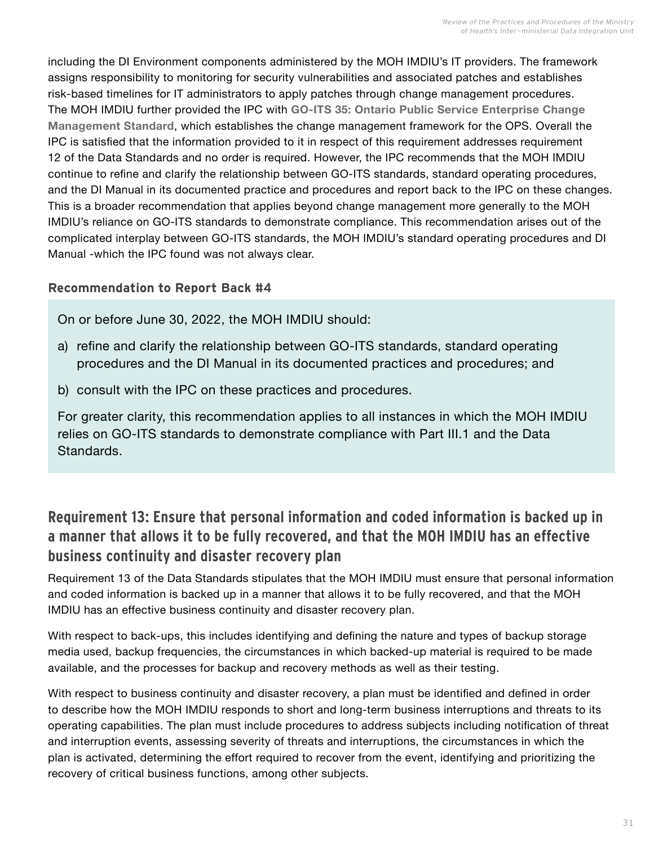including the DI Environment components administered by the MOH IMDIU's IT providers. The framework assigns responsibility to monitoring for security vulnerabilities and associated patches and establishes risk-based timelines for IT administrators to apply patches through change management procedures. The MOH IMDIU further provided the IPC with **[GO-ITS 35: Ontario Public Service Enterprise Change](https://www.ontario.ca/page/go-its-35-ontario-public-service-enterprise-change-management-standard)  [Management Standard](https://www.ontario.ca/page/go-its-35-ontario-public-service-enterprise-change-management-standard)**, which establishes the change management framework for the OPS. Overall the IPC is satisfied that the information provided to it in respect of this requirement addresses requirement 12 of the Data Standards and no order is required. However, the IPC recommends that the MOH IMDIU continue to refine and clarify the relationship between GO-ITS standards, standard operating procedures, and the DI Manual in its documented practice and procedures and report back to the IPC on these changes. This is a broader recommendation that applies beyond change management more generally to the MOH IMDIU's reliance on GO-ITS standards to demonstrate compliance. This recommendation arises out of the complicated interplay between GO-ITS standards, the MOH IMDIU's standard operating procedures and DI Manual -which the IPC found was not always clear.

## **Recommendation to Report Back #4**

On or before June 30, 2022, the MOH IMDIU should:

- a) refine and clarify the relationship between GO-ITS standards, standard operating procedures and the DI Manual in its documented practices and procedures; and
- b) consult with the IPC on these practices and procedures.

For greater clarity, this recommendation applies to all instances in which the MOH IMDIU relies on GO-ITS standards to demonstrate compliance with Part III.1 and the Data Standards.

# **Requirement 13: Ensure that personal information and coded information is backed up in a manner that allows it to be fully recovered, and that the MOH IMDIU has an effective business continuity and disaster recovery plan**

Requirement 13 of the Data Standards stipulates that the MOH IMDIU must ensure that personal information and coded information is backed up in a manner that allows it to be fully recovered, and that the MOH IMDIU has an effective business continuity and disaster recovery plan.

With respect to back-ups, this includes identifying and defining the nature and types of backup storage media used, backup frequencies, the circumstances in which backed-up material is required to be made available, and the processes for backup and recovery methods as well as their testing.

With respect to business continuity and disaster recovery, a plan must be identified and defined in order to describe how the MOH IMDIU responds to short and long-term business interruptions and threats to its operating capabilities. The plan must include procedures to address subjects including notification of threat and interruption events, assessing severity of threats and interruptions, the circumstances in which the plan is activated, determining the effort required to recover from the event, identifying and prioritizing the recovery of critical business functions, among other subjects.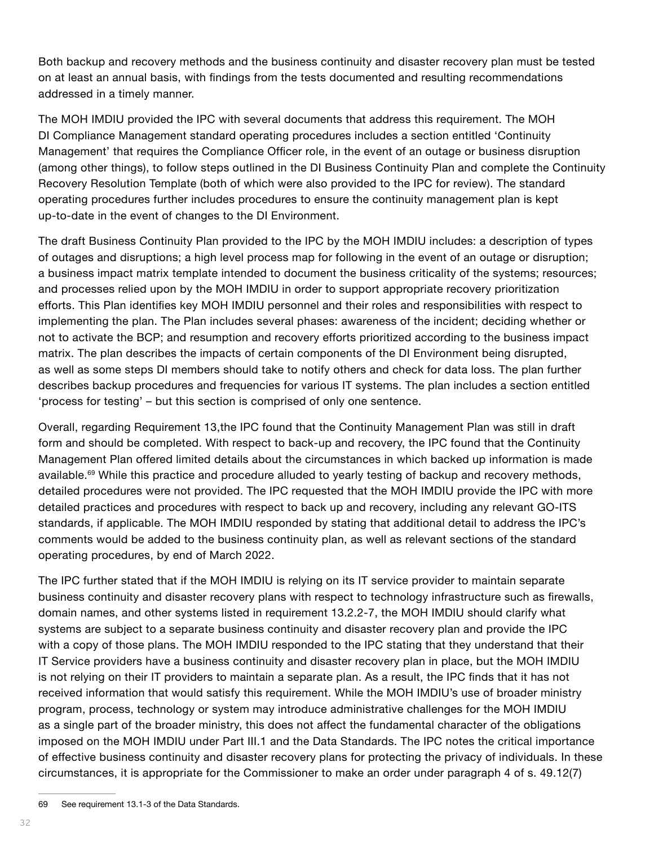Both backup and recovery methods and the business continuity and disaster recovery plan must be tested on at least an annual basis, with findings from the tests documented and resulting recommendations addressed in a timely manner.

The MOH IMDIU provided the IPC with several documents that address this requirement. The MOH DI Compliance Management standard operating procedures includes a section entitled 'Continuity Management' that requires the Compliance Officer role, in the event of an outage or business disruption (among other things), to follow steps outlined in the DI Business Continuity Plan and complete the Continuity Recovery Resolution Template (both of which were also provided to the IPC for review). The standard operating procedures further includes procedures to ensure the continuity management plan is kept up-to-date in the event of changes to the DI Environment.

The draft Business Continuity Plan provided to the IPC by the MOH IMDIU includes: a description of types of outages and disruptions; a high level process map for following in the event of an outage or disruption; a business impact matrix template intended to document the business criticality of the systems; resources; and processes relied upon by the MOH IMDIU in order to support appropriate recovery prioritization efforts. This Plan identifies key MOH IMDIU personnel and their roles and responsibilities with respect to implementing the plan. The Plan includes several phases: awareness of the incident; deciding whether or not to activate the BCP; and resumption and recovery efforts prioritized according to the business impact matrix. The plan describes the impacts of certain components of the DI Environment being disrupted, as well as some steps DI members should take to notify others and check for data loss. The plan further describes backup procedures and frequencies for various IT systems. The plan includes a section entitled 'process for testing' – but this section is comprised of only one sentence.

Overall, regarding Requirement 13,the IPC found that the Continuity Management Plan was still in draft form and should be completed. With respect to back-up and recovery, the IPC found that the Continuity Management Plan offered limited details about the circumstances in which backed up information is made available.<sup>69</sup> While this practice and procedure alluded to yearly testing of backup and recovery methods, detailed procedures were not provided. The IPC requested that the MOH IMDIU provide the IPC with more detailed practices and procedures with respect to back up and recovery, including any relevant GO-ITS standards, if applicable. The MOH IMDIU responded by stating that additional detail to address the IPC's comments would be added to the business continuity plan, as well as relevant sections of the standard operating procedures, by end of March 2022.

The IPC further stated that if the MOH IMDIU is relying on its IT service provider to maintain separate business continuity and disaster recovery plans with respect to technology infrastructure such as firewalls, domain names, and other systems listed in requirement 13.2.2-7, the MOH IMDIU should clarify what systems are subject to a separate business continuity and disaster recovery plan and provide the IPC with a copy of those plans. The MOH IMDIU responded to the IPC stating that they understand that their IT Service providers have a business continuity and disaster recovery plan in place, but the MOH IMDIU is not relying on their IT providers to maintain a separate plan. As a result, the IPC finds that it has not received information that would satisfy this requirement. While the MOH IMDIU's use of broader ministry program, process, technology or system may introduce administrative challenges for the MOH IMDIU as a single part of the broader ministry, this does not affect the fundamental character of the obligations imposed on the MOH IMDIU under Part III.1 and the Data Standards. The IPC notes the critical importance of effective business continuity and disaster recovery plans for protecting the privacy of individuals. In these circumstances, it is appropriate for the Commissioner to make an order under paragraph 4 of s. 49.12(7)

<sup>69</sup> See requirement 13.1-3 of the Data Standards.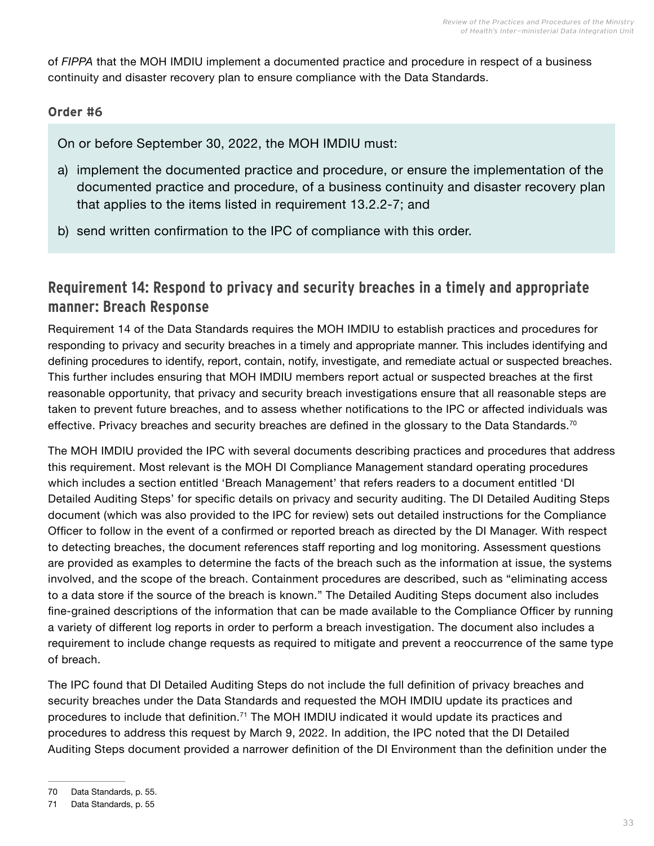of *FIPPA* that the MOH IMDIU implement a documented practice and procedure in respect of a business continuity and disaster recovery plan to ensure compliance with the Data Standards.

## **Order #6**

On or before September 30, 2022, the MOH IMDIU must:

- a) implement the documented practice and procedure, or ensure the implementation of the documented practice and procedure, of a business continuity and disaster recovery plan that applies to the items listed in requirement 13.2.2-7; and
- b) send written confirmation to the IPC of compliance with this order.

# **Requirement 14: Respond to privacy and security breaches in a timely and appropriate manner: Breach Response**

Requirement 14 of the Data Standards requires the MOH IMDIU to establish practices and procedures for responding to privacy and security breaches in a timely and appropriate manner. This includes identifying and defining procedures to identify, report, contain, notify, investigate, and remediate actual or suspected breaches. This further includes ensuring that MOH IMDIU members report actual or suspected breaches at the first reasonable opportunity, that privacy and security breach investigations ensure that all reasonable steps are taken to prevent future breaches, and to assess whether notifications to the IPC or affected individuals was effective. Privacy breaches and security breaches are defined in the glossary to the Data Standards.<sup>70</sup>

The MOH IMDIU provided the IPC with several documents describing practices and procedures that address this requirement. Most relevant is the MOH DI Compliance Management standard operating procedures which includes a section entitled 'Breach Management' that refers readers to a document entitled 'DI Detailed Auditing Steps' for specific details on privacy and security auditing. The DI Detailed Auditing Steps document (which was also provided to the IPC for review) sets out detailed instructions for the Compliance Officer to follow in the event of a confirmed or reported breach as directed by the DI Manager. With respect to detecting breaches, the document references staff reporting and log monitoring. Assessment questions are provided as examples to determine the facts of the breach such as the information at issue, the systems involved, and the scope of the breach. Containment procedures are described, such as "eliminating access to a data store if the source of the breach is known." The Detailed Auditing Steps document also includes fine-grained descriptions of the information that can be made available to the Compliance Officer by running a variety of different log reports in order to perform a breach investigation. The document also includes a requirement to include change requests as required to mitigate and prevent a reoccurrence of the same type of breach.

The IPC found that DI Detailed Auditing Steps do not include the full definition of privacy breaches and security breaches under the Data Standards and requested the MOH IMDIU update its practices and procedures to include that definition.<sup>71</sup> The MOH IMDIU indicated it would update its practices and procedures to address this request by March 9, 2022. In addition, the IPC noted that the DI Detailed Auditing Steps document provided a narrower definition of the DI Environment than the definition under the

<sup>70</sup> Data Standards, p. 55.

<sup>71</sup> Data Standards, p. 55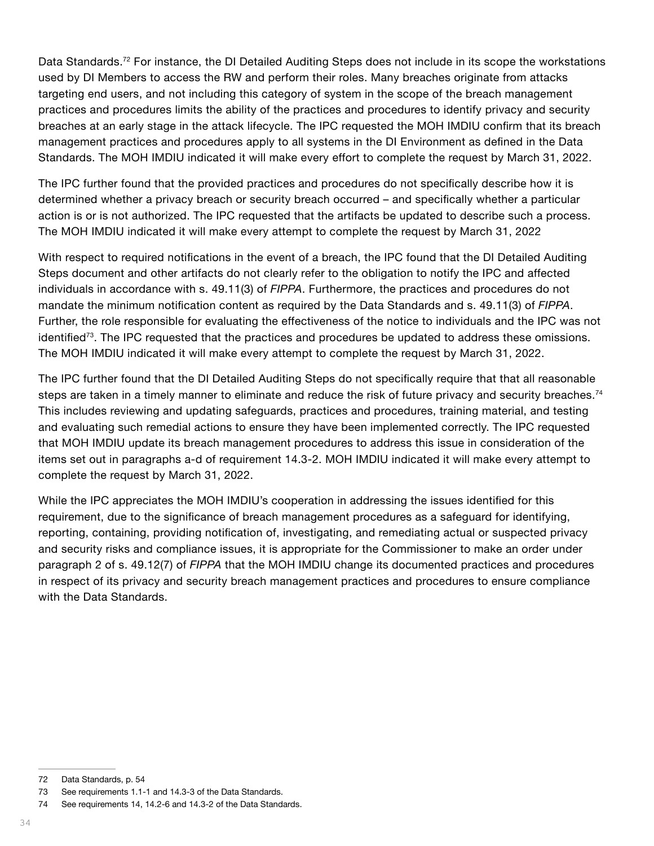Data Standards.<sup>72</sup> For instance, the DI Detailed Auditing Steps does not include in its scope the workstations used by DI Members to access the RW and perform their roles. Many breaches originate from attacks targeting end users, and not including this category of system in the scope of the breach management practices and procedures limits the ability of the practices and procedures to identify privacy and security breaches at an early stage in the attack lifecycle. The IPC requested the MOH IMDIU confirm that its breach management practices and procedures apply to all systems in the DI Environment as defined in the Data Standards. The MOH IMDIU indicated it will make every effort to complete the request by March 31, 2022.

The IPC further found that the provided practices and procedures do not specifically describe how it is determined whether a privacy breach or security breach occurred – and specifically whether a particular action is or is not authorized. The IPC requested that the artifacts be updated to describe such a process. The MOH IMDIU indicated it will make every attempt to complete the request by March 31, 2022

With respect to required notifications in the event of a breach, the IPC found that the DI Detailed Auditing Steps document and other artifacts do not clearly refer to the obligation to notify the IPC and affected individuals in accordance with s. 49.11(3) of *FIPPA*. Furthermore, the practices and procedures do not mandate the minimum notification content as required by the Data Standards and s. 49.11(3) of *FIPPA*. Further, the role responsible for evaluating the effectiveness of the notice to individuals and the IPC was not identified<sup>73</sup>. The IPC requested that the practices and procedures be updated to address these omissions. The MOH IMDIU indicated it will make every attempt to complete the request by March 31, 2022.

The IPC further found that the DI Detailed Auditing Steps do not specifically require that that all reasonable steps are taken in a timely manner to eliminate and reduce the risk of future privacy and security breaches.<sup>74</sup> This includes reviewing and updating safeguards, practices and procedures, training material, and testing and evaluating such remedial actions to ensure they have been implemented correctly. The IPC requested that MOH IMDIU update its breach management procedures to address this issue in consideration of the items set out in paragraphs a-d of requirement 14.3-2. MOH IMDIU indicated it will make every attempt to complete the request by March 31, 2022.

While the IPC appreciates the MOH IMDIU's cooperation in addressing the issues identified for this requirement, due to the significance of breach management procedures as a safeguard for identifying, reporting, containing, providing notification of, investigating, and remediating actual or suspected privacy and security risks and compliance issues, it is appropriate for the Commissioner to make an order under paragraph 2 of s. 49.12(7) of *FIPPA* that the MOH IMDIU change its documented practices and procedures in respect of its privacy and security breach management practices and procedures to ensure compliance with the Data Standards.

<sup>72</sup> Data Standards, p. 54

<sup>73</sup> See requirements 1.1-1 and 14.3-3 of the Data Standards.

<sup>74</sup> See requirements 14, 14.2-6 and 14.3-2 of the Data Standards.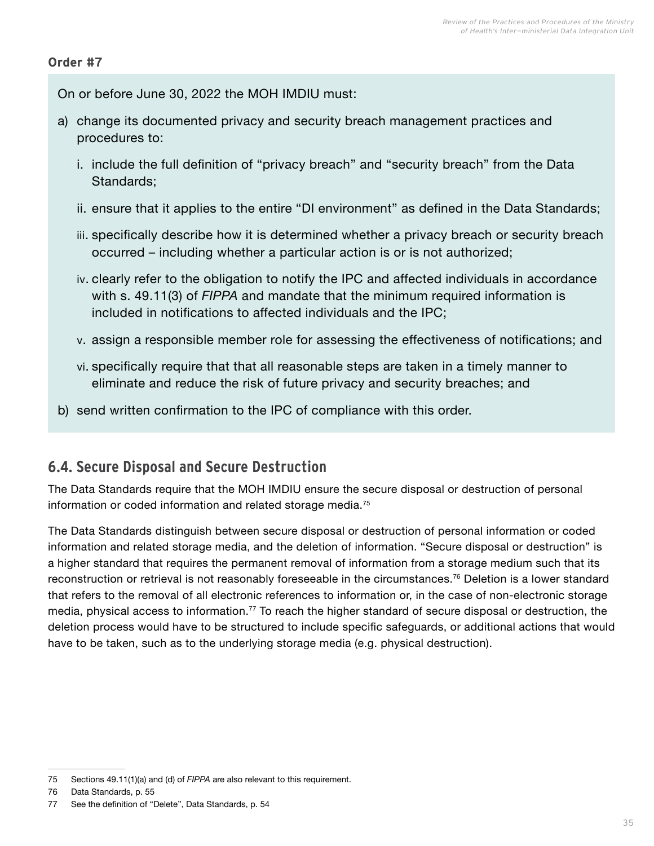#### <span id="page-36-0"></span>**Order #7**

On or before June 30, 2022 the MOH IMDIU must:

- a) change its documented privacy and security breach management practices and procedures to:
	- i. include the full definition of "privacy breach" and "security breach" from the Data Standards;
	- ii. ensure that it applies to the entire "DI environment" as defined in the Data Standards;
	- iii. specifically describe how it is determined whether a privacy breach or security breach occurred – including whether a particular action is or is not authorized;
	- iv. clearly refer to the obligation to notify the IPC and affected individuals in accordance with s. 49.11(3) of *FIPPA* and mandate that the minimum required information is included in notifications to affected individuals and the IPC;
	- v. assign a responsible member role for assessing the effectiveness of notifications; and
	- vi. specifically require that that all reasonable steps are taken in a timely manner to eliminate and reduce the risk of future privacy and security breaches; and
- b) send written confirmation to the IPC of compliance with this order.

## **6.4. Secure Disposal and Secure Destruction**

The Data Standards require that the MOH IMDIU ensure the secure disposal or destruction of personal information or coded information and related storage media.<sup>75</sup>

The Data Standards distinguish between secure disposal or destruction of personal information or coded information and related storage media, and the deletion of information. "Secure disposal or destruction" is a higher standard that requires the permanent removal of information from a storage medium such that its reconstruction or retrieval is not reasonably foreseeable in the circumstances.<sup>76</sup> Deletion is a lower standard that refers to the removal of all electronic references to information or, in the case of non‑electronic storage media, physical access to information.<sup>77</sup> To reach the higher standard of secure disposal or destruction, the deletion process would have to be structured to include specific safeguards, or additional actions that would have to be taken, such as to the underlying storage media (e.g. physical destruction).

<sup>75</sup> Sections 49.11(1)(a) and (d) of *FIPPA* are also relevant to this requirement.

<sup>76</sup> Data Standards, p. 55

<sup>77</sup> See the definition of "Delete", Data Standards, p. 54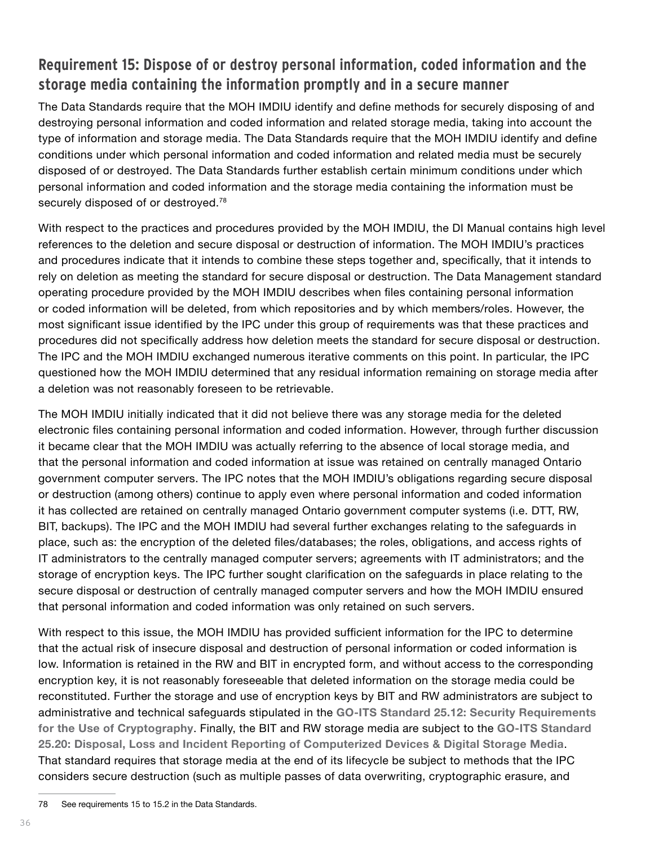# **Requirement 15: Dispose of or destroy personal information, coded information and the storage media containing the information promptly and in a secure manner**

The Data Standards require that the MOH IMDIU identify and define methods for securely disposing of and destroying personal information and coded information and related storage media, taking into account the type of information and storage media. The Data Standards require that the MOH IMDIU identify and define conditions under which personal information and coded information and related media must be securely disposed of or destroyed. The Data Standards further establish certain minimum conditions under which personal information and coded information and the storage media containing the information must be securely disposed of or destroyed.<sup>78</sup>

With respect to the practices and procedures provided by the MOH IMDIU, the DI Manual contains high level references to the deletion and secure disposal or destruction of information. The MOH IMDIU's practices and procedures indicate that it intends to combine these steps together and, specifically, that it intends to rely on deletion as meeting the standard for secure disposal or destruction. The Data Management standard operating procedure provided by the MOH IMDIU describes when files containing personal information or coded information will be deleted, from which repositories and by which members/roles. However, the most significant issue identified by the IPC under this group of requirements was that these practices and procedures did not specifically address how deletion meets the standard for secure disposal or destruction. The IPC and the MOH IMDIU exchanged numerous iterative comments on this point. In particular, the IPC questioned how the MOH IMDIU determined that any residual information remaining on storage media after a deletion was not reasonably foreseen to be retrievable.

The MOH IMDIU initially indicated that it did not believe there was any storage media for the deleted electronic files containing personal information and coded information. However, through further discussion it became clear that the MOH IMDIU was actually referring to the absence of local storage media, and that the personal information and coded information at issue was retained on centrally managed Ontario government computer servers. The IPC notes that the MOH IMDIU's obligations regarding secure disposal or destruction (among others) continue to apply even where personal information and coded information it has collected are retained on centrally managed Ontario government computer systems (i.e. DTT, RW, BIT, backups). The IPC and the MOH IMDIU had several further exchanges relating to the safeguards in place, such as: the encryption of the deleted files/databases; the roles, obligations, and access rights of IT administrators to the centrally managed computer servers; agreements with IT administrators; and the storage of encryption keys. The IPC further sought clarification on the safeguards in place relating to the secure disposal or destruction of centrally managed computer servers and how the MOH IMDIU ensured that personal information and coded information was only retained on such servers.

With respect to this issue, the MOH IMDIU has provided sufficient information for the IPC to determine that the actual risk of insecure disposal and destruction of personal information or coded information is low. Information is retained in the RW and BIT in encrypted form, and without access to the corresponding encryption key, it is not reasonably foreseeable that deleted information on the storage media could be reconstituted. Further the storage and use of encryption keys by BIT and RW administrators are subject to administrative and technical safeguards stipulated in the **[GO-ITS Standard 25.12: Security Requirements](https://www.ontario.ca/page/go-its-2512-use-cryptography)  [for the Use of Cryptography](https://www.ontario.ca/page/go-its-2512-use-cryptography)**. Finally, the BIT and RW storage media are subject to the **[GO-ITS Standard](https://files.ontario.ca/tbs-2019-11-14/go-it-25-20-disposal-loss-incident-reporting.pdf)  [25.20: Disposal, Loss and Incident Reporting of Computerized Devices & Digital Storage Media](https://files.ontario.ca/tbs-2019-11-14/go-it-25-20-disposal-loss-incident-reporting.pdf)**. That standard requires that storage media at the end of its lifecycle be subject to methods that the IPC considers secure destruction (such as multiple passes of data overwriting, cryptographic erasure, and

78 See requirements 15 to 15.2 in the Data Standards.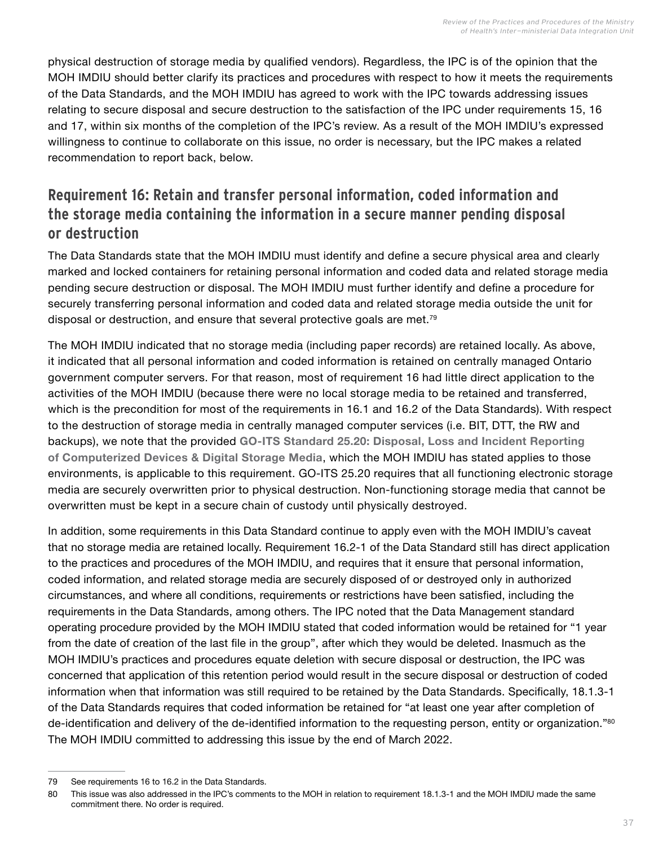physical destruction of storage media by qualified vendors). Regardless, the IPC is of the opinion that the MOH IMDIU should better clarify its practices and procedures with respect to how it meets the requirements of the Data Standards, and the MOH IMDIU has agreed to work with the IPC towards addressing issues relating to secure disposal and secure destruction to the satisfaction of the IPC under requirements 15, 16 and 17, within six months of the completion of the IPC's review. As a result of the MOH IMDIU's expressed willingness to continue to collaborate on this issue, no order is necessary, but the IPC makes a related recommendation to report back, below.

# **Requirement 16: Retain and transfer personal information, coded information and the storage media containing the information in a secure manner pending disposal or destruction**

The Data Standards state that the MOH IMDIU must identify and define a secure physical area and clearly marked and locked containers for retaining personal information and coded data and related storage media pending secure destruction or disposal. The MOH IMDIU must further identify and define a procedure for securely transferring personal information and coded data and related storage media outside the unit for disposal or destruction, and ensure that several protective goals are met.<sup>79</sup>

The MOH IMDIU indicated that no storage media (including paper records) are retained locally. As above, it indicated that all personal information and coded information is retained on centrally managed Ontario government computer servers. For that reason, most of requirement 16 had little direct application to the activities of the MOH IMDIU (because there were no local storage media to be retained and transferred, which is the precondition for most of the requirements in 16.1 and 16.2 of the Data Standards). With respect to the destruction of storage media in centrally managed computer services (i.e. BIT, DTT, the RW and backups), we note that the provided **[GO-ITS Standard 25.20: Disposal, Loss and Incident Reporting](https://files.ontario.ca/tbs-2019-11-14/go-it-25-20-disposal-loss-incident-reporting.pdf)  [of Computerized Devices & Digital Storage Media](https://files.ontario.ca/tbs-2019-11-14/go-it-25-20-disposal-loss-incident-reporting.pdf)**, which the MOH IMDIU has stated applies to those environments, is applicable to this requirement. GO-ITS 25.20 requires that all functioning electronic storage media are securely overwritten prior to physical destruction. Non-functioning storage media that cannot be overwritten must be kept in a secure chain of custody until physically destroyed.

In addition, some requirements in this Data Standard continue to apply even with the MOH IMDIU's caveat that no storage media are retained locally. Requirement 16.2-1 of the Data Standard still has direct application to the practices and procedures of the MOH IMDIU, and requires that it ensure that personal information, coded information, and related storage media are securely disposed of or destroyed only in authorized circumstances, and where all conditions, requirements or restrictions have been satisfied, including the requirements in the Data Standards, among others. The IPC noted that the Data Management standard operating procedure provided by the MOH IMDIU stated that coded information would be retained for "1 year from the date of creation of the last file in the group", after which they would be deleted. Inasmuch as the MOH IMDIU's practices and procedures equate deletion with secure disposal or destruction, the IPC was concerned that application of this retention period would result in the secure disposal or destruction of coded information when that information was still required to be retained by the Data Standards. Specifically, 18.1.3‑1 of the Data Standards requires that coded information be retained for "at least one year after completion of de-identification and delivery of the de-identified information to the requesting person, entity or organization."<sup>80</sup> The MOH IMDIU committed to addressing this issue by the end of March 2022.

<sup>79</sup> See requirements 16 to 16.2 in the Data Standards.

<sup>80</sup> This issue was also addressed in the IPC's comments to the MOH in relation to requirement 18.1.3-1 and the MOH IMDIU made the same commitment there. No order is required.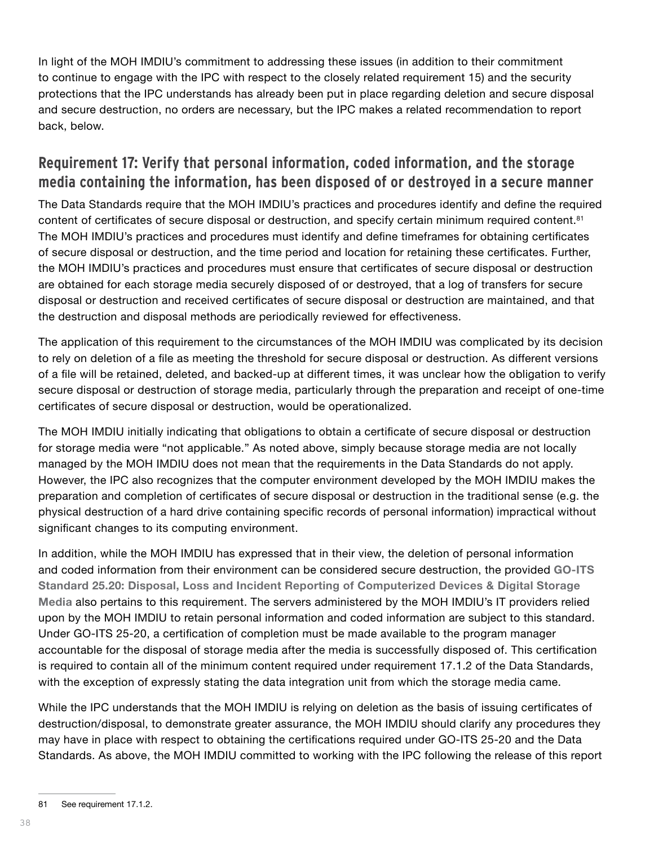In light of the MOH IMDIU's commitment to addressing these issues (in addition to their commitment to continue to engage with the IPC with respect to the closely related requirement 15) and the security protections that the IPC understands has already been put in place regarding deletion and secure disposal and secure destruction, no orders are necessary, but the IPC makes a related recommendation to report back, below.

# **Requirement 17: Verify that personal information, coded information, and the storage media containing the information, has been disposed of or destroyed in a secure manner**

The Data Standards require that the MOH IMDIU's practices and procedures identify and define the required content of certificates of secure disposal or destruction, and specify certain minimum required content.<sup>81</sup> The MOH IMDIU's practices and procedures must identify and define timeframes for obtaining certificates of secure disposal or destruction, and the time period and location for retaining these certificates. Further, the MOH IMDIU's practices and procedures must ensure that certificates of secure disposal or destruction are obtained for each storage media securely disposed of or destroyed, that a log of transfers for secure disposal or destruction and received certificates of secure disposal or destruction are maintained, and that the destruction and disposal methods are periodically reviewed for effectiveness.

The application of this requirement to the circumstances of the MOH IMDIU was complicated by its decision to rely on deletion of a file as meeting the threshold for secure disposal or destruction. As different versions of a file will be retained, deleted, and backed‑up at different times, it was unclear how the obligation to verify secure disposal or destruction of storage media, particularly through the preparation and receipt of one-time certificates of secure disposal or destruction, would be operationalized.

The MOH IMDIU initially indicating that obligations to obtain a certificate of secure disposal or destruction for storage media were "not applicable." As noted above, simply because storage media are not locally managed by the MOH IMDIU does not mean that the requirements in the Data Standards do not apply. However, the IPC also recognizes that the computer environment developed by the MOH IMDIU makes the preparation and completion of certificates of secure disposal or destruction in the traditional sense (e.g. the physical destruction of a hard drive containing specific records of personal information) impractical without significant changes to its computing environment.

In addition, while the MOH IMDIU has expressed that in their view, the deletion of personal information and coded information from their environment can be considered secure destruction, the provided **[GO-ITS](https://files.ontario.ca/tbs-2019-11-14/go-it-25-20-disposal-loss-incident-reporting.pdf)  [Standard 25.20: Disposal, Loss and Incident Reporting of Computerized Devices & Digital Storage](https://files.ontario.ca/tbs-2019-11-14/go-it-25-20-disposal-loss-incident-reporting.pdf)  [Media](https://files.ontario.ca/tbs-2019-11-14/go-it-25-20-disposal-loss-incident-reporting.pdf)** also pertains to this requirement. The servers administered by the MOH IMDIU's IT providers relied upon by the MOH IMDIU to retain personal information and coded information are subject to this standard. Under GO-ITS 25-20, a certification of completion must be made available to the program manager accountable for the disposal of storage media after the media is successfully disposed of. This certification is required to contain all of the minimum content required under requirement 17.1.2 of the Data Standards, with the exception of expressly stating the data integration unit from which the storage media came.

While the IPC understands that the MOH IMDIU is relying on deletion as the basis of issuing certificates of destruction/disposal, to demonstrate greater assurance, the MOH IMDIU should clarify any procedures they may have in place with respect to obtaining the certifications required under GO-ITS 25-20 and the Data Standards. As above, the MOH IMDIU committed to working with the IPC following the release of this report

<sup>81</sup> See requirement 17.1.2.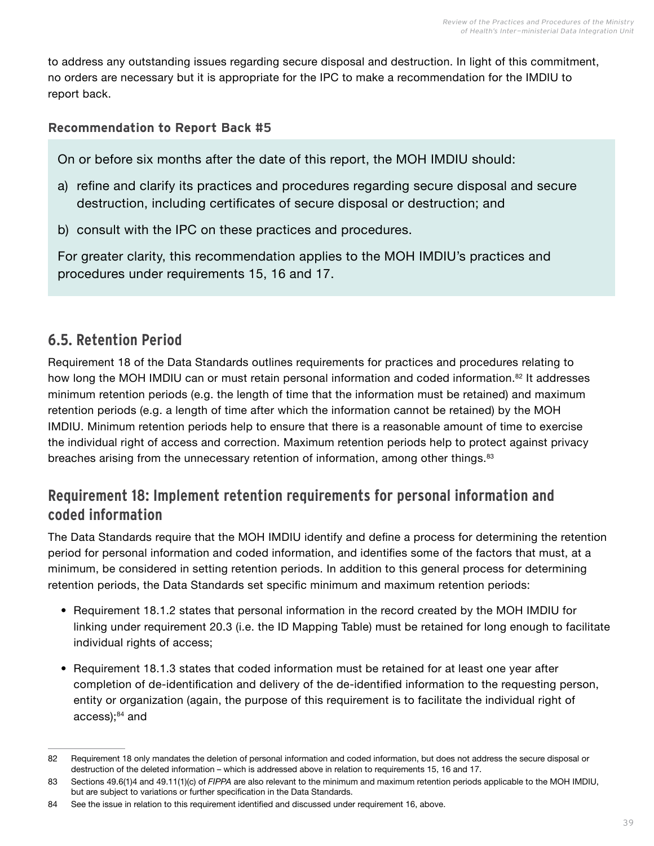<span id="page-40-0"></span>to address any outstanding issues regarding secure disposal and destruction. In light of this commitment, no orders are necessary but it is appropriate for the IPC to make a recommendation for the IMDIU to report back.

## **Recommendation to Report Back #5**

On or before six months after the date of this report, the MOH IMDIU should:

- a) refine and clarify its practices and procedures regarding secure disposal and secure destruction, including certificates of secure disposal or destruction; and
- b) consult with the IPC on these practices and procedures.

For greater clarity, this recommendation applies to the MOH IMDIU's practices and procedures under requirements 15, 16 and 17.

# **6.5. Retention Period**

Requirement 18 of the Data Standards outlines requirements for practices and procedures relating to how long the MOH IMDIU can or must retain personal information and coded information.<sup>82</sup> It addresses minimum retention periods (e.g. the length of time that the information must be retained) and maximum retention periods (e.g. a length of time after which the information cannot be retained) by the MOH IMDIU. Minimum retention periods help to ensure that there is a reasonable amount of time to exercise the individual right of access and correction. Maximum retention periods help to protect against privacy breaches arising from the unnecessary retention of information, among other things.<sup>83</sup>

# **Requirement 18: Implement retention requirements for personal information and coded information**

The Data Standards require that the MOH IMDIU identify and define a process for determining the retention period for personal information and coded information, and identifies some of the factors that must, at a minimum, be considered in setting retention periods. In addition to this general process for determining retention periods, the Data Standards set specific minimum and maximum retention periods:

- Requirement 18.1.2 states that personal information in the record created by the MOH IMDIU for linking under requirement 20.3 (i.e. the ID Mapping Table) must be retained for long enough to facilitate individual rights of access;
- Requirement 18.1.3 states that coded information must be retained for at least one year after completion of de‑identification and delivery of the de‑identified information to the requesting person, entity or organization (again, the purpose of this requirement is to facilitate the individual right of access);<sup>84</sup> and

<sup>82</sup> Requirement 18 only mandates the deletion of personal information and coded information, but does not address the secure disposal or destruction of the deleted information – which is addressed above in relation to requirements 15, 16 and 17.

<sup>83</sup> Sections 49.6(1)4 and 49.11(1)(c) of *FIPPA* are also relevant to the minimum and maximum retention periods applicable to the MOH IMDIU, but are subject to variations or further specification in the Data Standards.

<sup>84</sup> See the issue in relation to this requirement identified and discussed under requirement 16, above.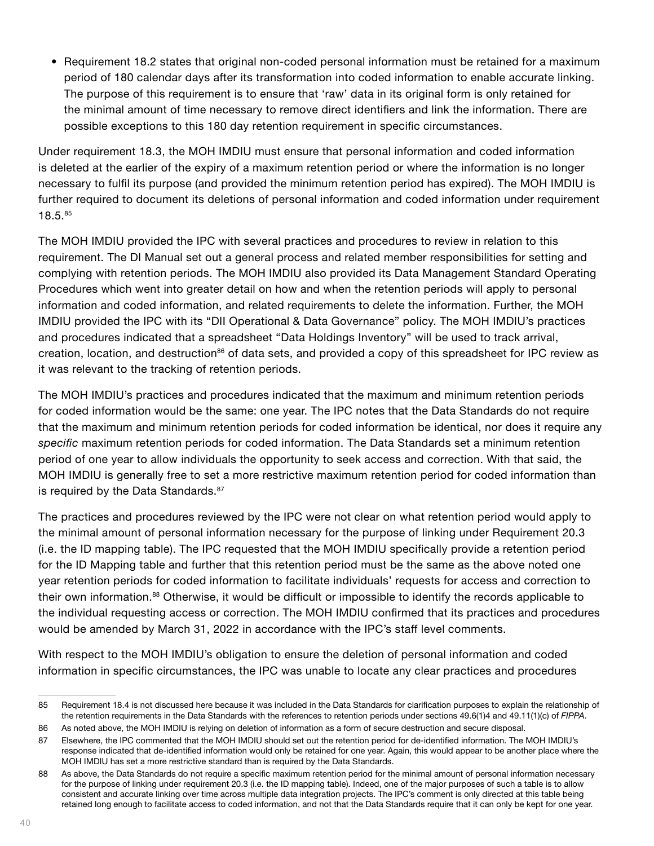• Requirement 18.2 states that original non-coded personal information must be retained for a maximum period of 180 calendar days after its transformation into coded information to enable accurate linking. The purpose of this requirement is to ensure that 'raw' data in its original form is only retained for the minimal amount of time necessary to remove direct identifiers and link the information. There are possible exceptions to this 180 day retention requirement in specific circumstances.

Under requirement 18.3, the MOH IMDIU must ensure that personal information and coded information is deleted at the earlier of the expiry of a maximum retention period or where the information is no longer necessary to fulfil its purpose (and provided the minimum retention period has expired). The MOH IMDIU is further required to document its deletions of personal information and coded information under requirement 18.5.<sup>85</sup>

The MOH IMDIU provided the IPC with several practices and procedures to review in relation to this requirement. The DI Manual set out a general process and related member responsibilities for setting and complying with retention periods. The MOH IMDIU also provided its Data Management Standard Operating Procedures which went into greater detail on how and when the retention periods will apply to personal information and coded information, and related requirements to delete the information. Further, the MOH IMDIU provided the IPC with its "DII Operational & Data Governance" policy. The MOH IMDIU's practices and procedures indicated that a spreadsheet "Data Holdings Inventory" will be used to track arrival, creation, location, and destruction<sup>86</sup> of data sets, and provided a copy of this spreadsheet for IPC review as it was relevant to the tracking of retention periods.

The MOH IMDIU's practices and procedures indicated that the maximum and minimum retention periods for coded information would be the same: one year. The IPC notes that the Data Standards do not require that the maximum and minimum retention periods for coded information be identical, nor does it require any *specific* maximum retention periods for coded information. The Data Standards set a minimum retention period of one year to allow individuals the opportunity to seek access and correction. With that said, the MOH IMDIU is generally free to set a more restrictive maximum retention period for coded information than is required by the Data Standards.<sup>87</sup>

The practices and procedures reviewed by the IPC were not clear on what retention period would apply to the minimal amount of personal information necessary for the purpose of linking under Requirement 20.3 (i.e. the ID mapping table). The IPC requested that the MOH IMDIU specifically provide a retention period for the ID Mapping table and further that this retention period must be the same as the above noted one year retention periods for coded information to facilitate individuals' requests for access and correction to their own information.88 Otherwise, it would be difficult or impossible to identify the records applicable to the individual requesting access or correction. The MOH IMDIU confirmed that its practices and procedures would be amended by March 31, 2022 in accordance with the IPC's staff level comments.

With respect to the MOH IMDIU's obligation to ensure the deletion of personal information and coded information in specific circumstances, the IPC was unable to locate any clear practices and procedures

<sup>85</sup> Requirement 18.4 is not discussed here because it was included in the Data Standards for clarification purposes to explain the relationship of the retention requirements in the Data Standards with the references to retention periods under sections 49.6(1)4 and 49.11(1)(c) of *FIPPA*.

<sup>86</sup> As noted above, the MOH IMDIU is relying on deletion of information as a form of secure destruction and secure disposal.

<sup>87</sup> Elsewhere, the IPC commented that the MOH IMDIU should set out the retention period for de‑identified information. The MOH IMDIU's response indicated that de-identified information would only be retained for one year. Again, this would appear to be another place where the MOH IMDIU has set a more restrictive standard than is required by the Data Standards.

<sup>88</sup> As above, the Data Standards do not require a specific maximum retention period for the minimal amount of personal information necessary for the purpose of linking under requirement 20.3 (i.e. the ID mapping table). Indeed, one of the major purposes of such a table is to allow consistent and accurate linking over time across multiple data integration projects. The IPC's comment is only directed at this table being retained long enough to facilitate access to coded information, and not that the Data Standards require that it can only be kept for one year.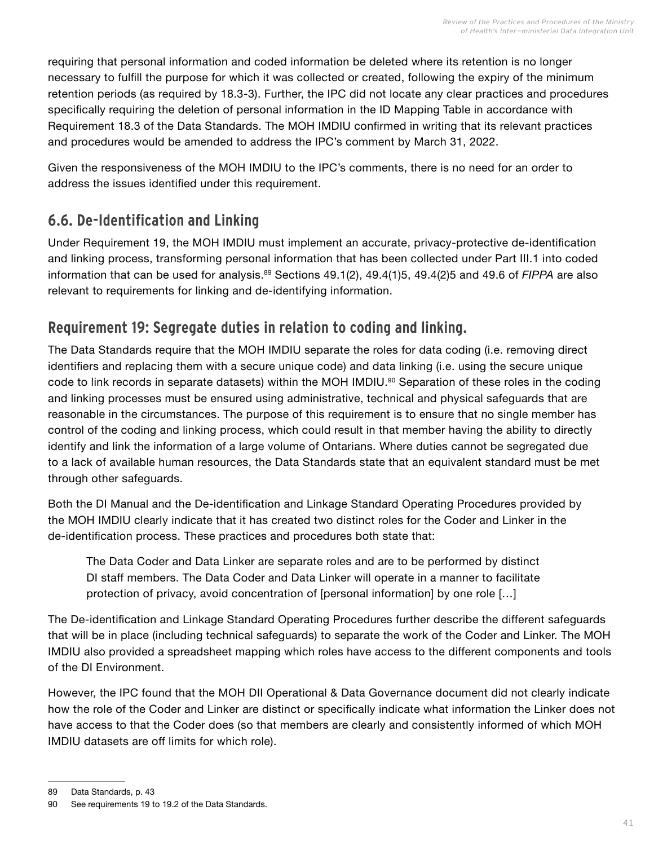<span id="page-42-0"></span>requiring that personal information and coded information be deleted where its retention is no longer necessary to fulfill the purpose for which it was collected or created, following the expiry of the minimum retention periods (as required by 18.3-3). Further, the IPC did not locate any clear practices and procedures specifically requiring the deletion of personal information in the ID Mapping Table in accordance with Requirement 18.3 of the Data Standards. The MOH IMDIU confirmed in writing that its relevant practices and procedures would be amended to address the IPC's comment by March 31, 2022.

Given the responsiveness of the MOH IMDIU to the IPC's comments, there is no need for an order to address the issues identified under this requirement.

# **6.6. De-Identification and Linking**

Under Requirement 19, the MOH IMDIU must implement an accurate, privacy-protective de-identification and linking process, transforming personal information that has been collected under Part III.1 into coded information that can be used for analysis.89 Sections 49.1(2), 49.4(1)5, 49.4(2)5 and 49.6 of *FIPPA* are also relevant to requirements for linking and de‑identifying information.

# **Requirement 19: Segregate duties in relation to coding and linking.**

The Data Standards require that the MOH IMDIU separate the roles for data coding (i.e. removing direct identifiers and replacing them with a secure unique code) and data linking (i.e. using the secure unique code to link records in separate datasets) within the MOH IMDIU.<sup>90</sup> Separation of these roles in the coding and linking processes must be ensured using administrative, technical and physical safeguards that are reasonable in the circumstances. The purpose of this requirement is to ensure that no single member has control of the coding and linking process, which could result in that member having the ability to directly identify and link the information of a large volume of Ontarians. Where duties cannot be segregated due to a lack of available human resources, the Data Standards state that an equivalent standard must be met through other safeguards.

Both the DI Manual and the De‑identification and Linkage Standard Operating Procedures provided by the MOH IMDIU clearly indicate that it has created two distinct roles for the Coder and Linker in the de‑identification process. These practices and procedures both state that:

The Data Coder and Data Linker are separate roles and are to be performed by distinct DI staff members. The Data Coder and Data Linker will operate in a manner to facilitate protection of privacy, avoid concentration of [personal information] by one role […]

The De‑identification and Linkage Standard Operating Procedures further describe the different safeguards that will be in place (including technical safeguards) to separate the work of the Coder and Linker. The MOH IMDIU also provided a spreadsheet mapping which roles have access to the different components and tools of the DI Environment.

However, the IPC found that the MOH DII Operational & Data Governance document did not clearly indicate how the role of the Coder and Linker are distinct or specifically indicate what information the Linker does not have access to that the Coder does (so that members are clearly and consistently informed of which MOH IMDIU datasets are off limits for which role).

<sup>89</sup> Data Standards, p. 43

<sup>90</sup> See requirements 19 to 19.2 of the Data Standards.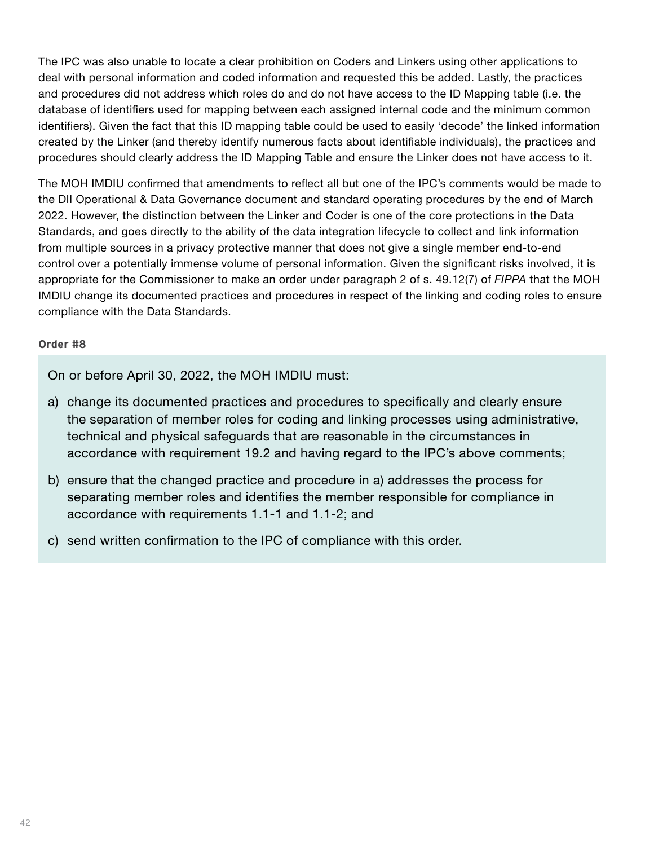The IPC was also unable to locate a clear prohibition on Coders and Linkers using other applications to deal with personal information and coded information and requested this be added. Lastly, the practices and procedures did not address which roles do and do not have access to the ID Mapping table (i.e. the database of identifiers used for mapping between each assigned internal code and the minimum common identifiers). Given the fact that this ID mapping table could be used to easily 'decode' the linked information created by the Linker (and thereby identify numerous facts about identifiable individuals), the practices and procedures should clearly address the ID Mapping Table and ensure the Linker does not have access to it.

The MOH IMDIU confirmed that amendments to reflect all but one of the IPC's comments would be made to the DII Operational & Data Governance document and standard operating procedures by the end of March 2022. However, the distinction between the Linker and Coder is one of the core protections in the Data Standards, and goes directly to the ability of the data integration lifecycle to collect and link information from multiple sources in a privacy protective manner that does not give a single member end-to-end control over a potentially immense volume of personal information. Given the significant risks involved, it is appropriate for the Commissioner to make an order under paragraph 2 of s. 49.12(7) of *FIPPA* that the MOH IMDIU change its documented practices and procedures in respect of the linking and coding roles to ensure compliance with the Data Standards.

#### **Order #8**

On or before April 30, 2022, the MOH IMDIU must:

- a) change its documented practices and procedures to specifically and clearly ensure the separation of member roles for coding and linking processes using administrative, technical and physical safeguards that are reasonable in the circumstances in accordance with requirement 19.2 and having regard to the IPC's above comments;
- b) ensure that the changed practice and procedure in a) addresses the process for separating member roles and identifies the member responsible for compliance in accordance with requirements 1.1-1 and 1.1-2; and
- c) send written confirmation to the IPC of compliance with this order.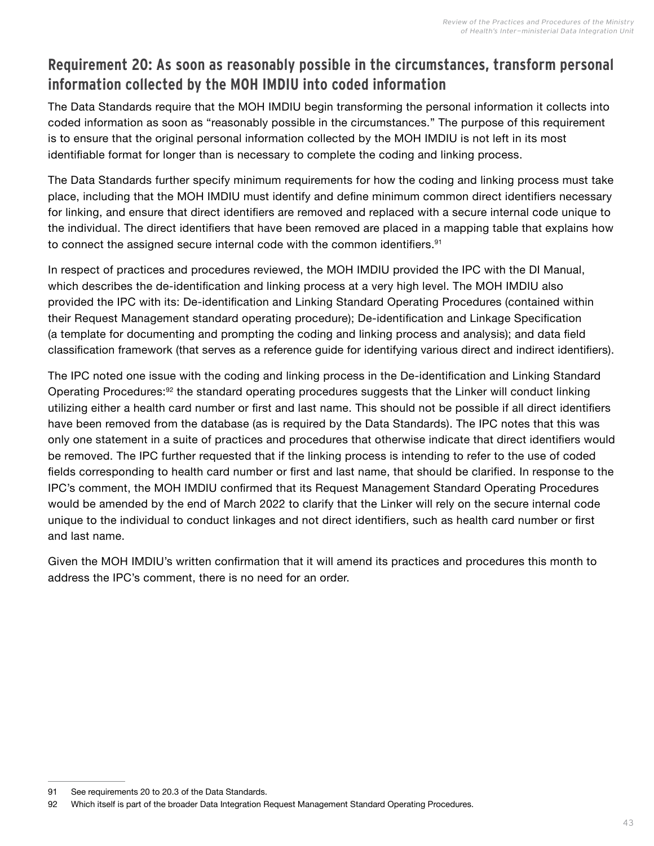# **Requirement 20: As soon as reasonably possible in the circumstances, transform personal information collected by the MOH IMDIU into coded information**

The Data Standards require that the MOH IMDIU begin transforming the personal information it collects into coded information as soon as "reasonably possible in the circumstances." The purpose of this requirement is to ensure that the original personal information collected by the MOH IMDIU is not left in its most identifiable format for longer than is necessary to complete the coding and linking process.

The Data Standards further specify minimum requirements for how the coding and linking process must take place, including that the MOH IMDIU must identify and define minimum common direct identifiers necessary for linking, and ensure that direct identifiers are removed and replaced with a secure internal code unique to the individual. The direct identifiers that have been removed are placed in a mapping table that explains how to connect the assigned secure internal code with the common identifiers.<sup>91</sup>

In respect of practices and procedures reviewed, the MOH IMDIU provided the IPC with the DI Manual, which describes the de-identification and linking process at a very high level. The MOH IMDIU also provided the IPC with its: De‑identification and Linking Standard Operating Procedures (contained within their Request Management standard operating procedure); De‑identification and Linkage Specification (a template for documenting and prompting the coding and linking process and analysis); and data field classification framework (that serves as a reference guide for identifying various direct and indirect identifiers).

The IPC noted one issue with the coding and linking process in the De-identification and Linking Standard Operating Procedures: $92$  the standard operating procedures suggests that the Linker will conduct linking utilizing either a health card number or first and last name. This should not be possible if all direct identifiers have been removed from the database (as is required by the Data Standards). The IPC notes that this was only one statement in a suite of practices and procedures that otherwise indicate that direct identifiers would be removed. The IPC further requested that if the linking process is intending to refer to the use of coded fields corresponding to health card number or first and last name, that should be clarified. In response to the IPC's comment, the MOH IMDIU confirmed that its Request Management Standard Operating Procedures would be amended by the end of March 2022 to clarify that the Linker will rely on the secure internal code unique to the individual to conduct linkages and not direct identifiers, such as health card number or first and last name.

Given the MOH IMDIU's written confirmation that it will amend its practices and procedures this month to address the IPC's comment, there is no need for an order.

<sup>91</sup> See requirements 20 to 20.3 of the Data Standards.

<sup>92</sup> Which itself is part of the broader Data Integration Request Management Standard Operating Procedures.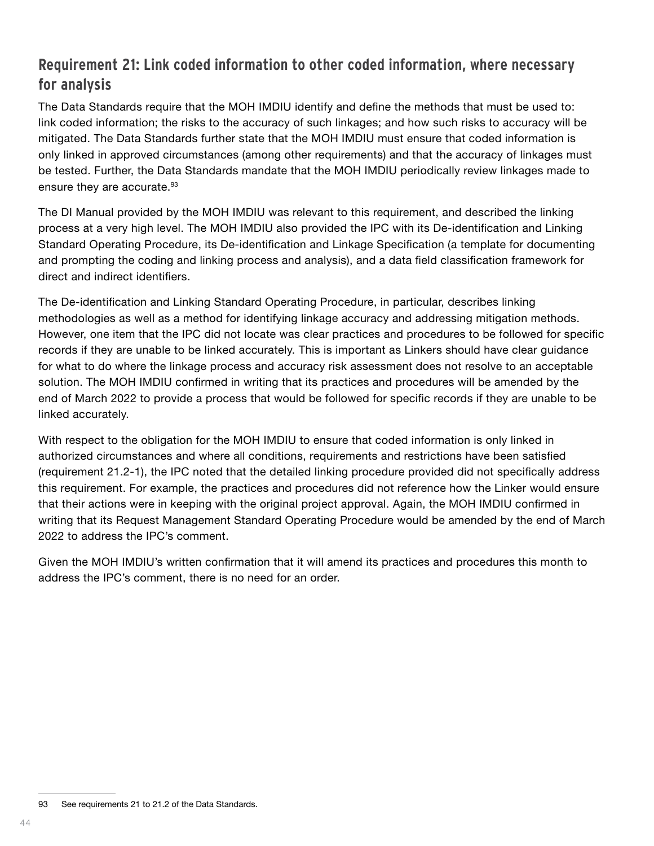# **Requirement 21: Link coded information to other coded information, where necessary for analysis**

The Data Standards require that the MOH IMDIU identify and define the methods that must be used to: link coded information; the risks to the accuracy of such linkages; and how such risks to accuracy will be mitigated. The Data Standards further state that the MOH IMDIU must ensure that coded information is only linked in approved circumstances (among other requirements) and that the accuracy of linkages must be tested. Further, the Data Standards mandate that the MOH IMDIU periodically review linkages made to ensure they are accurate.93

The DI Manual provided by the MOH IMDIU was relevant to this requirement, and described the linking process at a very high level. The MOH IMDIU also provided the IPC with its De‑identification and Linking Standard Operating Procedure, its De‑identification and Linkage Specification (a template for documenting and prompting the coding and linking process and analysis), and a data field classification framework for direct and indirect identifiers.

The De‑identification and Linking Standard Operating Procedure, in particular, describes linking methodologies as well as a method for identifying linkage accuracy and addressing mitigation methods. However, one item that the IPC did not locate was clear practices and procedures to be followed for specific records if they are unable to be linked accurately. This is important as Linkers should have clear guidance for what to do where the linkage process and accuracy risk assessment does not resolve to an acceptable solution. The MOH IMDIU confirmed in writing that its practices and procedures will be amended by the end of March 2022 to provide a process that would be followed for specific records if they are unable to be linked accurately.

With respect to the obligation for the MOH IMDIU to ensure that coded information is only linked in authorized circumstances and where all conditions, requirements and restrictions have been satisfied (requirement 21.2-1), the IPC noted that the detailed linking procedure provided did not specifically address this requirement. For example, the practices and procedures did not reference how the Linker would ensure that their actions were in keeping with the original project approval. Again, the MOH IMDIU confirmed in writing that its Request Management Standard Operating Procedure would be amended by the end of March 2022 to address the IPC's comment.

Given the MOH IMDIU's written confirmation that it will amend its practices and procedures this month to address the IPC's comment, there is no need for an order.

<sup>93</sup> See requirements 21 to 21.2 of the Data Standards.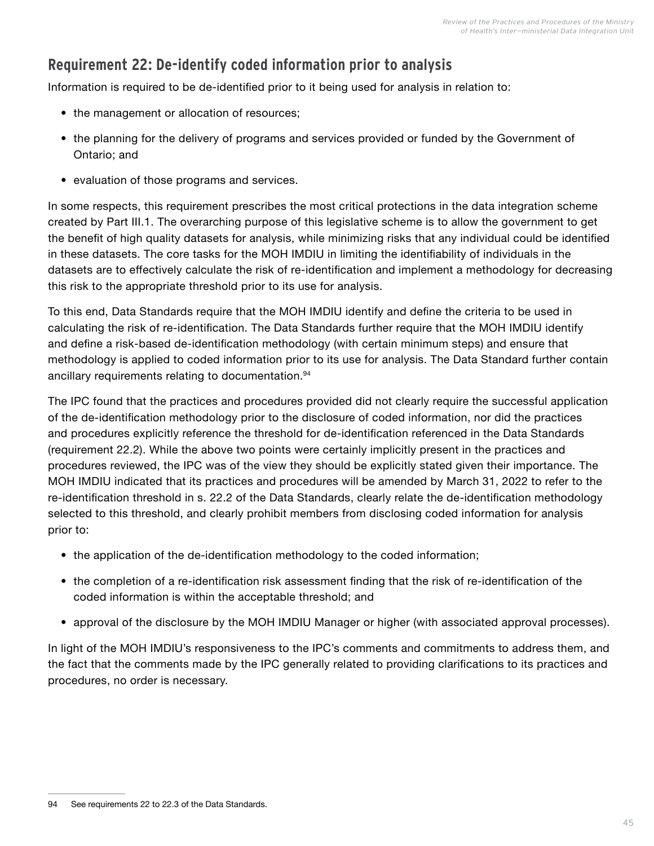# **Requirement 22: De‑identify coded information prior to analysis**

Information is required to be de‑identified prior to it being used for analysis in relation to:

- the management or allocation of resources;
- the planning for the delivery of programs and services provided or funded by the Government of Ontario; and
- evaluation of those programs and services.

In some respects, this requirement prescribes the most critical protections in the data integration scheme created by Part III.1. The overarching purpose of this legislative scheme is to allow the government to get the benefit of high quality datasets for analysis, while minimizing risks that any individual could be identified in these datasets. The core tasks for the MOH IMDIU in limiting the identifiability of individuals in the datasets are to effectively calculate the risk of re‑identification and implement a methodology for decreasing this risk to the appropriate threshold prior to its use for analysis.

To this end, Data Standards require that the MOH IMDIU identify and define the criteria to be used in calculating the risk of re‑identification. The Data Standards further require that the MOH IMDIU identify and define a risk‑based de‑identification methodology (with certain minimum steps) and ensure that methodology is applied to coded information prior to its use for analysis. The Data Standard further contain ancillary requirements relating to documentation.<sup>94</sup>

The IPC found that the practices and procedures provided did not clearly require the successful application of the de‑identification methodology prior to the disclosure of coded information, nor did the practices and procedures explicitly reference the threshold for de‑identification referenced in the Data Standards (requirement 22.2). While the above two points were certainly implicitly present in the practices and procedures reviewed, the IPC was of the view they should be explicitly stated given their importance. The MOH IMDIU indicated that its practices and procedures will be amended by March 31, 2022 to refer to the re‑identification threshold in s. 22.2 of the Data Standards, clearly relate the de-identification methodology selected to this threshold, and clearly prohibit members from disclosing coded information for analysis prior to:

- the application of the de-identification methodology to the coded information;
- the completion of a re-identification risk assessment finding that the risk of re-identification of the coded information is within the acceptable threshold; and
- approval of the disclosure by the MOH IMDIU Manager or higher (with associated approval processes).

In light of the MOH IMDIU's responsiveness to the IPC's comments and commitments to address them, and the fact that the comments made by the IPC generally related to providing clarifications to its practices and procedures, no order is necessary.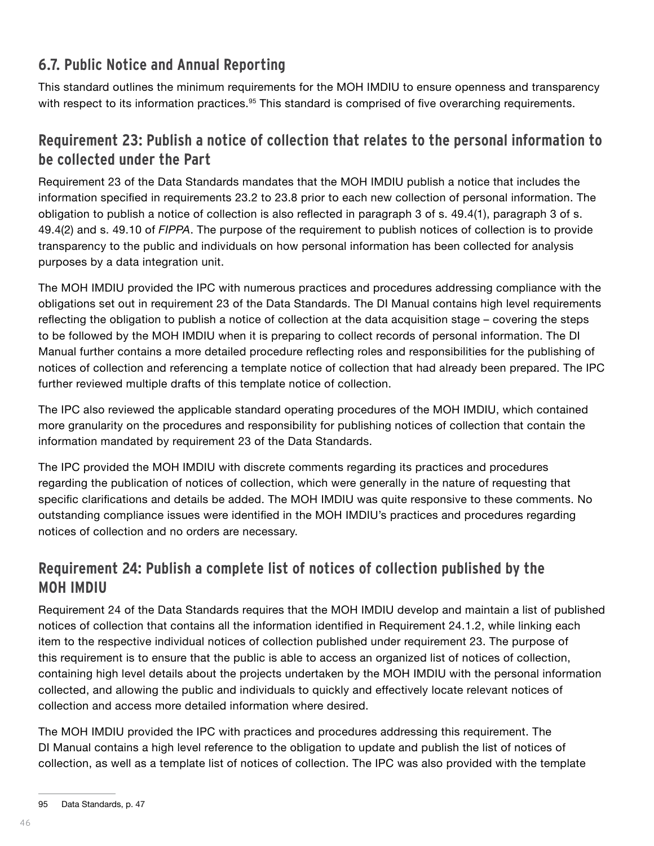# <span id="page-47-0"></span>**6.7. Public Notice and Annual Reporting**

This standard outlines the minimum requirements for the MOH IMDIU to ensure openness and transparency with respect to its information practices.<sup>95</sup> This standard is comprised of five overarching requirements.

# **Requirement 23: Publish a notice of collection that relates to the personal information to be collected under the Part**

Requirement 23 of the Data Standards mandates that the MOH IMDIU publish a notice that includes the information specified in requirements 23.2 to 23.8 prior to each new collection of personal information. The obligation to publish a notice of collection is also reflected in paragraph 3 of s. 49.4(1), paragraph 3 of s. 49.4(2) and s. 49.10 of *FIPPA*. The purpose of the requirement to publish notices of collection is to provide transparency to the public and individuals on how personal information has been collected for analysis purposes by a data integration unit.

The MOH IMDIU provided the IPC with numerous practices and procedures addressing compliance with the obligations set out in requirement 23 of the Data Standards. The DI Manual contains high level requirements reflecting the obligation to publish a notice of collection at the data acquisition stage – covering the steps to be followed by the MOH IMDIU when it is preparing to collect records of personal information. The DI Manual further contains a more detailed procedure reflecting roles and responsibilities for the publishing of notices of collection and referencing a template notice of collection that had already been prepared. The IPC further reviewed multiple drafts of this template notice of collection.

The IPC also reviewed the applicable standard operating procedures of the MOH IMDIU, which contained more granularity on the procedures and responsibility for publishing notices of collection that contain the information mandated by requirement 23 of the Data Standards.

The IPC provided the MOH IMDIU with discrete comments regarding its practices and procedures regarding the publication of notices of collection, which were generally in the nature of requesting that specific clarifications and details be added. The MOH IMDIU was quite responsive to these comments. No outstanding compliance issues were identified in the MOH IMDIU's practices and procedures regarding notices of collection and no orders are necessary.

# **Requirement 24: Publish a complete list of notices of collection published by the MOH IMDIU**

Requirement 24 of the Data Standards requires that the MOH IMDIU develop and maintain a list of published notices of collection that contains all the information identified in Requirement 24.1.2, while linking each item to the respective individual notices of collection published under requirement 23. The purpose of this requirement is to ensure that the public is able to access an organized list of notices of collection, containing high level details about the projects undertaken by the MOH IMDIU with the personal information collected, and allowing the public and individuals to quickly and effectively locate relevant notices of collection and access more detailed information where desired.

The MOH IMDIU provided the IPC with practices and procedures addressing this requirement. The DI Manual contains a high level reference to the obligation to update and publish the list of notices of collection, as well as a template list of notices of collection. The IPC was also provided with the template

<sup>95</sup> Data Standards, p. 47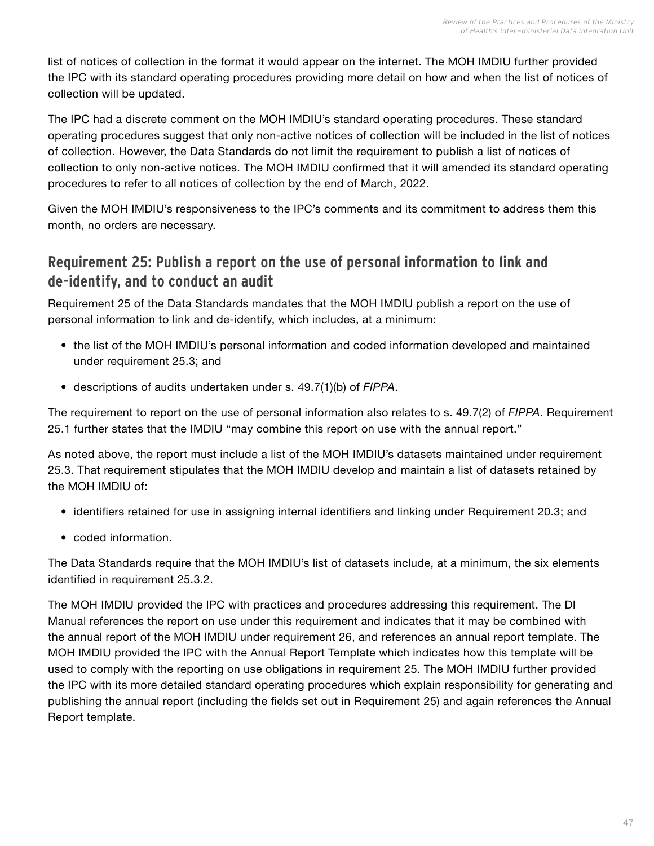list of notices of collection in the format it would appear on the internet. The MOH IMDIU further provided the IPC with its standard operating procedures providing more detail on how and when the list of notices of collection will be updated.

The IPC had a discrete comment on the MOH IMDIU's standard operating procedures. These standard operating procedures suggest that only non‑active notices of collection will be included in the list of notices of collection. However, the Data Standards do not limit the requirement to publish a list of notices of collection to only non‑active notices. The MOH IMDIU confirmed that it will amended its standard operating procedures to refer to all notices of collection by the end of March, 2022.

Given the MOH IMDIU's responsiveness to the IPC's comments and its commitment to address them this month, no orders are necessary.

# **Requirement 25: Publish a report on the use of personal information to link and de‑identify, and to conduct an audit**

Requirement 25 of the Data Standards mandates that the MOH IMDIU publish a report on the use of personal information to link and de‑identify, which includes, at a minimum:

- the list of the MOH IMDIU's personal information and coded information developed and maintained under requirement 25.3; and
- descriptions of audits undertaken under s. 49.7(1)(b) of *FIPPA*.

The requirement to report on the use of personal information also relates to s. 49.7(2) of *FIPPA*. Requirement 25.1 further states that the IMDIU "may combine this report on use with the annual report."

As noted above, the report must include a list of the MOH IMDIU's datasets maintained under requirement 25.3. That requirement stipulates that the MOH IMDIU develop and maintain a list of datasets retained by the MOH IMDIU of:

- identifiers retained for use in assigning internal identifiers and linking under Requirement 20.3; and
- coded information.

The Data Standards require that the MOH IMDIU's list of datasets include, at a minimum, the six elements identified in requirement 25.3.2.

The MOH IMDIU provided the IPC with practices and procedures addressing this requirement. The DI Manual references the report on use under this requirement and indicates that it may be combined with the annual report of the MOH IMDIU under requirement 26, and references an annual report template. The MOH IMDIU provided the IPC with the Annual Report Template which indicates how this template will be used to comply with the reporting on use obligations in requirement 25. The MOH IMDIU further provided the IPC with its more detailed standard operating procedures which explain responsibility for generating and publishing the annual report (including the fields set out in Requirement 25) and again references the Annual Report template.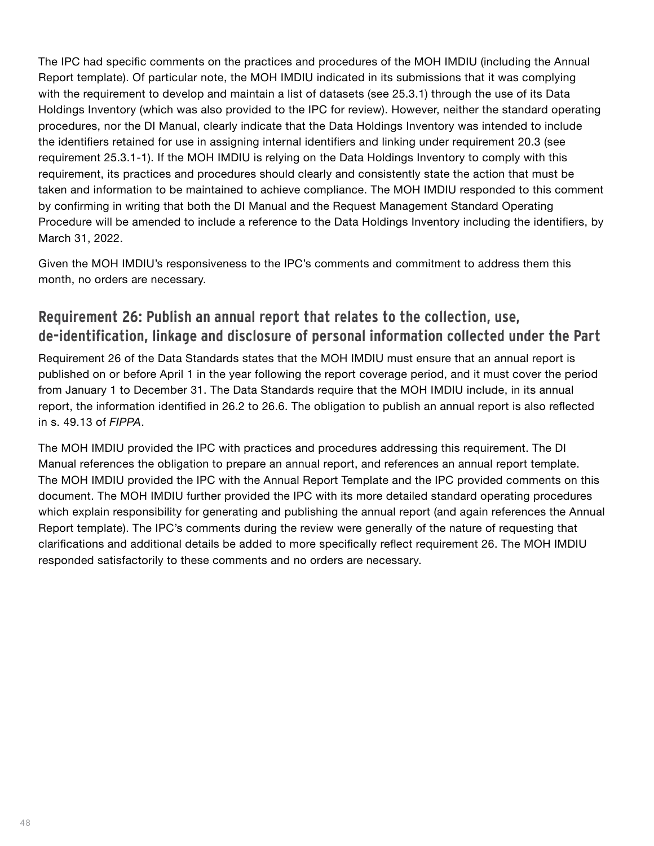The IPC had specific comments on the practices and procedures of the MOH IMDIU (including the Annual Report template). Of particular note, the MOH IMDIU indicated in its submissions that it was complying with the requirement to develop and maintain a list of datasets (see 25.3.1) through the use of its Data Holdings Inventory (which was also provided to the IPC for review). However, neither the standard operating procedures, nor the DI Manual, clearly indicate that the Data Holdings Inventory was intended to include the identifiers retained for use in assigning internal identifiers and linking under requirement 20.3 (see requirement 25.3.1-1). If the MOH IMDIU is relying on the Data Holdings Inventory to comply with this requirement, its practices and procedures should clearly and consistently state the action that must be taken and information to be maintained to achieve compliance. The MOH IMDIU responded to this comment by confirming in writing that both the DI Manual and the Request Management Standard Operating Procedure will be amended to include a reference to the Data Holdings Inventory including the identifiers, by March 31, 2022.

Given the MOH IMDIU's responsiveness to the IPC's comments and commitment to address them this month, no orders are necessary.

# **Requirement 26: Publish an annual report that relates to the collection, use, de‑identification, linkage and disclosure of personal information collected under the Part**

Requirement 26 of the Data Standards states that the MOH IMDIU must ensure that an annual report is published on or before April 1 in the year following the report coverage period, and it must cover the period from January 1 to December 31. The Data Standards require that the MOH IMDIU include, in its annual report, the information identified in 26.2 to 26.6. The obligation to publish an annual report is also reflected in s. 49.13 of *FIPPA*.

The MOH IMDIU provided the IPC with practices and procedures addressing this requirement. The DI Manual references the obligation to prepare an annual report, and references an annual report template. The MOH IMDIU provided the IPC with the Annual Report Template and the IPC provided comments on this document. The MOH IMDIU further provided the IPC with its more detailed standard operating procedures which explain responsibility for generating and publishing the annual report (and again references the Annual Report template). The IPC's comments during the review were generally of the nature of requesting that clarifications and additional details be added to more specifically reflect requirement 26. The MOH IMDIU responded satisfactorily to these comments and no orders are necessary.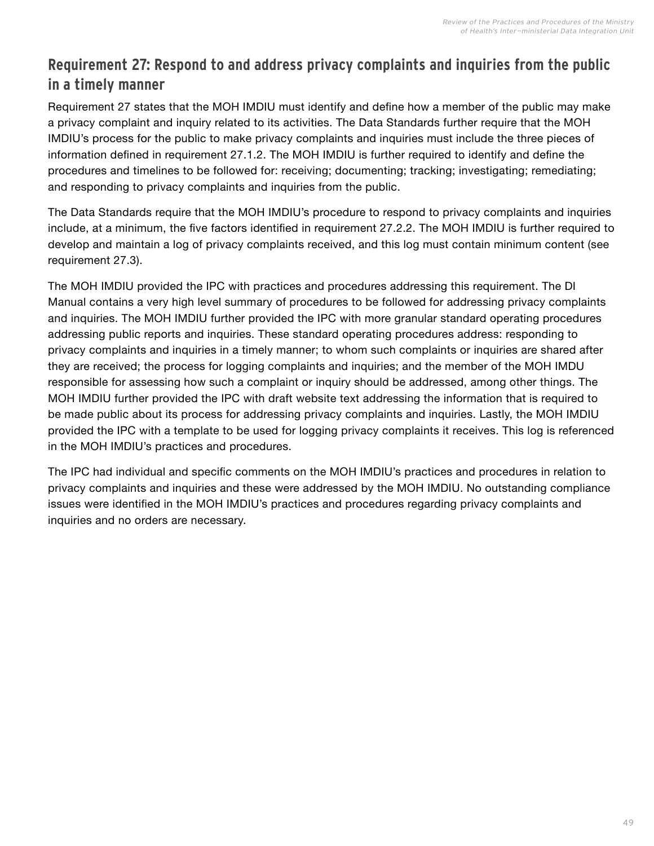# **Requirement 27: Respond to and address privacy complaints and inquiries from the public in a timely manner**

Requirement 27 states that the MOH IMDIU must identify and define how a member of the public may make a privacy complaint and inquiry related to its activities. The Data Standards further require that the MOH IMDIU's process for the public to make privacy complaints and inquiries must include the three pieces of information defined in requirement 27.1.2. The MOH IMDIU is further required to identify and define the procedures and timelines to be followed for: receiving; documenting; tracking; investigating; remediating; and responding to privacy complaints and inquiries from the public.

The Data Standards require that the MOH IMDIU's procedure to respond to privacy complaints and inquiries include, at a minimum, the five factors identified in requirement 27.2.2. The MOH IMDIU is further required to develop and maintain a log of privacy complaints received, and this log must contain minimum content (see requirement 27.3).

The MOH IMDIU provided the IPC with practices and procedures addressing this requirement. The DI Manual contains a very high level summary of procedures to be followed for addressing privacy complaints and inquiries. The MOH IMDIU further provided the IPC with more granular standard operating procedures addressing public reports and inquiries. These standard operating procedures address: responding to privacy complaints and inquiries in a timely manner; to whom such complaints or inquiries are shared after they are received; the process for logging complaints and inquiries; and the member of the MOH IMDU responsible for assessing how such a complaint or inquiry should be addressed, among other things. The MOH IMDIU further provided the IPC with draft website text addressing the information that is required to be made public about its process for addressing privacy complaints and inquiries. Lastly, the MOH IMDIU provided the IPC with a template to be used for logging privacy complaints it receives. This log is referenced in the MOH IMDIU's practices and procedures.

The IPC had individual and specific comments on the MOH IMDIU's practices and procedures in relation to privacy complaints and inquiries and these were addressed by the MOH IMDIU. No outstanding compliance issues were identified in the MOH IMDIU's practices and procedures regarding privacy complaints and inquiries and no orders are necessary.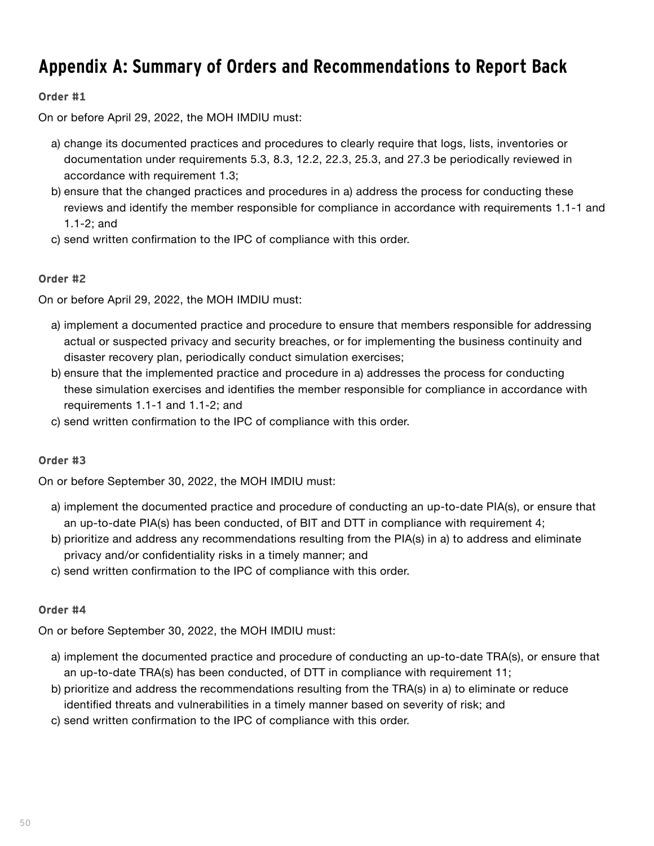# <span id="page-51-0"></span>**Appendix A: Summary of Orders and Recommendations to Report Back**

**Order #1**

On or before April 29, 2022, the MOH IMDIU must:

- a) change its documented practices and procedures to clearly require that logs, lists, inventories or documentation under requirements 5.3, 8.3, 12.2, 22.3, 25.3, and 27.3 be periodically reviewed in accordance with requirement 1.3;
- b) ensure that the changed practices and procedures in a) address the process for conducting these reviews and identify the member responsible for compliance in accordance with requirements 1.1-1 and 1.1-2; and
- c) send written confirmation to the IPC of compliance with this order.

### **Order #2**

On or before April 29, 2022, the MOH IMDIU must:

- a) implement a documented practice and procedure to ensure that members responsible for addressing actual or suspected privacy and security breaches, or for implementing the business continuity and disaster recovery plan, periodically conduct simulation exercises;
- b) ensure that the implemented practice and procedure in a) addresses the process for conducting these simulation exercises and identifies the member responsible for compliance in accordance with requirements 1.1-1 and 1.1-2; and
- c) send written confirmation to the IPC of compliance with this order.

### **Order #3**

On or before September 30, 2022, the MOH IMDIU must:

- a) implement the documented practice and procedure of conducting an up-to-date PIA(s), or ensure that an up-to-date PIA(s) has been conducted, of BIT and DTT in compliance with requirement 4;
- b) prioritize and address any recommendations resulting from the PIA(s) in a) to address and eliminate privacy and/or confidentiality risks in a timely manner; and
- c) send written confirmation to the IPC of compliance with this order.

#### **Order #4**

On or before September 30, 2022, the MOH IMDIU must:

- a) implement the documented practice and procedure of conducting an up-to-date TRA(s), or ensure that an up-to-date TRA(s) has been conducted, of DTT in compliance with requirement 11;
- b) prioritize and address the recommendations resulting from the TRA(s) in a) to eliminate or reduce identified threats and vulnerabilities in a timely manner based on severity of risk; and
- c) send written confirmation to the IPC of compliance with this order.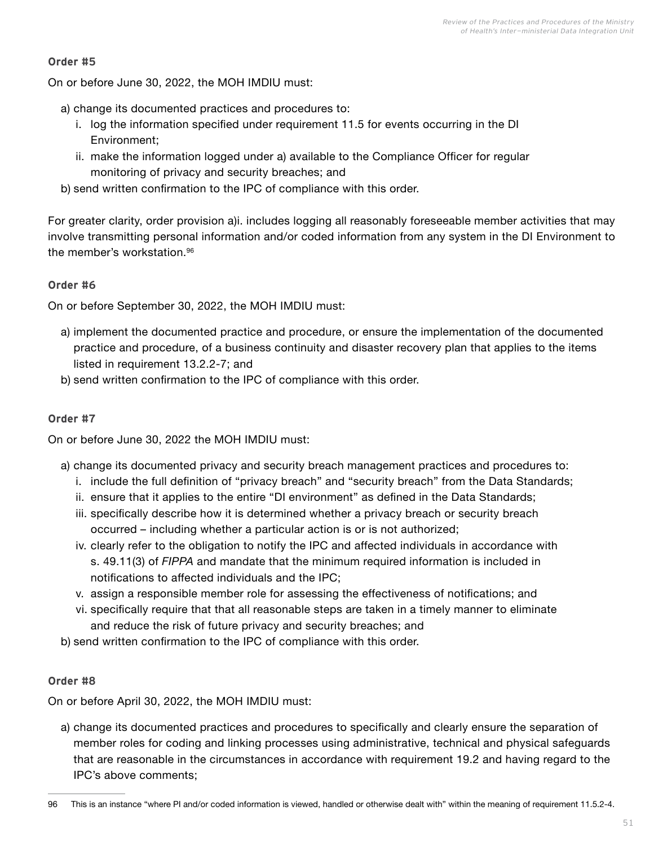#### **Order #5**

On or before June 30, 2022, the MOH IMDIU must:

a) change its documented practices and procedures to:

- i. log the information specified under requirement 11.5 for events occurring in the DI Environment;
- ii. make the information logged under a) available to the Compliance Officer for regular monitoring of privacy and security breaches; and
- b) send written confirmation to the IPC of compliance with this order.

For greater clarity, order provision a)i. includes logging all reasonably foreseeable member activities that may involve transmitting personal information and/or coded information from any system in the DI Environment to the member's workstation.96

#### **Order #6**

On or before September 30, 2022, the MOH IMDIU must:

- a) implement the documented practice and procedure, or ensure the implementation of the documented practice and procedure, of a business continuity and disaster recovery plan that applies to the items listed in requirement 13.2.2-7; and
- b) send written confirmation to the IPC of compliance with this order.

#### **Order #7**

On or before June 30, 2022 the MOH IMDIU must:

- a) change its documented privacy and security breach management practices and procedures to:
	- i. include the full definition of "privacy breach" and "security breach" from the Data Standards;
	- ii. ensure that it applies to the entire "DI environment" as defined in the Data Standards;
	- iii. specifically describe how it is determined whether a privacy breach or security breach occurred – including whether a particular action is or is not authorized;
	- iv. clearly refer to the obligation to notify the IPC and affected individuals in accordance with s. 49.11(3) of *FIPPA* and mandate that the minimum required information is included in notifications to affected individuals and the IPC;
	- v. assign a responsible member role for assessing the effectiveness of notifications; and
	- vi. specifically require that that all reasonable steps are taken in a timely manner to eliminate and reduce the risk of future privacy and security breaches; and
- b) send written confirmation to the IPC of compliance with this order.

#### **Order #8**

On or before April 30, 2022, the MOH IMDIU must:

a) change its documented practices and procedures to specifically and clearly ensure the separation of member roles for coding and linking processes using administrative, technical and physical safeguards that are reasonable in the circumstances in accordance with requirement 19.2 and having regard to the IPC's above comments;

<sup>96</sup> This is an instance "where PI and/or coded information is viewed, handled or otherwise dealt with" within the meaning of requirement 11.5.2-4.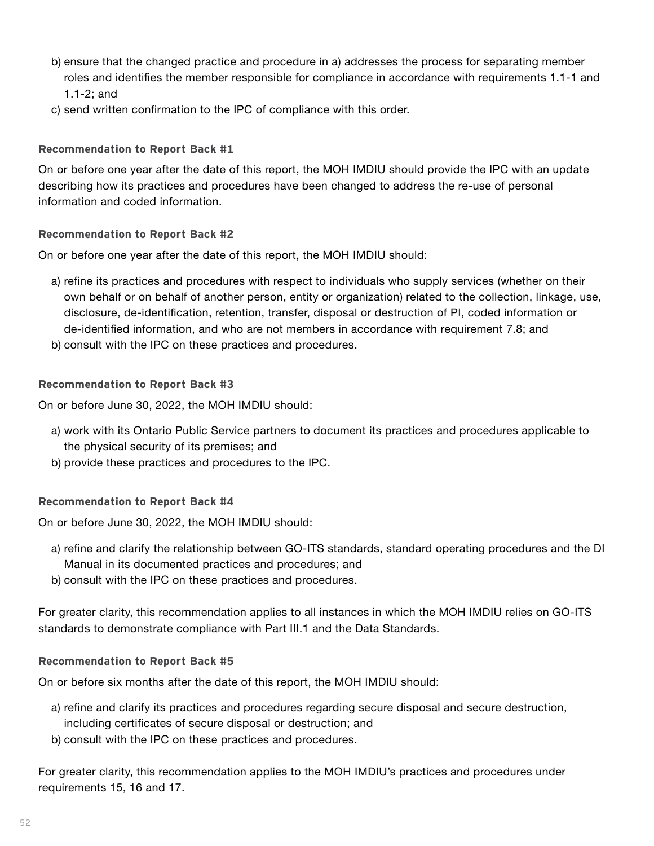- b) ensure that the changed practice and procedure in a) addresses the process for separating member roles and identifies the member responsible for compliance in accordance with requirements 1.1-1 and 1.1-2; and
- c) send written confirmation to the IPC of compliance with this order.

#### **Recommendation to Report Back #1**

On or before one year after the date of this report, the MOH IMDIU should provide the IPC with an update describing how its practices and procedures have been changed to address the re‑use of personal information and coded information.

#### **Recommendation to Report Back #2**

On or before one year after the date of this report, the MOH IMDIU should:

- a) refine its practices and procedures with respect to individuals who supply services (whether on their own behalf or on behalf of another person, entity or organization) related to the collection, linkage, use, disclosure, de‑identification, retention, transfer, disposal or destruction of PI, coded information or de-identified information, and who are not members in accordance with requirement 7.8; and
- b) consult with the IPC on these practices and procedures.

#### **Recommendation to Report Back #3**

On or before June 30, 2022, the MOH IMDIU should:

- a) work with its Ontario Public Service partners to document its practices and procedures applicable to the physical security of its premises; and
- b) provide these practices and procedures to the IPC.

#### **Recommendation to Report Back #4**

On or before June 30, 2022, the MOH IMDIU should:

- a) refine and clarify the relationship between GO-ITS standards, standard operating procedures and the DI Manual in its documented practices and procedures; and
- b) consult with the IPC on these practices and procedures.

For greater clarity, this recommendation applies to all instances in which the MOH IMDIU relies on GO-ITS standards to demonstrate compliance with Part III.1 and the Data Standards.

#### **Recommendation to Report Back #5**

On or before six months after the date of this report, the MOH IMDIU should:

- a) refine and clarify its practices and procedures regarding secure disposal and secure destruction, including certificates of secure disposal or destruction; and
- b) consult with the IPC on these practices and procedures.

For greater clarity, this recommendation applies to the MOH IMDIU's practices and procedures under requirements 15, 16 and 17.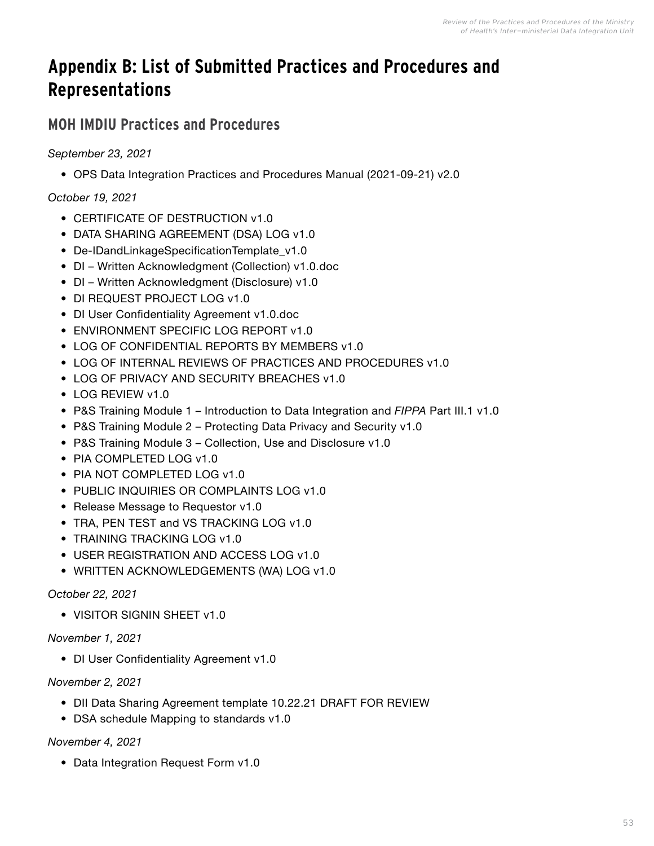# <span id="page-54-0"></span>**Appendix B: List of Submitted Practices and Procedures and Representations**

# **MOH IMDIU Practices and Procedures**

## *September 23, 2021*

• OPS Data Integration Practices and Procedures Manual (2021-09-21) v2.0

## *October 19, 2021*

- CERTIFICATE OF DESTRUCTION v1.0
- DATA SHARING AGREEMENT (DSA) LOG v1.0
- De-IDandLinkageSpecificationTemplate\_v1.0
- DI Written Acknowledgment (Collection) v1.0.doc
- DI Written Acknowledgment (Disclosure) v1.0
- DI REQUEST PROJECT LOG v1.0
- DI User Confidentiality Agreement v1.0.doc
- ENVIRONMENT SPECIFIC LOG REPORT v1.0
- LOG OF CONFIDENTIAL REPORTS BY MEMBERS v1.0
- LOG OF INTERNAL REVIEWS OF PRACTICES AND PROCEDURES v1.0
- LOG OF PRIVACY AND SECURITY BREACHES v1.0
- LOG REVIEW v1.0
- P&S Training Module 1 Introduction to Data Integration and *FIPPA* Part III.1 v1.0
- P&S Training Module 2 Protecting Data Privacy and Security v1.0
- P&S Training Module 3 Collection, Use and Disclosure v1.0
- PIA COMPLETED LOG v1.0
- PIA NOT COMPLETED LOG v1.0
- PUBLIC INQUIRIES OR COMPLAINTS LOG v1.0
- Release Message to Requestor v1.0
- TRA, PEN TEST and VS TRACKING LOG v1.0
- TRAINING TRACKING LOG v1.0
- USER REGISTRATION AND ACCESS LOG v1.0
- WRITTEN ACKNOWLEDGEMENTS (WA) LOG v1.0

### *October 22, 2021*

• VISITOR SIGNIN SHEET v1.0

### *November 1, 2021*

• DI User Confidentiality Agreement v1.0

### *November 2, 2021*

- DII Data Sharing Agreement template 10.22.21 DRAFT FOR REVIEW
- DSA schedule Mapping to standards v1.0

### *November 4, 2021*

• Data Integration Request Form v1.0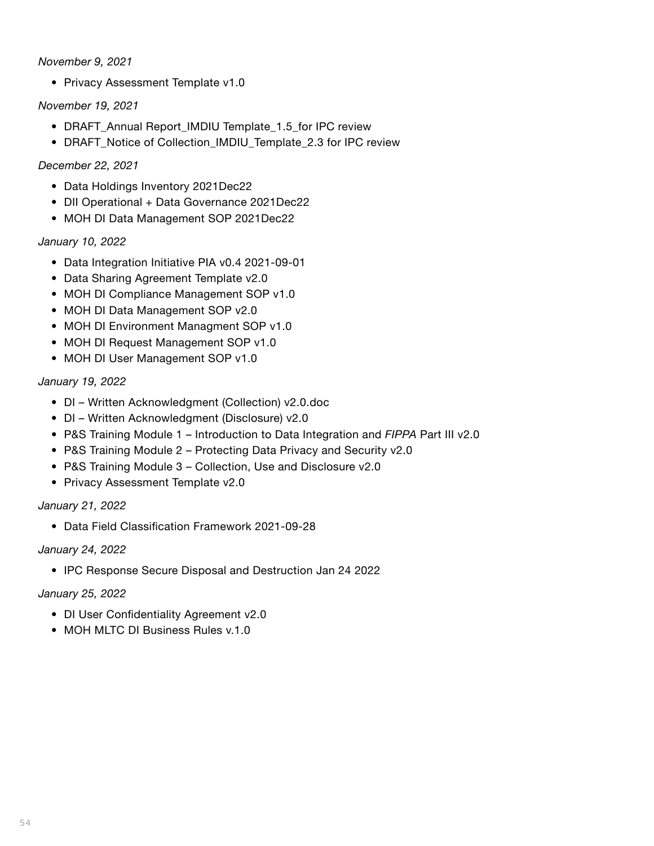#### *November 9, 2021*

• Privacy Assessment Template v1.0

#### *November 19, 2021*

- DRAFT\_Annual Report\_IMDIU Template\_1.5\_for IPC review
- DRAFT\_Notice of Collection\_IMDIU\_Template\_2.3 for IPC review

#### *December 22, 2021*

- Data Holdings Inventory 2021Dec22
- DII Operational + Data Governance 2021Dec22
- MOH DI Data Management SOP 2021Dec22

#### *January 10, 2022*

- Data Integration Initiative PIA v0.4 2021-09-01
- Data Sharing Agreement Template v2.0
- MOH DI Compliance Management SOP v1.0
- MOH DI Data Management SOP v2.0
- MOH DI Environment Managment SOP v1.0
- MOH DI Request Management SOP v1.0
- MOH DI User Management SOP v1.0

#### *January 19, 2022*

- DI Written Acknowledgment (Collection) v2.0.doc
- DI Written Acknowledgment (Disclosure) v2.0
- P&S Training Module 1 Introduction to Data Integration and *FIPPA* Part III v2.0
- P&S Training Module 2 Protecting Data Privacy and Security v2.0
- P&S Training Module 3 Collection, Use and Disclosure v2.0
- Privacy Assessment Template v2.0

### *January 21, 2022*

• Data Field Classification Framework 2021-09-28

### *January 24, 2022*

• IPC Response Secure Disposal and Destruction Jan 24 2022

### *January 25, 2022*

- DI User Confidentiality Agreement v2.0
- MOH MLTC DI Business Rules v.1.0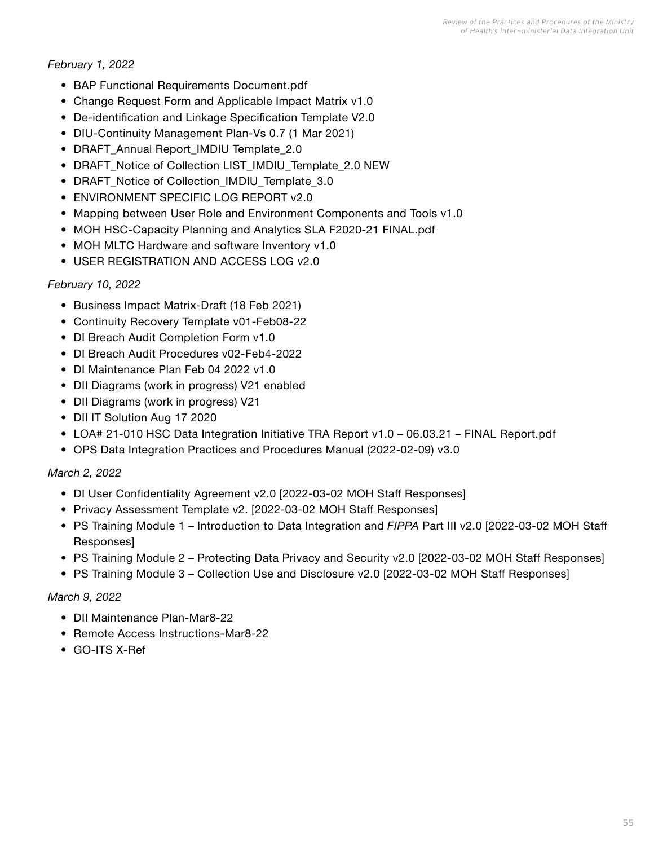## *February 1, 2022*

- BAP Functional Requirements Document.pdf
- Change Request Form and Applicable Impact Matrix v1.0
- De‑identification and Linkage Specification Template V2.0
- DIU-Continuity Management Plan-Vs 0.7 (1 Mar 2021)
- DRAFT\_Annual Report\_IMDIU Template\_2.0
- DRAFT\_Notice of Collection LIST\_IMDIU\_Template\_2.0 NEW
- DRAFT\_Notice of Collection\_IMDIU\_Template\_3.0
- ENVIRONMENT SPECIFIC LOG REPORT v2.0
- Mapping between User Role and Environment Components and Tools v1.0
- MOH HSC-Capacity Planning and Analytics SLA F2020-21 FINAL.pdf
- MOH MLTC Hardware and software Inventory v1.0
- USER REGISTRATION AND ACCESS LOG v2.0

## *February 10, 2022*

- Business Impact Matrix-Draft (18 Feb 2021)
- Continuity Recovery Template v01-Feb08-22
- DI Breach Audit Completion Form v1.0
- DI Breach Audit Procedures v02-Feb4-2022
- DI Maintenance Plan Feb 04 2022 v1.0
- DII Diagrams (work in progress) V21 enabled
- DII Diagrams (work in progress) V21
- DII IT Solution Aug 17 2020
- LOA# 21-010 HSC Data Integration Initiative TRA Report v1.0 06.03.21 FINAL Report.pdf
- OPS Data Integration Practices and Procedures Manual (2022-02-09) v3.0

### *March 2, 2022*

- DI User Confidentiality Agreement v2.0 [2022-03-02 MOH Staff Responses]
- Privacy Assessment Template v2. [2022-03-02 MOH Staff Responses]
- PS Training Module 1 Introduction to Data Integration and *FIPPA* Part III v2.0 [2022-03-02 MOH Staff Responses]
- PS Training Module 2 Protecting Data Privacy and Security v2.0 [2022-03-02 MOH Staff Responses]
- PS Training Module 3 Collection Use and Disclosure v2.0 [2022-03-02 MOH Staff Responses]

### *March 9, 2022*

- DII Maintenance Plan-Mar8-22
- Remote Access Instructions-Mar8-22
- GO-ITS X-Ref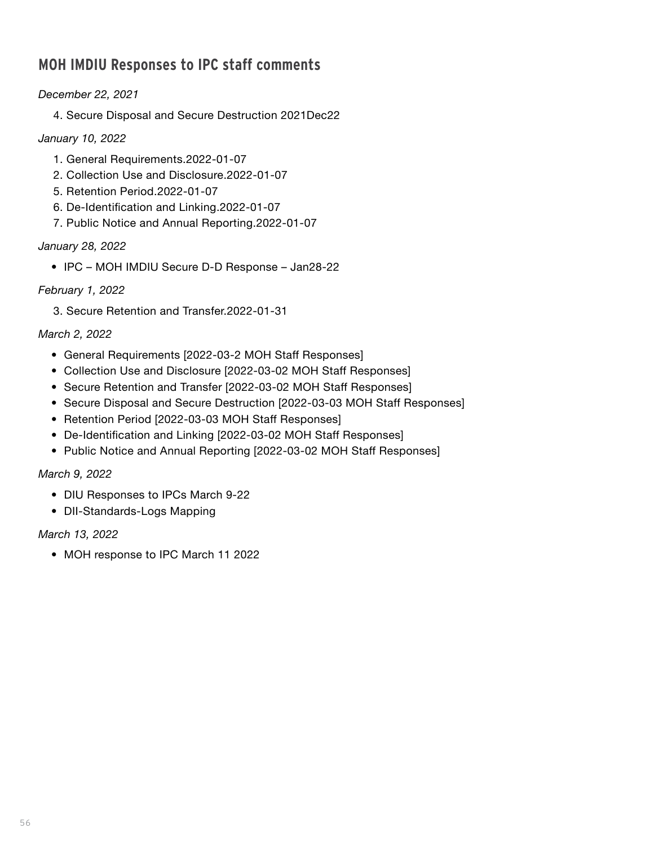# **MOH IMDIU Responses to IPC staff comments**

#### *December 22, 2021*

4. Secure Disposal and Secure Destruction 2021Dec22

#### *January 10, 2022*

- 1. General Requirements.2022-01-07
- 2. Collection Use and Disclosure.2022-01-07
- 5. Retention Period.2022-01-07
- 6. De-Identification and Linking.2022-01-07
- 7. Public Notice and Annual Reporting.2022-01-07

#### *January 28, 2022*

• IPC – MOH IMDIU Secure D-D Response – Jan28-22

#### *February 1, 2022*

3. Secure Retention and Transfer.2022-01-31

#### *March 2, 2022*

- General Requirements [2022-03-2 MOH Staff Responses]
- Collection Use and Disclosure [2022-03-02 MOH Staff Responses]
- Secure Retention and Transfer [2022-03-02 MOH Staff Responses]
- Secure Disposal and Secure Destruction [2022-03-03 MOH Staff Responses]
- Retention Period [2022-03-03 MOH Staff Responses]
- De-Identification and Linking [2022-03-02 MOH Staff Responses]
- Public Notice and Annual Reporting [2022-03-02 MOH Staff Responses]

#### *March 9, 2022*

- DIU Responses to IPCs March 9-22
- DII-Standards-Logs Mapping

### *March 13, 2022*

• MOH response to IPC March 11 2022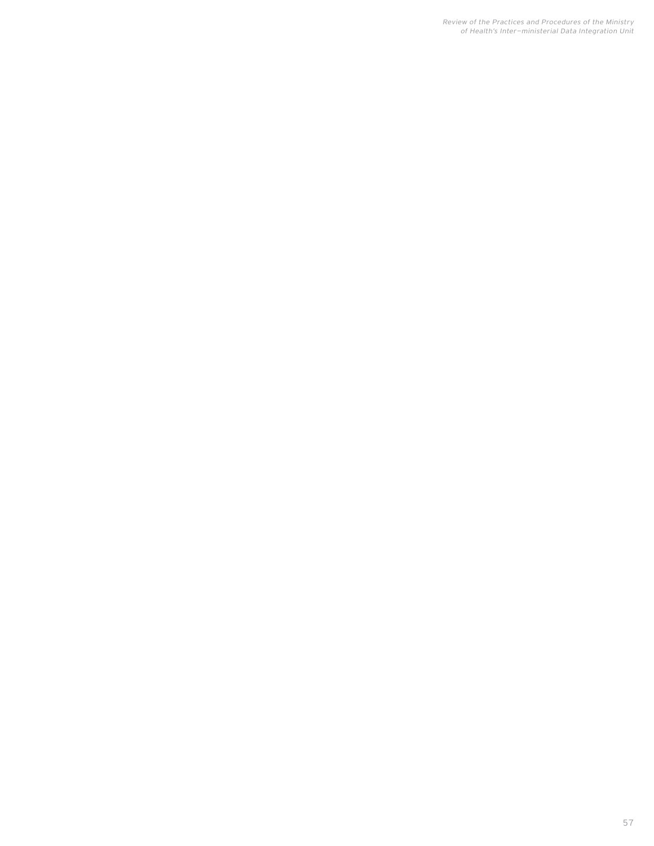Review of the Practices and Procedures of the Ministry of Health's Inter-ministerial Data Integration Unit